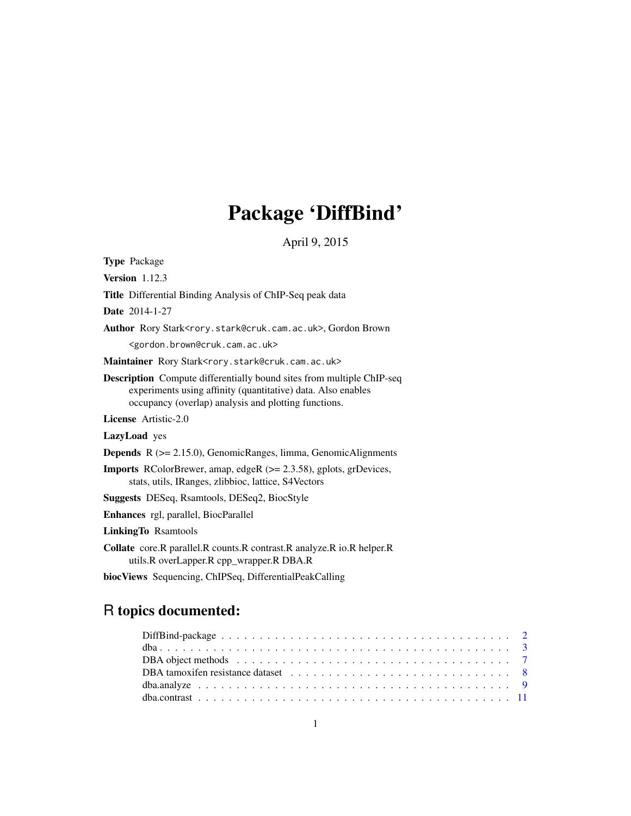# Package 'DiffBind'

April 9, 2015

<span id="page-0-0"></span>

| <b>Type Package</b>                                                                                                                                                                                  |
|------------------------------------------------------------------------------------------------------------------------------------------------------------------------------------------------------|
| Version $1.12.3$                                                                                                                                                                                     |
| <b>Title</b> Differential Binding Analysis of ChIP-Seq peak data                                                                                                                                     |
| <b>Date</b> 2014-1-27                                                                                                                                                                                |
| Author Rory Stark <rory.stark@cruk.cam.ac.uk>, Gordon Brown</rory.stark@cruk.cam.ac.uk>                                                                                                              |
| <gordon.brown@cruk.cam.ac.uk></gordon.brown@cruk.cam.ac.uk>                                                                                                                                          |
| Maintainer Rory Stark <rory.stark@cruk.cam.ac.uk></rory.stark@cruk.cam.ac.uk>                                                                                                                        |
| <b>Description</b> Compute differentially bound sites from multiple ChIP-seq<br>experiments using affinity (quantitative) data. Also enables<br>occupancy (overlap) analysis and plotting functions. |
| <b>License</b> Artistic-2.0                                                                                                                                                                          |
| LazyLoad yes                                                                                                                                                                                         |
| <b>Depends</b> $R$ ( $>= 2.15.0$ ), GenomicRanges, limma, GenomicAlignments                                                                                                                          |
| <b>Imports</b> RColorBrewer, amap, edgeR $(>= 2.3.58)$ , gplots, grDevices,<br>stats, utils, IRanges, zlibbioc, lattice, S4Vectors                                                                   |
| <b>Suggests</b> DESeq, Rsamtools, DESeq2, BiocStyle                                                                                                                                                  |
| Enhances rgl, parallel, BiocParallel                                                                                                                                                                 |
| <b>LinkingTo Rsamtools</b>                                                                                                                                                                           |
| Collate core.R parallel.R counts.R contrast.R analyze.R io.R helper.R<br>utils.R overLapper.R cpp_wrapper.R DBA.R                                                                                    |
| biocViews Sequencing, ChIPSeq, DifferentialPeakCalling                                                                                                                                               |

# R topics documented: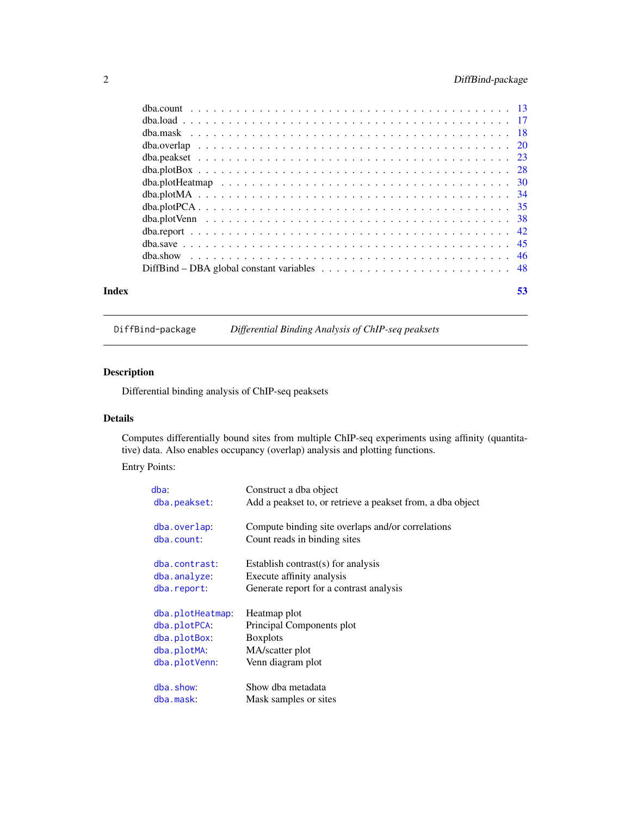### <span id="page-1-0"></span>2 DiffBind-package

| Index | 53 |
|-------|----|
|       |    |
|       |    |
|       |    |
|       |    |
|       |    |
|       |    |
|       |    |
|       |    |
|       |    |
|       |    |
|       |    |
|       |    |
|       |    |
|       |    |

DiffBind-package *Differential Binding Analysis of ChIP-seq peaksets*

### <span id="page-1-1"></span>Description

Differential binding analysis of ChIP-seq peaksets

### Details

Computes differentially bound sites from multiple ChIP-seq experiments using affinity (quantitative) data. Also enables occupancy (overlap) analysis and plotting functions.

Entry Points:

| $dba$ :          | Construct a dba object                                     |
|------------------|------------------------------------------------------------|
| dba.peakset:     | Add a peakset to, or retrieve a peakset from, a dba object |
| dba.overlap:     | Compute binding site overlaps and/or correlations          |
| dba.count:       | Count reads in binding sites                               |
| dba.contrast:    | Establish contrast(s) for analysis                         |
| dba.analyze:     | Execute affinity analysis                                  |
| dba.report:      | Generate report for a contrast analysis                    |
|                  |                                                            |
| dba.plotHeatmap: | Heatmap plot                                               |
| dba.plotPCA:     | Principal Components plot                                  |
| dba.plotBox:     | <b>Boxplots</b>                                            |
| dba.plotMA:      | MA/scatter plot                                            |
| dba.plotVenn:    | Venn diagram plot                                          |
| dba.show:        | Show dba metadata                                          |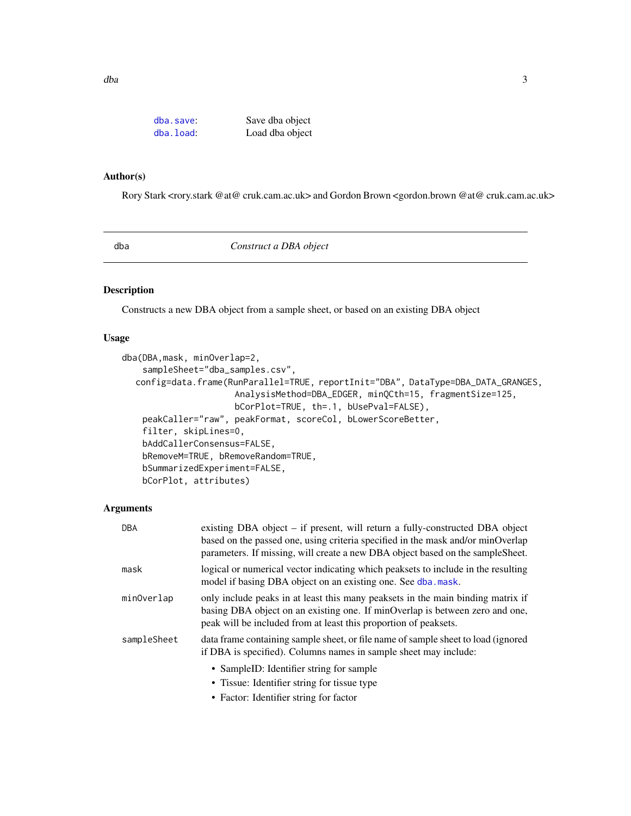<span id="page-2-0"></span>

| dba.save:    | Save dba object |
|--------------|-----------------|
| $dba.$ load: | Load dba object |

#### Author(s)

Rory Stark <rory.stark @at@ cruk.cam.ac.uk> and Gordon Brown <gordon.brown @at@ cruk.cam.ac.uk>

<span id="page-2-1"></span>dba *Construct a DBA object*

### Description

Constructs a new DBA object from a sample sheet, or based on an existing DBA object

#### Usage

```
dba(DBA,mask, minOverlap=2,
   sampleSheet="dba_samples.csv",
  config=data.frame(RunParallel=TRUE, reportInit="DBA", DataType=DBA_DATA_GRANGES,
                      AnalysisMethod=DBA_EDGER, minQCth=15, fragmentSize=125,
                      bCorPlot=TRUE, th=.1, bUsePval=FALSE),
   peakCaller="raw", peakFormat, scoreCol, bLowerScoreBetter,
   filter, skipLines=0,
   bAddCallerConsensus=FALSE,
   bRemoveM=TRUE, bRemoveRandom=TRUE,
   bSummarizedExperiment=FALSE,
   bCorPlot, attributes)
```
#### Arguments

| existing DBA object – if present, will return a fully-constructed DBA object<br><b>DBA</b><br>based on the passed one, using criteria specified in the mask and/or minOverlap<br>parameters. If missing, will create a new DBA object based on the sampleSheet. |  |
|-----------------------------------------------------------------------------------------------------------------------------------------------------------------------------------------------------------------------------------------------------------------|--|
| logical or numerical vector indicating which peaksets to include in the resulting<br>model if basing DBA object on an existing one. See dba. mask.                                                                                                              |  |
| only include peaks in at least this many peaksets in the main binding matrix if<br>minOverlap<br>basing DBA object on an existing one. If minOverlap is between zero and one,<br>peak will be included from at least this proportion of peaksets.               |  |
| data frame containing sample sheet, or file name of sample sheet to load (ignored<br>if DBA is specified). Columns names in sample sheet may include:                                                                                                           |  |
| • SampleID: Identifier string for sample<br>• Tissue: Identifier string for tissue type                                                                                                                                                                         |  |
|                                                                                                                                                                                                                                                                 |  |

• Factor: Identifier string for factor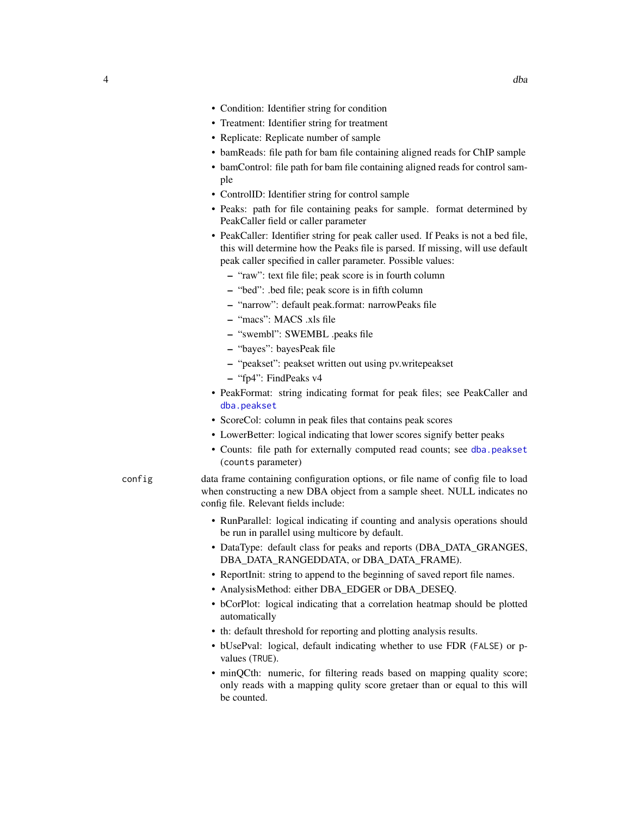- Condition: Identifier string for condition
- Treatment: Identifier string for treatment
- Replicate: Replicate number of sample
- bamReads: file path for bam file containing aligned reads for ChIP sample
- bamControl: file path for bam file containing aligned reads for control sample
- ControlID: Identifier string for control sample
- Peaks: path for file containing peaks for sample. format determined by PeakCaller field or caller parameter
- PeakCaller: Identifier string for peak caller used. If Peaks is not a bed file, this will determine how the Peaks file is parsed. If missing, will use default peak caller specified in caller parameter. Possible values:
	- "raw": text file file; peak score is in fourth column
	- "bed": .bed file; peak score is in fifth column
	- "narrow": default peak.format: narrowPeaks file
	- "macs": MACS .xls file
	- "swembl": SWEMBL .peaks file
	- "bayes": bayesPeak file
	- "peakset": peakset written out using pv.writepeakset
	- "fp4": FindPeaks v4
- PeakFormat: string indicating format for peak files; see PeakCaller and [dba.peakset](#page-22-1)
- ScoreCol: column in peak files that contains peak scores
- LowerBetter: logical indicating that lower scores signify better peaks
- Counts: file path for externally computed read counts; see [dba.peakset](#page-22-1) (counts parameter)
- config data frame containing configuration options, or file name of config file to load when constructing a new DBA object from a sample sheet. NULL indicates no config file. Relevant fields include:
	- RunParallel: logical indicating if counting and analysis operations should be run in parallel using multicore by default.
	- DataType: default class for peaks and reports (DBA\_DATA\_GRANGES, DBA\_DATA\_RANGEDDATA, or DBA\_DATA\_FRAME).
	- ReportInit: string to append to the beginning of saved report file names.
	- AnalysisMethod: either DBA\_EDGER or DBA\_DESEQ.
	- bCorPlot: logical indicating that a correlation heatmap should be plotted automatically
	- th: default threshold for reporting and plotting analysis results.
	- bUsePval: logical, default indicating whether to use FDR (FALSE) or pvalues (TRUE).
	- minQCth: numeric, for filtering reads based on mapping quality score; only reads with a mapping qulity score gretaer than or equal to this will be counted.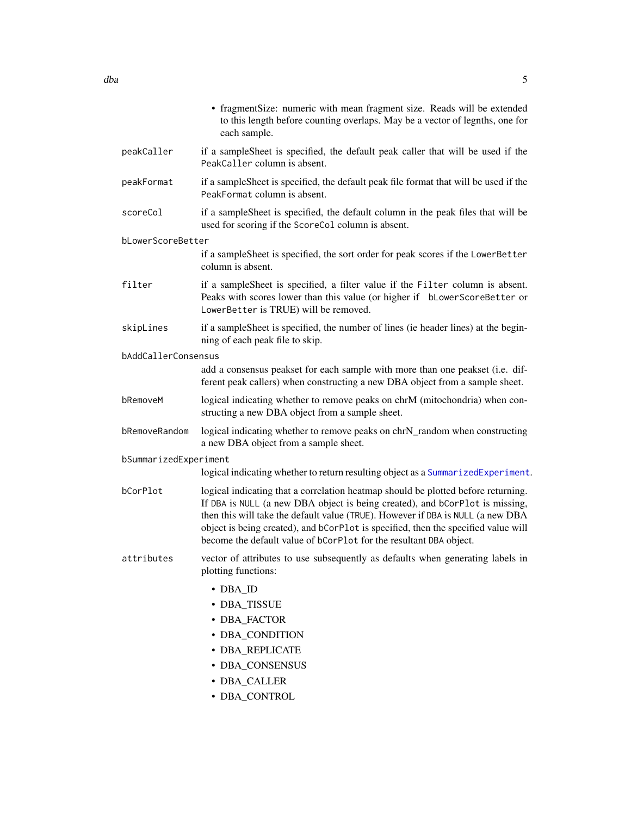• fragmentSize: numeric with mean fragment size. Reads will be extended to this length before counting overlaps. May be a vector of legnths, one for each sample. peakCaller if a sampleSheet is specified, the default peak caller that will be used if the PeakCaller column is absent. peakFormat if a sampleSheet is specified, the default peak file format that will be used if the PeakFormat column is absent. scoreCol if a sampleSheet is specified, the default column in the peak files that will be used for scoring if the ScoreCol column is absent. bLowerScoreBetter if a sampleSheet is specified, the sort order for peak scores if the LowerBetter column is absent. filter if a sampleSheet is specified, a filter value if the Filter column is absent. Peaks with scores lower than this value (or higher if bLowerScoreBetter or LowerBetter is TRUE) will be removed. skipLines if a sampleSheet is specified, the number of lines (ie header lines) at the beginning of each peak file to skip. bAddCallerConsensus add a consensus peakset for each sample with more than one peakset (i.e. different peak callers) when constructing a new DBA object from a sample sheet. bRemoveM logical indicating whether to remove peaks on chrM (mitochondria) when constructing a new DBA object from a sample sheet. bRemoveRandom logical indicating whether to remove peaks on chrN\_random when constructing a new DBA object from a sample sheet. bSummarizedExperiment logical indicating whether to return resulting object as a [SummarizedExperiment](#page-0-0). bCorPlot logical indicating that a correlation heatmap should be plotted before returning. If DBA is NULL (a new DBA object is being created), and bCorPlot is missing, then this will take the default value (TRUE). However if DBA is NULL (a new DBA object is being created), and bCorPlot is specified, then the specified value will become the default value of bCorPlot for the resultant DBA object. attributes vector of attributes to use subsequently as defaults when generating labels in plotting functions: • DBA\_ID • DBA\_TISSUE • DBA\_FACTOR • DBA\_CONDITION • DBA\_REPLICATE • DBA\_CONSENSUS • DBA\_CALLER • DBA\_CONTROL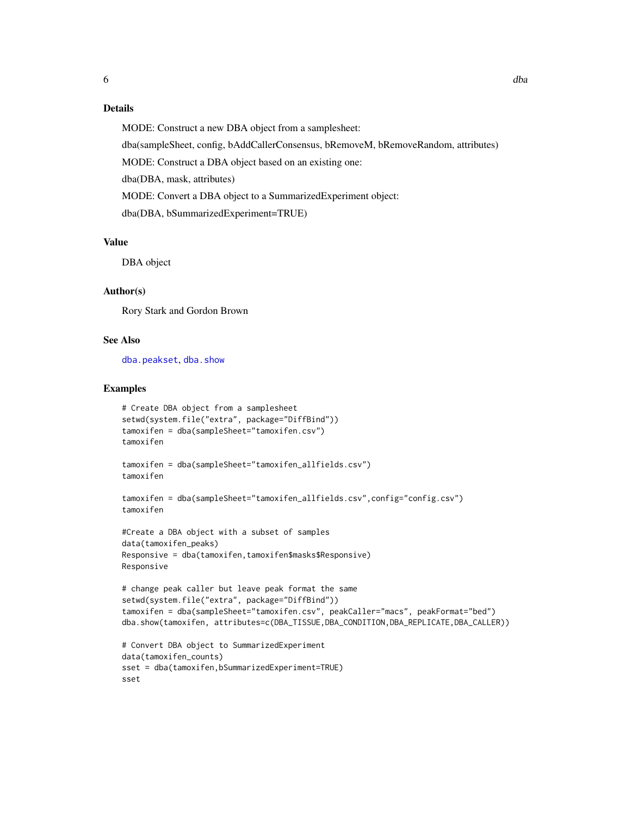### Details

MODE: Construct a new DBA object from a samplesheet:

dba(sampleSheet, config, bAddCallerConsensus, bRemoveM, bRemoveRandom, attributes)

MODE: Construct a DBA object based on an existing one:

dba(DBA, mask, attributes)

MODE: Convert a DBA object to a SummarizedExperiment object:

dba(DBA, bSummarizedExperiment=TRUE)

### Value

DBA object

### Author(s)

Rory Stark and Gordon Brown

#### See Also

[dba.peakset](#page-22-1), [dba.show](#page-45-1)

```
# Create DBA object from a samplesheet
setwd(system.file("extra", package="DiffBind"))
tamoxifen = dba(sampleSheet="tamoxifen.csv")
tamoxifen
tamoxifen = dba(sampleSheet="tamoxifen_allfields.csv")
tamoxifen
tamoxifen = dba(sampleSheet="tamoxifen_allfields.csv",config="config.csv")
tamoxifen
#Create a DBA object with a subset of samples
data(tamoxifen_peaks)
Responsive = dba(tamoxifen,tamoxifen$masks$Responsive)
Responsive
# change peak caller but leave peak format the same
setwd(system.file("extra", package="DiffBind"))
tamoxifen = dba(sampleSheet="tamoxifen.csv", peakCaller="macs", peakFormat="bed")
dba.show(tamoxifen, attributes=c(DBA_TISSUE,DBA_CONDITION,DBA_REPLICATE,DBA_CALLER))
# Convert DBA object to SummarizedExperiment
data(tamoxifen_counts)
sset = dba(tamoxifen,bSummarizedExperiment=TRUE)
sset
```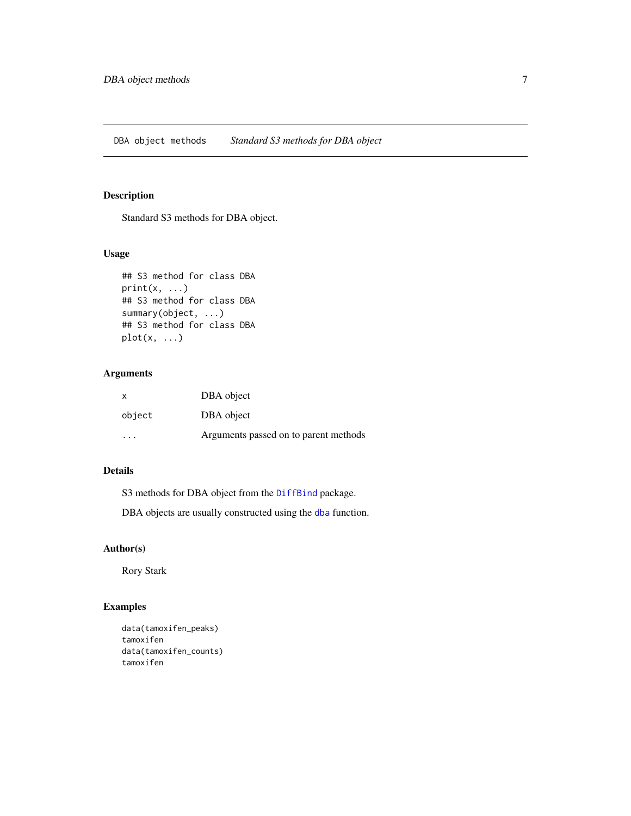### <span id="page-6-0"></span>Description

Standard S3 methods for DBA object.

### Usage

```
## S3 method for class DBA
print(x, \ldots)## S3 method for class DBA
summary(object, ...)
## S3 method for class DBA
plot(x, \ldots)
```
### Arguments

| X         | DBA object                            |
|-----------|---------------------------------------|
| object    | DBA object                            |
| $\ddotsc$ | Arguments passed on to parent methods |

### Details

S3 methods for DBA object from the [DiffBind](#page-1-1) package.

DBA objects are usually constructed using the [dba](#page-2-1) function.

#### Author(s)

Rory Stark

```
data(tamoxifen_peaks)
tamoxifen
data(tamoxifen_counts)
tamoxifen
```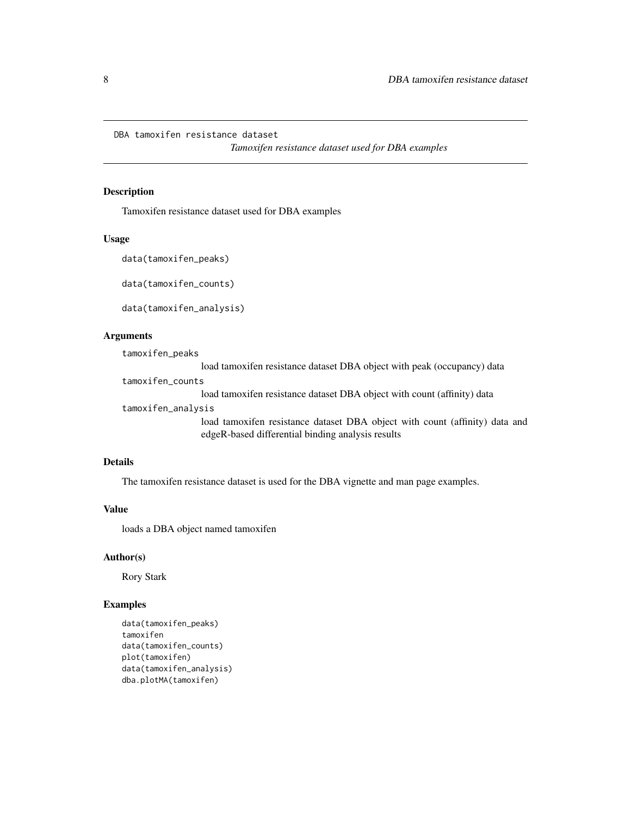<span id="page-7-0"></span>DBA tamoxifen resistance dataset

*Tamoxifen resistance dataset used for DBA examples*

#### Description

Tamoxifen resistance dataset used for DBA examples

#### Usage

```
data(tamoxifen_peaks)
```
data(tamoxifen\_counts)

data(tamoxifen\_analysis)

### Arguments

tamoxifen\_peaks

load tamoxifen resistance dataset DBA object with peak (occupancy) data

tamoxifen\_counts

load tamoxifen resistance dataset DBA object with count (affinity) data

### tamoxifen\_analysis

load tamoxifen resistance dataset DBA object with count (affinity) data and edgeR-based differential binding analysis results

#### Details

The tamoxifen resistance dataset is used for the DBA vignette and man page examples.

### Value

loads a DBA object named tamoxifen

#### Author(s)

Rory Stark

```
data(tamoxifen_peaks)
tamoxifen
data(tamoxifen_counts)
plot(tamoxifen)
data(tamoxifen_analysis)
dba.plotMA(tamoxifen)
```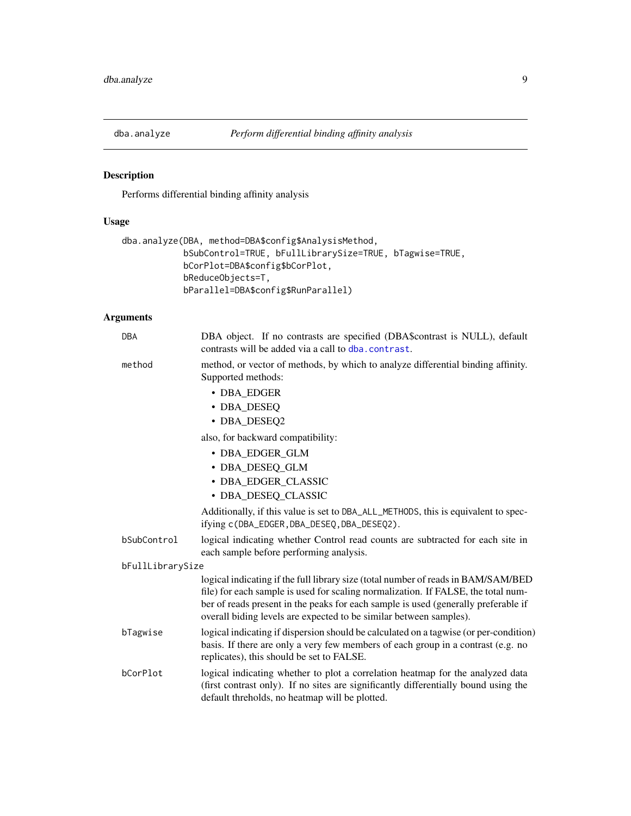<span id="page-8-1"></span><span id="page-8-0"></span>

### Description

Performs differential binding affinity analysis

### Usage

```
dba.analyze(DBA, method=DBA$config$AnalysisMethod,
            bSubControl=TRUE, bFullLibrarySize=TRUE, bTagwise=TRUE,
            bCorPlot=DBA$config$bCorPlot,
            bReduceObjects=T,
            bParallel=DBA$config$RunParallel)
```

| DBA              | DBA object. If no contrasts are specified (DBA\$contrast is NULL), default<br>contrasts will be added via a call to dba. contrast.                                                                                                                                                                                                 |
|------------------|------------------------------------------------------------------------------------------------------------------------------------------------------------------------------------------------------------------------------------------------------------------------------------------------------------------------------------|
| method           | method, or vector of methods, by which to analyze differential binding affinity.<br>Supported methods:                                                                                                                                                                                                                             |
|                  | • DBA_EDGER                                                                                                                                                                                                                                                                                                                        |
|                  | • DBA_DESEQ                                                                                                                                                                                                                                                                                                                        |
|                  | • DBA_DESEQ2                                                                                                                                                                                                                                                                                                                       |
|                  | also, for backward compatibility:                                                                                                                                                                                                                                                                                                  |
|                  | • DBA_EDGER_GLM                                                                                                                                                                                                                                                                                                                    |
|                  | • DBA_DESEQ_GLM                                                                                                                                                                                                                                                                                                                    |
|                  | · DBA EDGER CLASSIC                                                                                                                                                                                                                                                                                                                |
|                  | • DBA DESEQ CLASSIC                                                                                                                                                                                                                                                                                                                |
|                  | Additionally, if this value is set to DBA_ALL_METHODS, this is equivalent to spec-<br>ifying c(DBA_EDGER, DBA_DESEQ, DBA_DESEQ2).                                                                                                                                                                                                  |
| bSubControl      | logical indicating whether Control read counts are subtracted for each site in<br>each sample before performing analysis.                                                                                                                                                                                                          |
| bFullLibrarySize |                                                                                                                                                                                                                                                                                                                                    |
|                  | logical indicating if the full library size (total number of reads in BAM/SAM/BED<br>file) for each sample is used for scaling normalization. If FALSE, the total num-<br>ber of reads present in the peaks for each sample is used (generally preferable if<br>overall biding levels are expected to be similar between samples). |
| bTagwise         | logical indicating if dispersion should be calculated on a tagwise (or per-condition)<br>basis. If there are only a very few members of each group in a contrast (e.g. no<br>replicates), this should be set to FALSE.                                                                                                             |
| bCorPlot         | logical indicating whether to plot a correlation heatmap for the analyzed data<br>(first contrast only). If no sites are significantly differentially bound using the<br>default threholds, no heatmap will be plotted.                                                                                                            |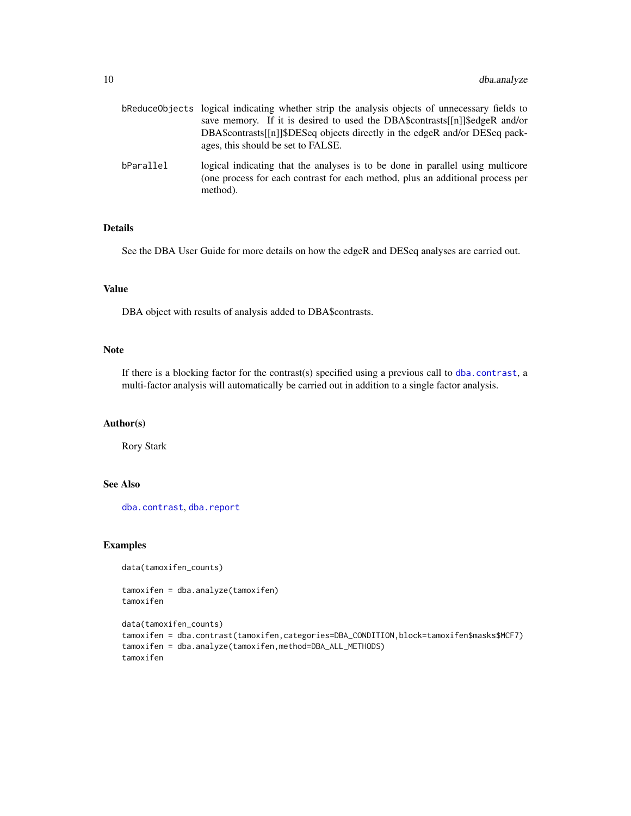|           | bReduceObjects logical indicating whether strip the analysis objects of unnecessary fields to<br>save memory. If it is desired to used the DBA\$contrasts[[n]]\$edgeR and/or<br>DBA\$ contrasts [[n] [\$DESeq objects directly in the edgeR and/or DESeq pack-<br>ages, this should be set to FALSE. |
|-----------|------------------------------------------------------------------------------------------------------------------------------------------------------------------------------------------------------------------------------------------------------------------------------------------------------|
| bParallel | logical indicating that the analyses is to be done in parallel using multicore<br>(one process for each contrast for each method, plus an additional process per<br>method).                                                                                                                         |

### Details

See the DBA User Guide for more details on how the edgeR and DESeq analyses are carried out.

#### Value

DBA object with results of analysis added to DBA\$contrasts.

#### Note

If there is a blocking factor for the contrast(s) specified using a previous call to [dba.contrast](#page-10-1), a multi-factor analysis will automatically be carried out in addition to a single factor analysis.

#### Author(s)

Rory Stark

#### See Also

[dba.contrast](#page-10-1), [dba.report](#page-41-1)

#### Examples

```
data(tamoxifen_counts)
```
tamoxifen = dba.analyze(tamoxifen) tamoxifen

```
data(tamoxifen_counts)
tamoxifen = dba.contrast(tamoxifen,categories=DBA_CONDITION,block=tamoxifen$masks$MCF7)
tamoxifen = dba.analyze(tamoxifen,method=DBA_ALL_METHODS)
tamoxifen
```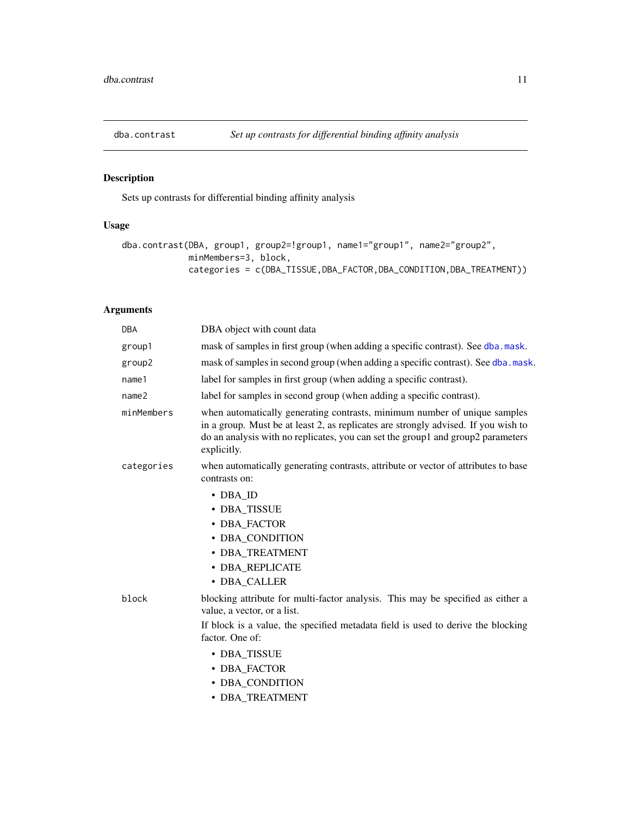<span id="page-10-1"></span><span id="page-10-0"></span>

### Description

Sets up contrasts for differential binding affinity analysis

### Usage

```
dba.contrast(DBA, group1, group2=!group1, name1="group1", name2="group2",
            minMembers=3, block,
             categories = c(DBA_TISSUE,DBA_FACTOR,DBA_CONDITION,DBA_TREATMENT))
```

| <b>DBA</b>                                                                                                                                                                                                                                                                      | DBA object with count data                                                                                                                                                                                                                                                                  |
|---------------------------------------------------------------------------------------------------------------------------------------------------------------------------------------------------------------------------------------------------------------------------------|---------------------------------------------------------------------------------------------------------------------------------------------------------------------------------------------------------------------------------------------------------------------------------------------|
| group1                                                                                                                                                                                                                                                                          | mask of samples in first group (when adding a specific contrast). See dba.mask.                                                                                                                                                                                                             |
| group2                                                                                                                                                                                                                                                                          | mask of samples in second group (when adding a specific contrast). See dba.mask.                                                                                                                                                                                                            |
| name1                                                                                                                                                                                                                                                                           | label for samples in first group (when adding a specific contrast).                                                                                                                                                                                                                         |
| name <sub>2</sub>                                                                                                                                                                                                                                                               | label for samples in second group (when adding a specific contrast).                                                                                                                                                                                                                        |
| minMembers<br>when automatically generating contrasts, minimum number of unique samples<br>in a group. Must be at least 2, as replicates are strongly advised. If you wish to<br>do an analysis with no replicates, you can set the group1 and group2 parameters<br>explicitly. |                                                                                                                                                                                                                                                                                             |
| categories                                                                                                                                                                                                                                                                      | when automatically generating contrasts, attribute or vector of attributes to base<br>contrasts on:                                                                                                                                                                                         |
|                                                                                                                                                                                                                                                                                 | • DBA ID<br>• DBA_TISSUE<br>• DBA_FACTOR<br>• DBA CONDITION<br>· DBA TREATMENT<br>· DBA REPLICATE<br>· DBA CALLER                                                                                                                                                                           |
| block                                                                                                                                                                                                                                                                           | blocking attribute for multi-factor analysis. This may be specified as either a<br>value, a vector, or a list.<br>If block is a value, the specified metadata field is used to derive the blocking<br>factor. One of:<br>• DBA TISSUE<br>• DBA_FACTOR<br>• DBA CONDITION<br>· DBA TREATMENT |
|                                                                                                                                                                                                                                                                                 |                                                                                                                                                                                                                                                                                             |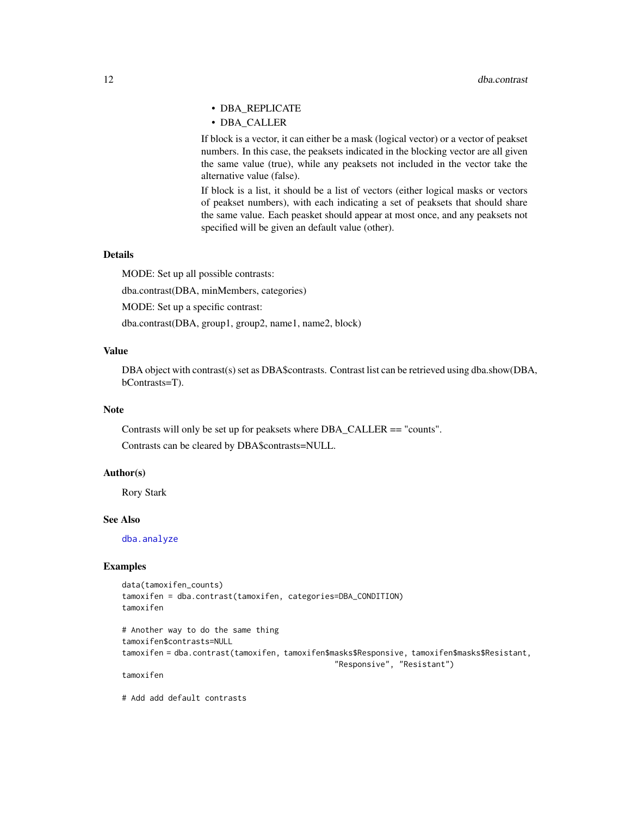- DBA\_REPLICATE
- DBA\_CALLER

If block is a vector, it can either be a mask (logical vector) or a vector of peakset numbers. In this case, the peaksets indicated in the blocking vector are all given the same value (true), while any peaksets not included in the vector take the alternative value (false).

If block is a list, it should be a list of vectors (either logical masks or vectors of peakset numbers), with each indicating a set of peaksets that should share the same value. Each peasket should appear at most once, and any peaksets not specified will be given an default value (other).

### Details

MODE: Set up all possible contrasts: dba.contrast(DBA, minMembers, categories) MODE: Set up a specific contrast: dba.contrast(DBA, group1, group2, name1, name2, block)

#### Value

DBA object with contrast(s) set as DBA\$contrasts. Contrast list can be retrieved using dba.show(DBA, bContrasts=T).

#### Note

Contrasts will only be set up for peaksets where DBA\_CALLER == "counts". Contrasts can be cleared by DBA\$contrasts=NULL.

#### Author(s)

Rory Stark

#### See Also

[dba.analyze](#page-8-1)

### Examples

```
data(tamoxifen_counts)
tamoxifen = dba.contrast(tamoxifen, categories=DBA_CONDITION)
tamoxifen
```
# Another way to do the same thing tamoxifen\$contrasts=NULL tamoxifen = dba.contrast(tamoxifen, tamoxifen\$masks\$Responsive, tamoxifen\$masks\$Resistant, "Responsive", "Resistant")

tamoxifen

# Add add default contrasts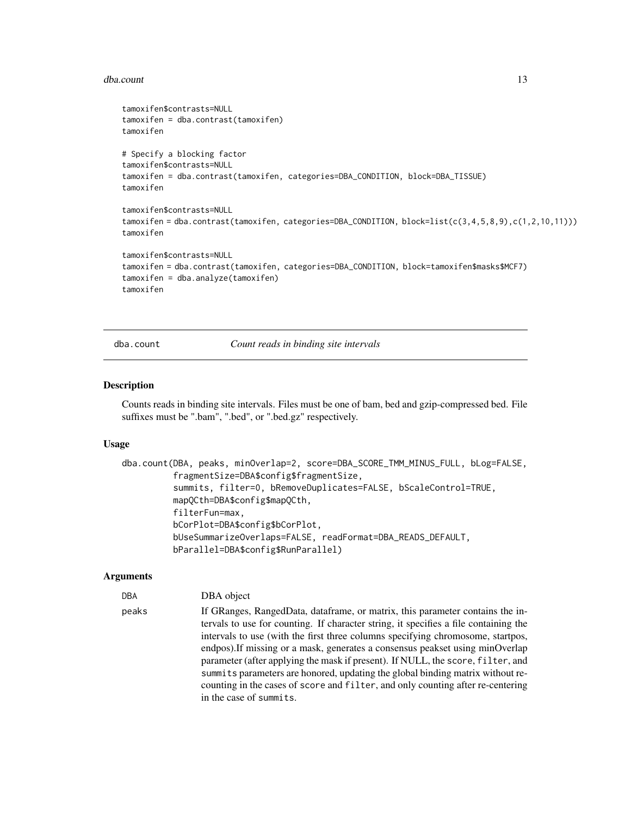#### <span id="page-12-0"></span>dba.count 13

```
tamoxifen$contrasts=NULL
tamoxifen = dba.contrast(tamoxifen)
tamoxifen
# Specify a blocking factor
tamoxifen$contrasts=NULL
tamoxifen = dba.contrast(tamoxifen, categories=DBA_CONDITION, block=DBA_TISSUE)
tamoxifen
tamoxifen$contrasts=NULL
tamoxifen = dba.contrast(tamoxifen, categories=DBA_CONDITION, block=list(c(3,4,5,8,9),c(1,2,10,11)))
tamoxifen
tamoxifen$contrasts=NULL
tamoxifen = dba.contrast(tamoxifen, categories=DBA_CONDITION, block=tamoxifen$masks$MCF7)
tamoxifen = dba.analyze(tamoxifen)
tamoxifen
```
dba.count *Count reads in binding site intervals*

#### Description

Counts reads in binding site intervals. Files must be one of bam, bed and gzip-compressed bed. File suffixes must be ".bam", ".bed", or ".bed.gz" respectively.

#### Usage

```
dba.count(DBA, peaks, minOverlap=2, score=DBA_SCORE_TMM_MINUS_FULL, bLog=FALSE,
          fragmentSize=DBA$config$fragmentSize,
          summits, filter=0, bRemoveDuplicates=FALSE, bScaleControl=TRUE,
          mapQCth=DBA$config$mapQCth,
          filterFun=max,
          bCorPlot=DBA$config$bCorPlot,
          bUseSummarizeOverlaps=FALSE, readFormat=DBA_READS_DEFAULT,
          bParallel=DBA$config$RunParallel)
```
#### **Arguments**

```
DBA DBA object
```
peaks If GRanges, RangedData, dataframe, or matrix, this parameter contains the intervals to use for counting. If character string, it specifies a file containing the intervals to use (with the first three columns specifying chromosome, startpos, endpos).If missing or a mask, generates a consensus peakset using minOverlap parameter (after applying the mask if present). If NULL, the score, filter, and summits parameters are honored, updating the global binding matrix without recounting in the cases of score and filter, and only counting after re-centering in the case of summits.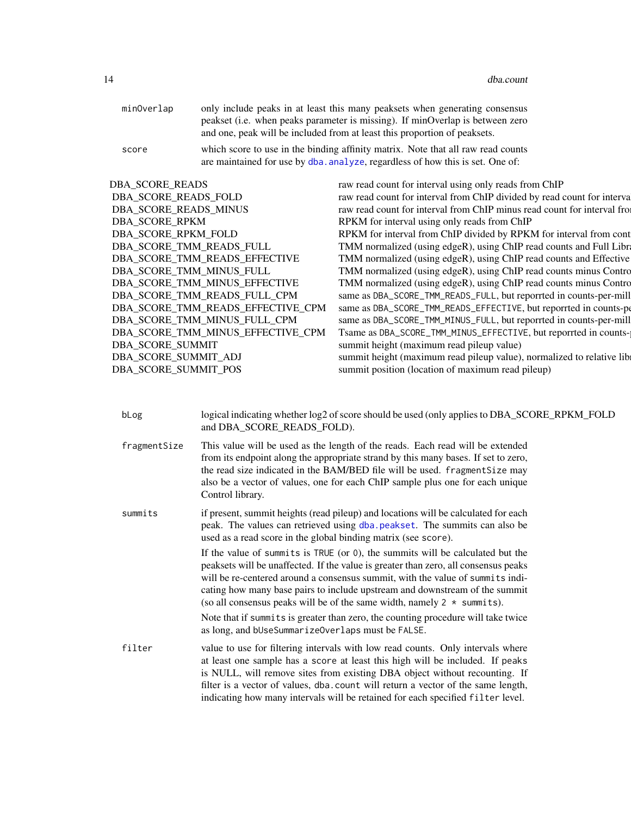| minOverlap | only include peaks in at least this many peaksets when generating consensus                                                                                        |
|------------|--------------------------------------------------------------------------------------------------------------------------------------------------------------------|
|            | peakset (i.e. when peaks parameter is missing). If minOverlap is between zero                                                                                      |
|            | and one, peak will be included from at least this proportion of peaksets.                                                                                          |
| score      | which score to use in the binding affinity matrix. Note that all raw read counts<br>are maintained for use by dba, analyze, regardless of how this is set. One of: |

| DBA_SCORE_READS                   | raw read count for interval using only reads from ChIP                   |
|-----------------------------------|--------------------------------------------------------------------------|
| DBA_SCORE_READS_FOLD              | raw read count for interval from ChIP divided by read count for interva  |
| DBA SCORE READS MINUS             | raw read count for interval from ChIP minus read count for interval from |
| <b>DBA SCORE RPKM</b>             | RPKM for interval using only reads from ChIP                             |
| DBA_SCORE_RPKM_FOLD               | RPKM for interval from ChIP divided by RPKM for interval from cont       |
| DBA SCORE TMM READS FULL          | TMM normalized (using edgeR), using ChIP read counts and Full Library    |
| DBA_SCORE_TMM_READS_EFFECTIVE     | TMM normalized (using edgeR), using ChIP read counts and Effective       |
| DBA_SCORE_TMM_MINUS_FULL          | TMM normalized (using edgeR), using ChIP read counts minus Contro        |
| DBA_SCORE_TMM_MINUS_EFFECTIVE     | TMM normalized (using edgeR), using ChIP read counts minus Contro        |
| DBA SCORE TMM READS FULL CPM      | same as DBA_SCORE_TMM_READS_FULL, but reporrted in counts-per-mill       |
| DBA_SCORE_TMM_READS_EFFECTIVE_CPM | same as DBA_SCORE_TMM_READS_EFFECTIVE, but reporrted in counts-pe        |
| DBA SCORE TMM MINUS FULL CPM      | same as DBA_SCORE_TMM_MINUS_FULL, but reporrted in counts-per-mill       |
| DBA_SCORE_TMM_MINUS_EFFECTIVE_CPM | Tsame as DBA_SCORE_TMM_MINUS_EFFECTIVE, but reporrted in counts-         |
| DBA_SCORE_SUMMIT                  | summit height (maximum read pileup value)                                |
| DBA_SCORE_SUMMIT_ADJ              | summit height (maximum read pileup value), normalized to relative lib    |
| DBA_SCORE_SUMMIT_POS              | summit position (location of maximum read pileup)                        |
|                                   |                                                                          |

| bLog | logical indicating whether log2 of score should be used (only applies to DBA_SCORE_RPKM_FOLD |
|------|----------------------------------------------------------------------------------------------|
|      | and DBA SCORE READS FOLD).                                                                   |

fragmentSize This value will be used as the length of the reads. Each read will be extended from its endpoint along the appropriate strand by this many bases. If set to zero, the read size indicated in the BAM/BED file will be used. fragmentSize may also be a vector of values, one for each ChIP sample plus one for each unique Control library.

summits if present, summit heights (read pileup) and locations will be calculated for each peak. The values can retrieved using [dba.peakset](#page-22-1). The summits can also be used as a read score in the global binding matrix (see score).

> If the value of summits is TRUE (or 0), the summits will be calculated but the peaksets will be unaffected. If the value is greater than zero, all consensus peaks will be re-centered around a consensus summit, with the value of summits indicating how many base pairs to include upstream and downstream of the summit (so all consensus peaks will be of the same width, namely  $2 *$  summits).

Note that if summits is greater than zero, the counting procedure will take twice as long, and bUseSummarizeOverlaps must be FALSE.

filter value to use for filtering intervals with low read counts. Only intervals where at least one sample has a score at least this high will be included. If peaks is NULL, will remove sites from existing DBA object without recounting. If filter is a vector of values, dba.count will return a vector of the same length, indicating how many intervals will be retained for each specified filter level.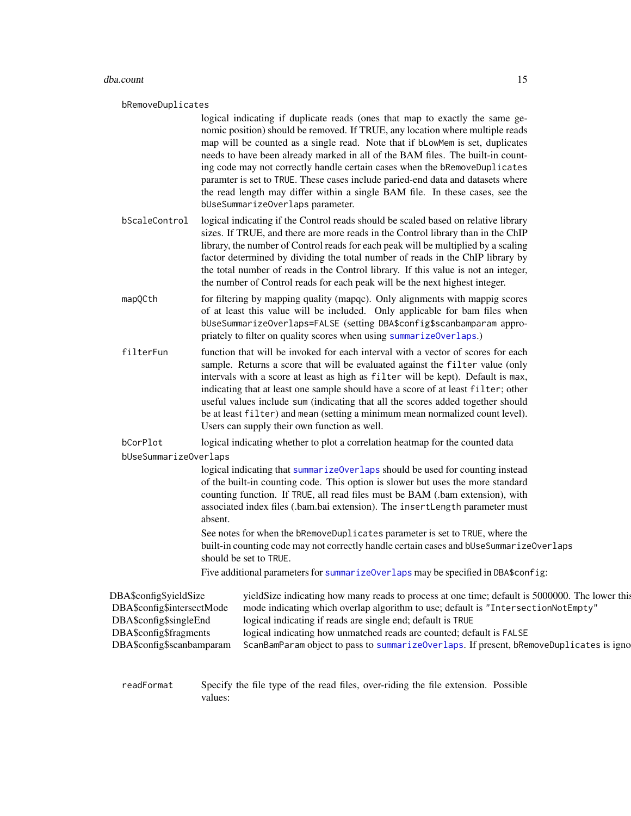#### dba.count 15

#### bRemoveDuplicates

logical indicating if duplicate reads (ones that map to exactly the same genomic position) should be removed. If TRUE, any location where multiple reads map will be counted as a single read. Note that if bLowMem is set, duplicates needs to have been already marked in all of the BAM files. The built-in counting code may not correctly handle certain cases when the bRemoveDuplicates paramter is set to TRUE. These cases include paried-end data and datasets where the read length may differ within a single BAM file. In these cases, see the bUseSummarizeOverlaps parameter.

- bScaleControl logical indicating if the Control reads should be scaled based on relative library sizes. If TRUE, and there are more reads in the Control library than in the ChIP library, the number of Control reads for each peak will be multiplied by a scaling factor determined by dividing the total number of reads in the ChIP library by the total number of reads in the Control library. If this value is not an integer, the number of Control reads for each peak will be the next highest integer.
- mapQCth for filtering by mapping quality (mapqc). Only alignments with mappig scores of at least this value will be included. Only applicable for bam files when bUseSummarizeOverlaps=FALSE (setting DBA\$config\$scanbamparam appropriately to filter on quality scores when using [summarizeOverlaps](#page-0-0).)
- filterFun function that will be invoked for each interval with a vector of scores for each sample. Returns a score that will be evaluated against the filter value (only intervals with a score at least as high as filter will be kept). Default is max, indicating that at least one sample should have a score of at least filter; other useful values include sum (indicating that all the scores added together should be at least filter) and mean (setting a minimum mean normalized count level). Users can supply their own function as well.

bCorPlot logical indicating whether to plot a correlation heatmap for the counted data

bUseSummarizeOverlaps

logical indicating that [summarizeOverlaps](#page-0-0) should be used for counting instead of the built-in counting code. This option is slower but uses the more standard counting function. If TRUE, all read files must be BAM (.bam extension), with associated index files (.bam.bai extension). The insertLength parameter must absent.

See notes for when the bRemoveDuplicates parameter is set to TRUE, where the built-in counting code may not correctly handle certain cases and bUseSummarizeOverlaps should be set to TRUE.

Five additional parameters for [summarizeOverlaps](#page-0-0) may be specified in DBA\$config:

| DBA\$config\$yieldSize     | yieldSize indicating how many reads to process at one time; default is 5000000. The lower this |
|----------------------------|------------------------------------------------------------------------------------------------|
| DBA\$config\$intersectMode | mode indicating which overlap algorithm to use; default is "IntersectionNotEmpty"              |
| DBA\$config\$singleEnd     | logical indicating if reads are single end; default is TRUE                                    |
| DBA\$config\$fragments     | logical indicating how unmatched reads are counted; default is FALSE                           |
| DBA\$config\$scanbamparam  | ScanBamParam object to pass to summarizeOverlaps. If present, bRemoveDuplicates is igno        |
|                            |                                                                                                |

readFormat Specify the file type of the read files, over-riding the file extension. Possible values: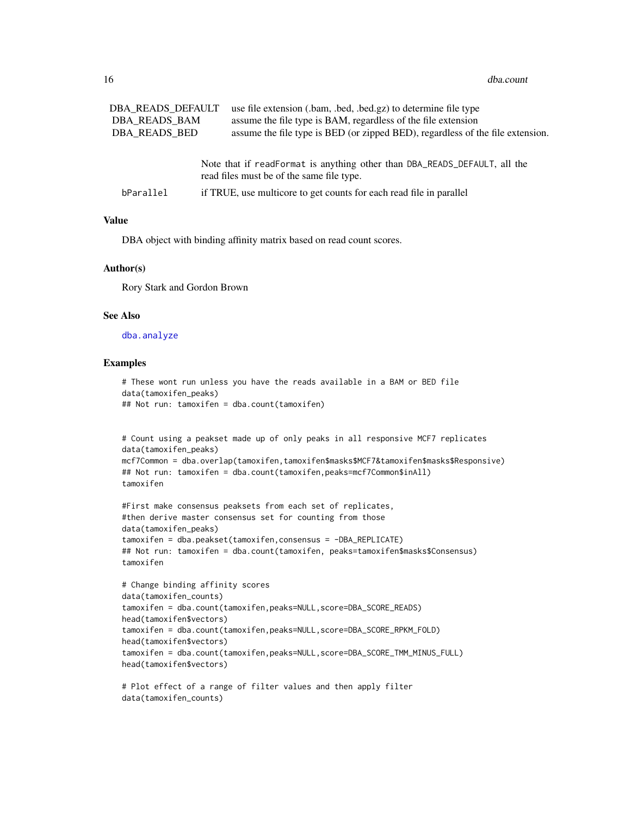| DBA READS DEFAULT | use file extension (.bam, .bed, .bed.gz) to determine file type                                                        |
|-------------------|------------------------------------------------------------------------------------------------------------------------|
| DBA READS BAM     | assume the file type is BAM, regardless of the file extension                                                          |
| DBA READS BED     | assume the file type is BED (or zipped BED), regardless of the file extension.                                         |
|                   | Note that if readFormat is anything other than DBA_READS_DEFAULT, all the<br>read files must be of the same file type. |

| bParallel | if TRUE, use multicore to get counts for each read file in parallel |  |  |
|-----------|---------------------------------------------------------------------|--|--|
|-----------|---------------------------------------------------------------------|--|--|

#### Value

DBA object with binding affinity matrix based on read count scores.

#### Author(s)

Rory Stark and Gordon Brown

#### See Also

[dba.analyze](#page-8-1)

```
# These wont run unless you have the reads available in a BAM or BED file
data(tamoxifen_peaks)
## Not run: tamoxifen = dba.count(tamoxifen)
```

```
# Count using a peakset made up of only peaks in all responsive MCF7 replicates
data(tamoxifen_peaks)
mcf7Common = dba.overlap(tamoxifen,tamoxifen$masks$MCF7&tamoxifen$masks$Responsive)
## Not run: tamoxifen = dba.count(tamoxifen,peaks=mcf7Common$inAll)
tamoxifen
```

```
#First make consensus peaksets from each set of replicates,
#then derive master consensus set for counting from those
data(tamoxifen_peaks)
tamoxifen = dba.peakset(tamoxifen,consensus = -DBA_REPLICATE)
## Not run: tamoxifen = dba.count(tamoxifen, peaks=tamoxifen$masks$Consensus)
tamoxifen
```

```
# Change binding affinity scores
data(tamoxifen_counts)
tamoxifen = dba.count(tamoxifen,peaks=NULL,score=DBA_SCORE_READS)
head(tamoxifen$vectors)
tamoxifen = dba.count(tamoxifen,peaks=NULL,score=DBA_SCORE_RPKM_FOLD)
head(tamoxifen$vectors)
tamoxifen = dba.count(tamoxifen,peaks=NULL,score=DBA_SCORE_TMM_MINUS_FULL)
head(tamoxifen$vectors)
```

```
# Plot effect of a range of filter values and then apply filter
data(tamoxifen_counts)
```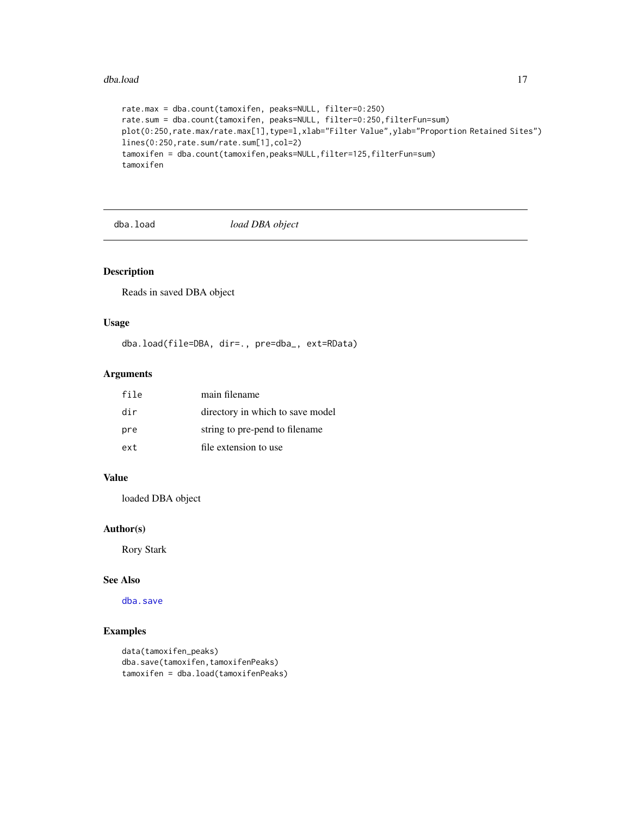#### <span id="page-16-0"></span>dba.load 17

```
rate.max = dba.count(tamoxifen, peaks=NULL, filter=0:250)
rate.sum = dba.count(tamoxifen, peaks=NULL, filter=0:250,filterFun=sum)
plot(0:250,rate.max/rate.max[1],type=l,xlab="Filter Value",ylab="Proportion Retained Sites")
lines(0:250,rate.sum/rate.sum[1],col=2)
tamoxifen = dba.count(tamoxifen,peaks=NULL,filter=125,filterFun=sum)
tamoxifen
```
<span id="page-16-1"></span>dba.load *load DBA object*

### Description

Reads in saved DBA object

### Usage

dba.load(file=DBA, dir=., pre=dba\_, ext=RData)

### Arguments

| file | main filename                    |
|------|----------------------------------|
| dir  | directory in which to save model |
| pre  | string to pre-pend to filename   |
| ext  | file extension to use            |

### Value

loaded DBA object

### Author(s)

Rory Stark

#### See Also

[dba.save](#page-44-1)

```
data(tamoxifen_peaks)
dba.save(tamoxifen,tamoxifenPeaks)
tamoxifen = dba.load(tamoxifenPeaks)
```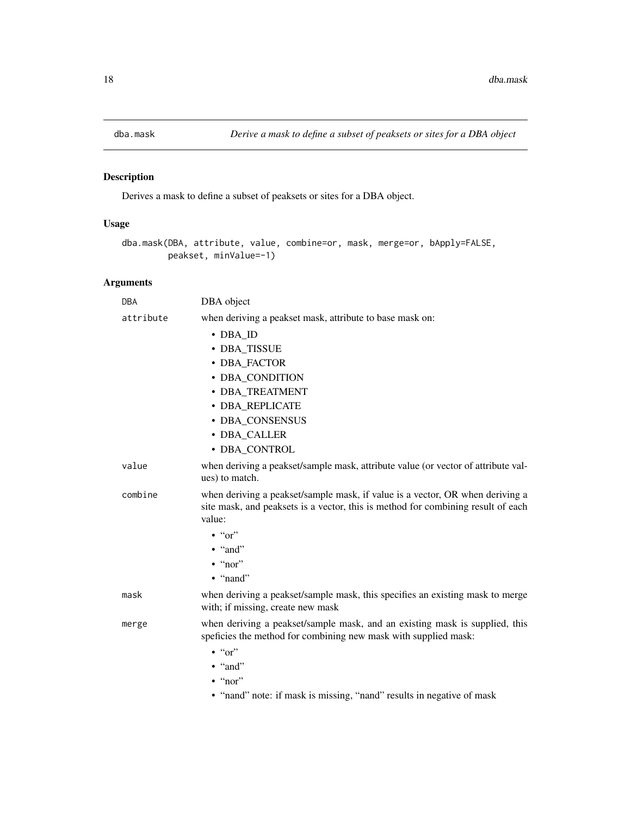<span id="page-17-1"></span><span id="page-17-0"></span>

### Description

Derives a mask to define a subset of peaksets or sites for a DBA object.

### Usage

```
dba.mask(DBA, attribute, value, combine=or, mask, merge=or, bApply=FALSE,
        peakset, minValue=-1)
```

| <b>DBA</b> | DBA object                                                                                                                                                                  |
|------------|-----------------------------------------------------------------------------------------------------------------------------------------------------------------------------|
| attribute  | when deriving a peakset mask, attribute to base mask on:                                                                                                                    |
|            | • DBA ID                                                                                                                                                                    |
|            | • DBA_TISSUE                                                                                                                                                                |
|            | • DBA_FACTOR                                                                                                                                                                |
|            | • DBA_CONDITION                                                                                                                                                             |
|            | · DBA TREATMENT                                                                                                                                                             |
|            | • DBA REPLICATE                                                                                                                                                             |
|            | · DBA_CONSENSUS                                                                                                                                                             |
|            | • DBA CALLER                                                                                                                                                                |
|            | · DBA CONTROL                                                                                                                                                               |
| value      | when deriving a peakset/sample mask, attribute value (or vector of attribute val-<br>ues) to match.                                                                         |
| combine    | when deriving a peakset/sample mask, if value is a vector, OR when deriving a<br>site mask, and peaksets is a vector, this is method for combining result of each<br>value: |
|            | $\cdot$ "or"                                                                                                                                                                |
|            | $\bullet$ "and"                                                                                                                                                             |
|            | $\cdot$ "nor"                                                                                                                                                               |
|            | $\bullet$ "nand"                                                                                                                                                            |
| mask       | when deriving a peakset/sample mask, this specifies an existing mask to merge<br>with; if missing, create new mask                                                          |
| merge      | when deriving a peakset/sample mask, and an existing mask is supplied, this<br>speficies the method for combining new mask with supplied mask:<br>$\cdot$ " $\circ$ "       |
|            | $\bullet$ "and"                                                                                                                                                             |
|            | $\cdot$ "nor"                                                                                                                                                               |
|            | • "nand" note: if mask is missing, "nand" results in negative of mask                                                                                                       |
|            |                                                                                                                                                                             |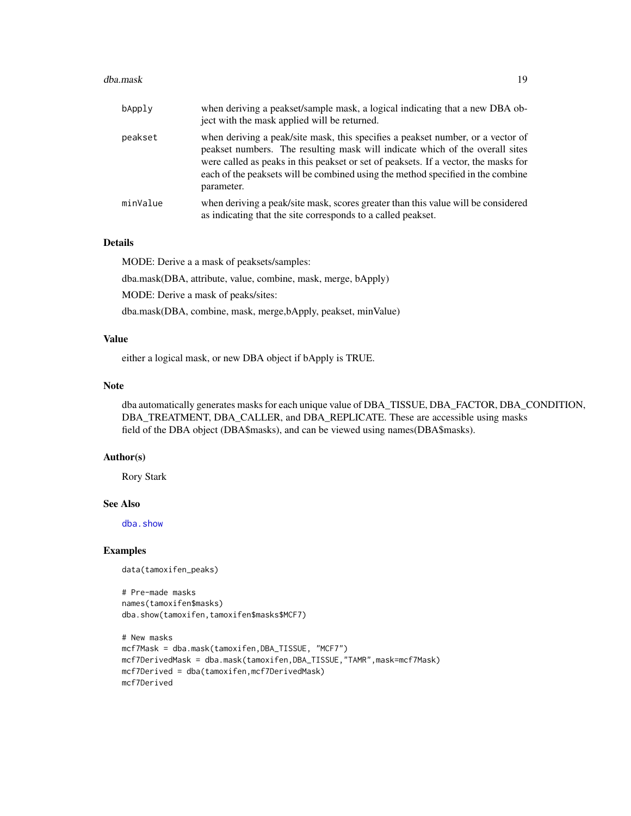#### dba.mask 19

| bApply   | when deriving a peakset/sample mask, a logical indicating that a new DBA ob-<br>ject with the mask applied will be returned.                                                                                                                                                                                                                            |
|----------|---------------------------------------------------------------------------------------------------------------------------------------------------------------------------------------------------------------------------------------------------------------------------------------------------------------------------------------------------------|
| peakset  | when deriving a peak/site mask, this specifies a peakset number, or a vector of<br>peakset numbers. The resulting mask will indicate which of the overall sites<br>were called as peaks in this peakset or set of peaksets. If a vector, the masks for<br>each of the peaksets will be combined using the method specified in the combine<br>parameter. |
| minValue | when deriving a peak/site mask, scores greater than this value will be considered<br>as indicating that the site corresponds to a called peakset.                                                                                                                                                                                                       |

### Details

MODE: Derive a a mask of peaksets/samples:

dba.mask(DBA, attribute, value, combine, mask, merge, bApply)

MODE: Derive a mask of peaks/sites:

dba.mask(DBA, combine, mask, merge,bApply, peakset, minValue)

### Value

either a logical mask, or new DBA object if bApply is TRUE.

#### Note

dba automatically generates masks for each unique value of DBA\_TISSUE, DBA\_FACTOR, DBA\_CONDITION, DBA\_TREATMENT, DBA\_CALLER, and DBA\_REPLICATE. These are accessible using masks field of the DBA object (DBA\$masks), and can be viewed using names(DBA\$masks).

#### Author(s)

Rory Stark

### See Also

[dba.show](#page-45-1)

#### Examples

data(tamoxifen\_peaks)

```
# Pre-made masks
names(tamoxifen$masks)
dba.show(tamoxifen,tamoxifen$masks$MCF7)
```

```
# New masks
mcf7Mask = dba.mask(tamoxifen,DBA_TISSUE, "MCF7")
mcf7DerivedMask = dba.mask(tamoxifen,DBA_TISSUE,"TAMR",mask=mcf7Mask)
mcf7Derived = dba(tamoxifen,mcf7DerivedMask)
mcf7Derived
```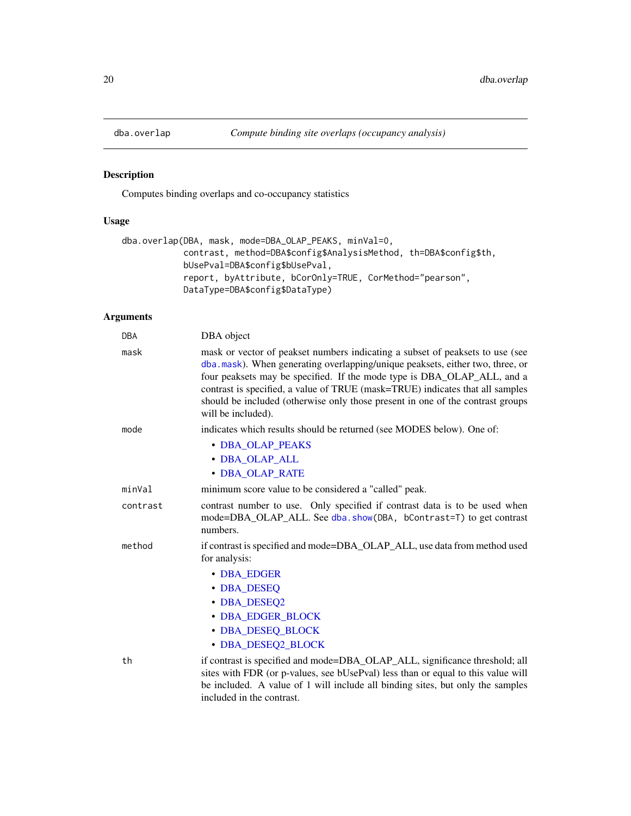<span id="page-19-1"></span><span id="page-19-0"></span>

### Description

Computes binding overlaps and co-occupancy statistics

### Usage

```
dba.overlap(DBA, mask, mode=DBA_OLAP_PEAKS, minVal=0,
            contrast, method=DBA$config$AnalysisMethod, th=DBA$config$th,
            bUsePval=DBA$config$bUsePval,
            report, byAttribute, bCorOnly=TRUE, CorMethod="pearson",
            DataType=DBA$config$DataType)
```

| <b>DBA</b> | DBA object                                                                                                                                                                                                                                                                                                                                                                                                                         |
|------------|------------------------------------------------------------------------------------------------------------------------------------------------------------------------------------------------------------------------------------------------------------------------------------------------------------------------------------------------------------------------------------------------------------------------------------|
| mask       | mask or vector of peakset numbers indicating a subset of peaksets to use (see<br>dba.mask). When generating overlapping/unique peaksets, either two, three, or<br>four peaksets may be specified. If the mode type is DBA_OLAP_ALL, and a<br>contrast is specified, a value of TRUE (mask=TRUE) indicates that all samples<br>should be included (otherwise only those present in one of the contrast groups<br>will be included). |
| mode       | indicates which results should be returned (see MODES below). One of:                                                                                                                                                                                                                                                                                                                                                              |
|            | • DBA_OLAP_PEAKS                                                                                                                                                                                                                                                                                                                                                                                                                   |
|            | • DBA OLAP ALL                                                                                                                                                                                                                                                                                                                                                                                                                     |
|            | • DBA OLAP RATE                                                                                                                                                                                                                                                                                                                                                                                                                    |
| minVal     | minimum score value to be considered a "called" peak.                                                                                                                                                                                                                                                                                                                                                                              |
| contrast   | contrast number to use. Only specified if contrast data is to be used when<br>mode=DBA_OLAP_ALL. See dba.show(DBA, bContrast=T) to get contrast<br>numbers.                                                                                                                                                                                                                                                                        |
| method     | if contrast is specified and mode=DBA_OLAP_ALL, use data from method used<br>for analysis:                                                                                                                                                                                                                                                                                                                                         |
|            | • DBA EDGER                                                                                                                                                                                                                                                                                                                                                                                                                        |
|            | • DBA DESEQ                                                                                                                                                                                                                                                                                                                                                                                                                        |
|            | • DBA_DESEQ2                                                                                                                                                                                                                                                                                                                                                                                                                       |
|            | • DBA EDGER BLOCK                                                                                                                                                                                                                                                                                                                                                                                                                  |
|            | • DBA DESEQ BLOCK                                                                                                                                                                                                                                                                                                                                                                                                                  |
|            | • DBA_DESEQ2_BLOCK                                                                                                                                                                                                                                                                                                                                                                                                                 |
| th         | if contrast is specified and mode=DBA_OLAP_ALL, significance threshold; all<br>sites with FDR (or p-values, see bUsePval) less than or equal to this value will<br>be included. A value of 1 will include all binding sites, but only the samples<br>included in the contrast.                                                                                                                                                     |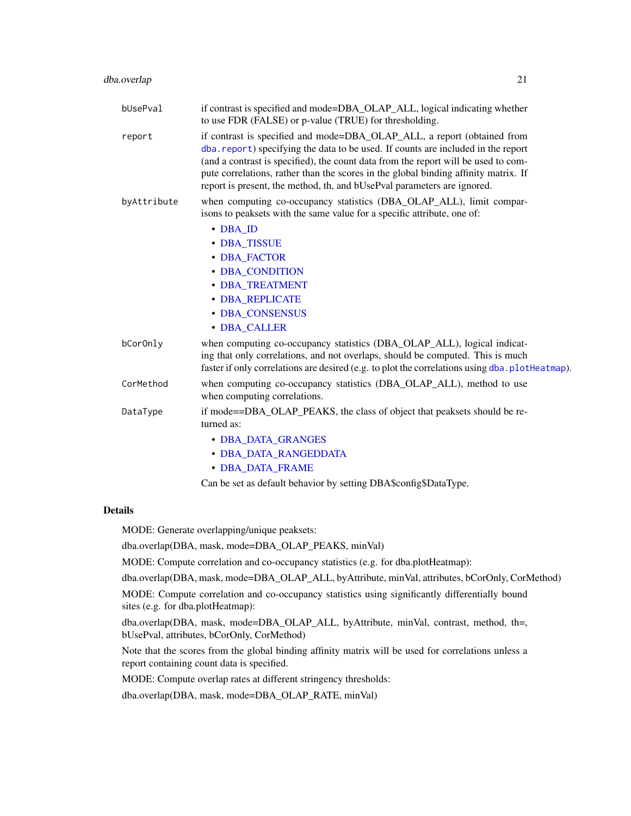| bUsePval    | if contrast is specified and mode=DBA_OLAP_ALL, logical indicating whether<br>to use FDR (FALSE) or p-value (TRUE) for thresholding.                                                                                                                                                                                                                                                                                 |
|-------------|----------------------------------------------------------------------------------------------------------------------------------------------------------------------------------------------------------------------------------------------------------------------------------------------------------------------------------------------------------------------------------------------------------------------|
| report      | if contrast is specified and mode=DBA_OLAP_ALL, a report (obtained from<br>dba. report) specifying the data to be used. If counts are included in the report<br>(and a contrast is specified), the count data from the report will be used to com-<br>pute correlations, rather than the scores in the global binding affinity matrix. If<br>report is present, the method, th, and bUsePval parameters are ignored. |
| byAttribute | when computing co-occupancy statistics (DBA_OLAP_ALL), limit compar-<br>isons to peaksets with the same value for a specific attribute, one of:                                                                                                                                                                                                                                                                      |
|             | $\cdot$ DBA_ID                                                                                                                                                                                                                                                                                                                                                                                                       |
|             | • DBA_TISSUE                                                                                                                                                                                                                                                                                                                                                                                                         |
|             | • DBA FACTOR                                                                                                                                                                                                                                                                                                                                                                                                         |
|             | • DBA CONDITION                                                                                                                                                                                                                                                                                                                                                                                                      |
|             | <b>• DBA TREATMENT</b>                                                                                                                                                                                                                                                                                                                                                                                               |
|             | · DBA REPLICATE                                                                                                                                                                                                                                                                                                                                                                                                      |
|             | · DBA CONSENSUS                                                                                                                                                                                                                                                                                                                                                                                                      |
|             | • DBA_CALLER                                                                                                                                                                                                                                                                                                                                                                                                         |
| bCor0nly    | when computing co-occupancy statistics (DBA_OLAP_ALL), logical indicat-<br>ing that only correlations, and not overlaps, should be computed. This is much<br>faster if only correlations are desired (e.g. to plot the correlations using dba.plotHeatmap).                                                                                                                                                          |
| CorMethod   | when computing co-occupancy statistics (DBA_OLAP_ALL), method to use<br>when computing correlations.                                                                                                                                                                                                                                                                                                                 |
| DataType    | if mode==DBA_OLAP_PEAKS, the class of object that peaksets should be re-<br>turned as:                                                                                                                                                                                                                                                                                                                               |
|             | • DBA_DATA_GRANGES                                                                                                                                                                                                                                                                                                                                                                                                   |
|             | • DBA DATA RANGEDDATA                                                                                                                                                                                                                                                                                                                                                                                                |
|             | <b>• DBA DATA FRAME</b>                                                                                                                                                                                                                                                                                                                                                                                              |

Can be set as default behavior by setting DBA\$config\$DataType.

### Details

MODE: Generate overlapping/unique peaksets:

dba.overlap(DBA, mask, mode=DBA\_OLAP\_PEAKS, minVal)

MODE: Compute correlation and co-occupancy statistics (e.g. for dba.plotHeatmap):

dba.overlap(DBA, mask, mode=DBA\_OLAP\_ALL, byAttribute, minVal, attributes, bCorOnly, CorMethod)

MODE: Compute correlation and co-occupancy statistics using significantly differentially bound sites (e.g. for dba.plotHeatmap):

dba.overlap(DBA, mask, mode=DBA\_OLAP\_ALL, byAttribute, minVal, contrast, method, th=, bUsePval, attributes, bCorOnly, CorMethod)

Note that the scores from the global binding affinity matrix will be used for correlations unless a report containing count data is specified.

MODE: Compute overlap rates at different stringency thresholds:

dba.overlap(DBA, mask, mode=DBA\_OLAP\_RATE, minVal)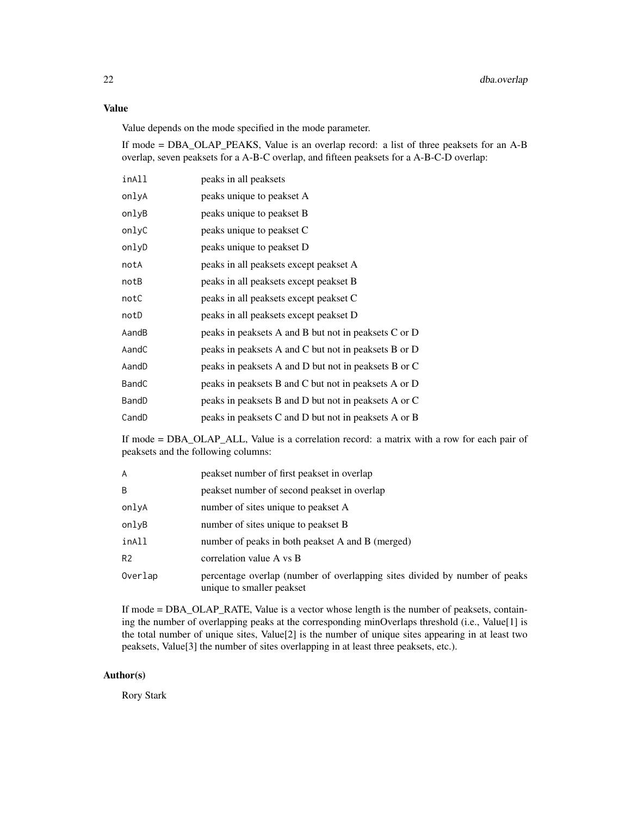#### Value

Value depends on the mode specified in the mode parameter.

If mode = DBA\_OLAP\_PEAKS, Value is an overlap record: a list of three peaksets for an A-B overlap, seven peaksets for a A-B-C overlap, and fifteen peaksets for a A-B-C-D overlap:

| inAll | peaks in all peaksets                                |
|-------|------------------------------------------------------|
| onlyA | peaks unique to peakset A                            |
| onlyB | peaks unique to peakset B                            |
| onlyC | peaks unique to peakset C                            |
| onlyD | peaks unique to peakset D                            |
| notA  | peaks in all peaksets except peakset A               |
| notB  | peaks in all peaksets except peakset B               |
| notC  | peaks in all peaksets except peakset C               |
| notD  | peaks in all peaksets except peakset D               |
| AandB | peaks in peaksets A and B but not in peaksets C or D |
| AandC | peaks in peaksets A and C but not in peaksets B or D |
| AandD | peaks in peaksets A and D but not in peaksets B or C |
| BandC | peaks in peaksets B and C but not in peaksets A or D |
| BandD | peaks in peaksets B and D but not in peaksets A or C |
| CandD | peaks in peaksets C and D but not in peaksets A or B |

If mode = DBA\_OLAP\_ALL, Value is a correlation record: a matrix with a row for each pair of peaksets and the following columns:

| A              | peakset number of first peakset in overlap                                                              |
|----------------|---------------------------------------------------------------------------------------------------------|
| B              | peakset number of second peakset in overlap                                                             |
| onlvA          | number of sites unique to peak set A                                                                    |
| onlvB          | number of sites unique to peak set B                                                                    |
| inAll          | number of peaks in both peakset A and B (merged)                                                        |
| R <sub>2</sub> | correlation value A vs B                                                                                |
| Overlap        | percentage overlap (number of overlapping sites divided by number of peaks<br>unique to smaller peakset |

If mode = DBA\_OLAP\_RATE, Value is a vector whose length is the number of peaksets, containing the number of overlapping peaks at the corresponding minOverlaps threshold (i.e., Value[1] is the total number of unique sites, Value[2] is the number of unique sites appearing in at least two peaksets, Value[3] the number of sites overlapping in at least three peaksets, etc.).

### Author(s)

Rory Stark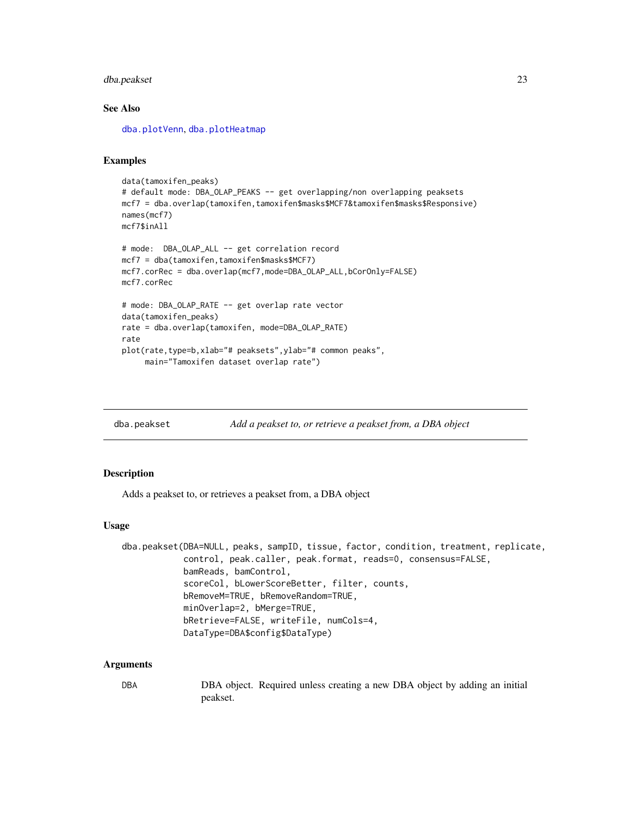### <span id="page-22-0"></span>dba.peakset 23

### See Also

[dba.plotVenn](#page-37-1), [dba.plotHeatmap](#page-29-1)

#### Examples

```
data(tamoxifen_peaks)
# default mode: DBA_OLAP_PEAKS -- get overlapping/non overlapping peaksets
mcf7 = dba.overlap(tamoxifen,tamoxifen$masks$MCF7&tamoxifen$masks$Responsive)
names(mcf7)
mcf7$inAll
# mode: DBA_OLAP_ALL -- get correlation record
mcf7 = dba(tamoxifen,tamoxifen$masks$MCF7)
mcf7.corRec = dba.overlap(mcf7,mode=DBA_OLAP_ALL,bCorOnly=FALSE)
mcf7.corRec
# mode: DBA_OLAP_RATE -- get overlap rate vector
data(tamoxifen_peaks)
rate = dba.overlap(tamoxifen, mode=DBA_OLAP_RATE)
rate
plot(rate,type=b,xlab="# peaksets",ylab="# common peaks",
     main="Tamoxifen dataset overlap rate")
```
<span id="page-22-1"></span>

dba.peakset *Add a peakset to, or retrieve a peakset from, a DBA object*

#### Description

Adds a peakset to, or retrieves a peakset from, a DBA object

#### Usage

```
dba.peakset(DBA=NULL, peaks, sampID, tissue, factor, condition, treatment, replicate,
            control, peak.caller, peak.format, reads=0, consensus=FALSE,
            bamReads, bamControl,
            scoreCol, bLowerScoreBetter, filter, counts,
            bRemoveM=TRUE, bRemoveRandom=TRUE,
            minOverlap=2, bMerge=TRUE,
            bRetrieve=FALSE, writeFile, numCols=4,
            DataType=DBA$config$DataType)
```
#### **Arguments**

DBA DBA object. Required unless creating a new DBA object by adding an initial peakset.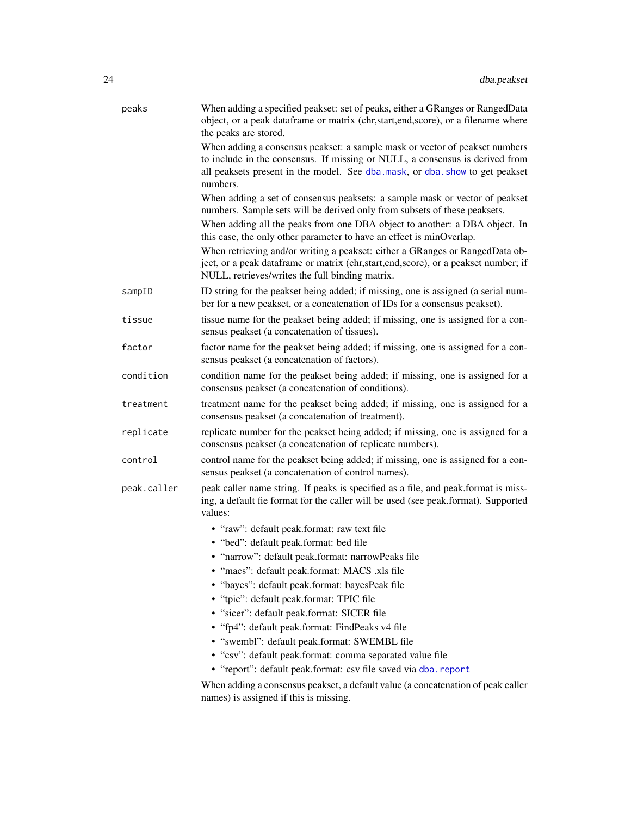| peaks       | When adding a specified peakset: set of peaks, either a GRanges or RangedData<br>object, or a peak dataframe or matrix (chr,start,end,score), or a filename where<br>the peaks are stored.                                                                                                                     |
|-------------|----------------------------------------------------------------------------------------------------------------------------------------------------------------------------------------------------------------------------------------------------------------------------------------------------------------|
|             | When adding a consensus peakset: a sample mask or vector of peakset numbers<br>to include in the consensus. If missing or NULL, a consensus is derived from<br>all peaksets present in the model. See dba.mask, or dba.show to get peakset<br>numbers.                                                         |
|             | When adding a set of consensus peaksets: a sample mask or vector of peakset<br>numbers. Sample sets will be derived only from subsets of these peaksets.<br>When adding all the peaks from one DBA object to another: a DBA object. In<br>this case, the only other parameter to have an effect is minOverlap. |
|             | When retrieving and/or writing a peakset: either a GRanges or RangedData ob-<br>ject, or a peak dataframe or matrix (chr, start, end, score), or a peakset number; if<br>NULL, retrieves/writes the full binding matrix.                                                                                       |
| sampID      | ID string for the peakset being added; if missing, one is assigned (a serial num-<br>ber for a new peakset, or a concatenation of IDs for a consensus peakset).                                                                                                                                                |
| tissue      | tissue name for the peakset being added; if missing, one is assigned for a con-<br>sensus peakset (a concatenation of tissues).                                                                                                                                                                                |
| factor      | factor name for the peakset being added; if missing, one is assigned for a con-<br>sensus peakset (a concatenation of factors).                                                                                                                                                                                |
| condition   | condition name for the peakset being added; if missing, one is assigned for a<br>consensus peakset (a concatenation of conditions).                                                                                                                                                                            |
| treatment   | treatment name for the peakset being added; if missing, one is assigned for a<br>consensus peakset (a concatenation of treatment).                                                                                                                                                                             |
| replicate   | replicate number for the peakset being added; if missing, one is assigned for a<br>consensus peakset (a concatenation of replicate numbers).                                                                                                                                                                   |
| control     | control name for the peakset being added; if missing, one is assigned for a con-<br>sensus peakset (a concatenation of control names).                                                                                                                                                                         |
| peak.caller | peak caller name string. If peaks is specified as a file, and peak.format is miss-<br>ing, a default fie format for the caller will be used (see peak.format). Supported<br>values:                                                                                                                            |
|             | • "raw": default peak.format: raw text file                                                                                                                                                                                                                                                                    |
|             | • "bed": default peak.format: bed file                                                                                                                                                                                                                                                                         |
|             | • "narrow": default peak.format: narrowPeaks file                                                                                                                                                                                                                                                              |
|             | · "macs": default peak.format: MACS .xls file                                                                                                                                                                                                                                                                  |
|             | · "bayes": default peak.format: bayesPeak file<br>· "tpic": default peak.format: TPIC file                                                                                                                                                                                                                     |
|             | • "sicer": default peak.format: SICER file                                                                                                                                                                                                                                                                     |
|             | • "fp4": default peak.format: FindPeaks v4 file                                                                                                                                                                                                                                                                |
|             | • "swembl": default peak.format: SWEMBL file                                                                                                                                                                                                                                                                   |
|             | • "csv": default peak.format: comma separated value file                                                                                                                                                                                                                                                       |
|             | • "report": default peak.format: csv file saved via dba.report                                                                                                                                                                                                                                                 |
|             | When adding a consensus peakset, a default value (a concatenation of peak caller<br>names) is assigned if this is missing.                                                                                                                                                                                     |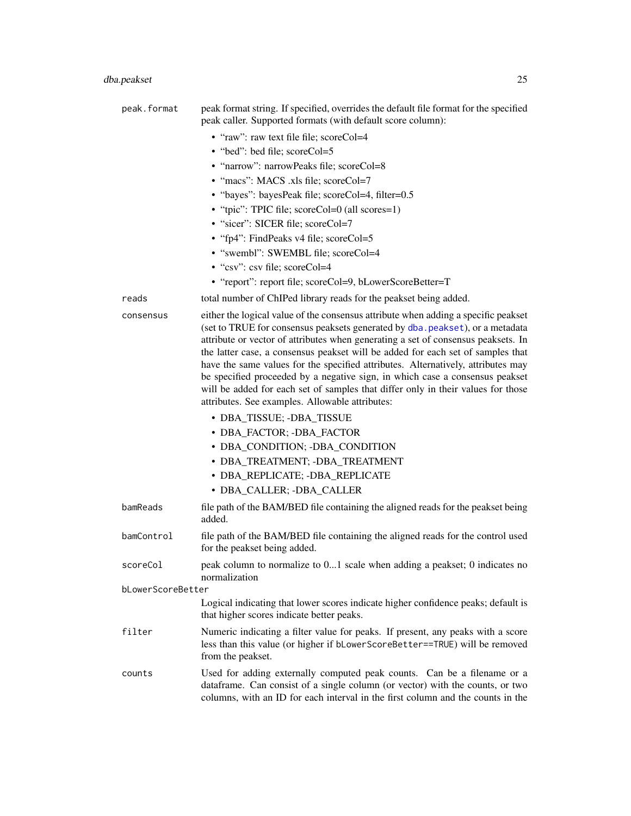| peak.format       | peak format string. If specified, overrides the default file format for the specified<br>peak caller. Supported formats (with default score column):                                                                                                                                                                                                                                                                                                                                                                                                                                                                                                                                                                                                |
|-------------------|-----------------------------------------------------------------------------------------------------------------------------------------------------------------------------------------------------------------------------------------------------------------------------------------------------------------------------------------------------------------------------------------------------------------------------------------------------------------------------------------------------------------------------------------------------------------------------------------------------------------------------------------------------------------------------------------------------------------------------------------------------|
|                   | • "raw": raw text file file; scoreCol=4                                                                                                                                                                                                                                                                                                                                                                                                                                                                                                                                                                                                                                                                                                             |
|                   | • "bed": bed file; scoreCol=5                                                                                                                                                                                                                                                                                                                                                                                                                                                                                                                                                                                                                                                                                                                       |
|                   | • "narrow": narrowPeaks file; scoreCol=8                                                                                                                                                                                                                                                                                                                                                                                                                                                                                                                                                                                                                                                                                                            |
|                   | • "macs": MACS .xls file; scoreCol=7                                                                                                                                                                                                                                                                                                                                                                                                                                                                                                                                                                                                                                                                                                                |
|                   | • "bayes": bayesPeak file; scoreCol=4, filter=0.5                                                                                                                                                                                                                                                                                                                                                                                                                                                                                                                                                                                                                                                                                                   |
|                   | • "tpic": TPIC file; scoreCol=0 (all scores=1)                                                                                                                                                                                                                                                                                                                                                                                                                                                                                                                                                                                                                                                                                                      |
|                   | • "sicer": SICER file; scoreCol=7                                                                                                                                                                                                                                                                                                                                                                                                                                                                                                                                                                                                                                                                                                                   |
|                   | • "fp4": FindPeaks v4 file; scoreCol=5                                                                                                                                                                                                                                                                                                                                                                                                                                                                                                                                                                                                                                                                                                              |
|                   | • "swembl": SWEMBL file; scoreCol=4                                                                                                                                                                                                                                                                                                                                                                                                                                                                                                                                                                                                                                                                                                                 |
|                   | • "csv": csv file; scoreCol=4                                                                                                                                                                                                                                                                                                                                                                                                                                                                                                                                                                                                                                                                                                                       |
|                   | • "report": report file; scoreCol=9, bLowerScoreBetter=T                                                                                                                                                                                                                                                                                                                                                                                                                                                                                                                                                                                                                                                                                            |
| reads             | total number of ChIPed library reads for the peakset being added.                                                                                                                                                                                                                                                                                                                                                                                                                                                                                                                                                                                                                                                                                   |
| consensus         | either the logical value of the consensus attribute when adding a specific peakset<br>(set to TRUE for consensus peaksets generated by dba. peakset), or a metadata<br>attribute or vector of attributes when generating a set of consensus peaksets. In<br>the latter case, a consensus peakset will be added for each set of samples that<br>have the same values for the specified attributes. Alternatively, attributes may<br>be specified proceeded by a negative sign, in which case a consensus peakset<br>will be added for each set of samples that differ only in their values for those<br>attributes. See examples. Allowable attributes:<br>• DBA_TISSUE; -DBA_TISSUE<br>• DBA_FACTOR; -DBA_FACTOR<br>• DBA_CONDITION; -DBA_CONDITION |
|                   | • DBA_TREATMENT; -DBA_TREATMENT                                                                                                                                                                                                                                                                                                                                                                                                                                                                                                                                                                                                                                                                                                                     |
|                   | • DBA_REPLICATE; -DBA_REPLICATE                                                                                                                                                                                                                                                                                                                                                                                                                                                                                                                                                                                                                                                                                                                     |
|                   | • DBA_CALLER; -DBA_CALLER                                                                                                                                                                                                                                                                                                                                                                                                                                                                                                                                                                                                                                                                                                                           |
| bamReads          | file path of the BAM/BED file containing the aligned reads for the peakset being<br>added.                                                                                                                                                                                                                                                                                                                                                                                                                                                                                                                                                                                                                                                          |
| bamControl        | file path of the BAM/BED file containing the aligned reads for the control used<br>for the peakset being added.                                                                                                                                                                                                                                                                                                                                                                                                                                                                                                                                                                                                                                     |
| scoreCol          | peak column to normalize to 01 scale when adding a peakset; 0 indicates no<br>normalization                                                                                                                                                                                                                                                                                                                                                                                                                                                                                                                                                                                                                                                         |
| bLowerScoreBetter |                                                                                                                                                                                                                                                                                                                                                                                                                                                                                                                                                                                                                                                                                                                                                     |
|                   | Logical indicating that lower scores indicate higher confidence peaks; default is<br>that higher scores indicate better peaks.                                                                                                                                                                                                                                                                                                                                                                                                                                                                                                                                                                                                                      |
| filter            | Numeric indicating a filter value for peaks. If present, any peaks with a score<br>less than this value (or higher if bLowerScoreBetter==TRUE) will be removed<br>from the peakset.                                                                                                                                                                                                                                                                                                                                                                                                                                                                                                                                                                 |
| counts            | Used for adding externally computed peak counts. Can be a filename or a<br>dataframe. Can consist of a single column (or vector) with the counts, or two<br>columns, with an ID for each interval in the first column and the counts in the                                                                                                                                                                                                                                                                                                                                                                                                                                                                                                         |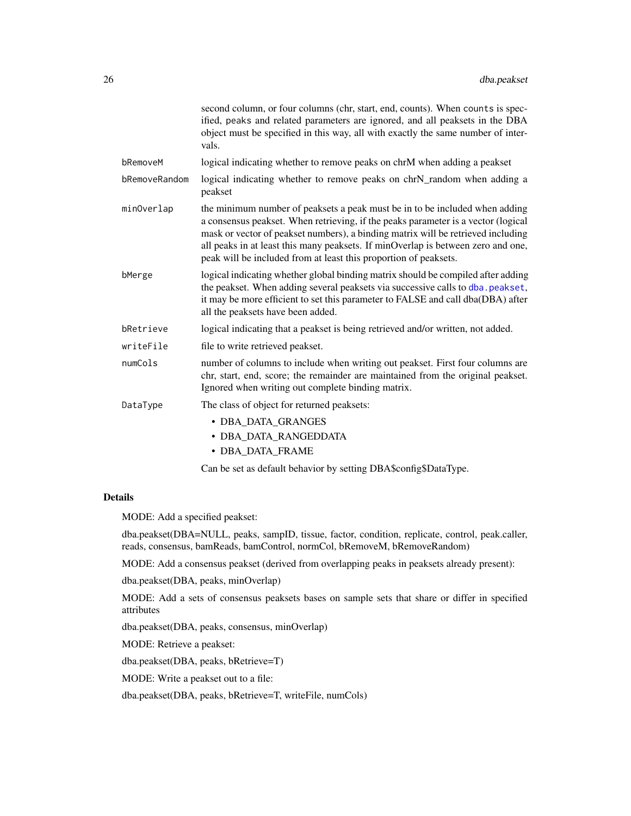|               | second column, or four columns (chr, start, end, counts). When counts is spec-<br>ified, peaks and related parameters are ignored, and all peaksets in the DBA<br>object must be specified in this way, all with exactly the same number of inter-<br>vals.                                                                                                                                                  |
|---------------|--------------------------------------------------------------------------------------------------------------------------------------------------------------------------------------------------------------------------------------------------------------------------------------------------------------------------------------------------------------------------------------------------------------|
| bRemoveM      | logical indicating whether to remove peaks on chrM when adding a peakset                                                                                                                                                                                                                                                                                                                                     |
| bRemoveRandom | logical indicating whether to remove peaks on chrN_random when adding a<br>peakset                                                                                                                                                                                                                                                                                                                           |
| minOverlap    | the minimum number of peaksets a peak must be in to be included when adding<br>a consensus peakset. When retrieving, if the peaks parameter is a vector (logical<br>mask or vector of peakset numbers), a binding matrix will be retrieved including<br>all peaks in at least this many peaksets. If minOverlap is between zero and one,<br>peak will be included from at least this proportion of peaksets. |
| bMerge        | logical indicating whether global binding matrix should be compiled after adding<br>the peakset. When adding several peaksets via successive calls to dba. peakset,<br>it may be more efficient to set this parameter to FALSE and call dba(DBA) after<br>all the peaksets have been added.                                                                                                                  |
| bRetrieve     | logical indicating that a peakset is being retrieved and/or written, not added.                                                                                                                                                                                                                                                                                                                              |
| writeFile     | file to write retrieved peakset.                                                                                                                                                                                                                                                                                                                                                                             |
| numCols       | number of columns to include when writing out peakset. First four columns are<br>chr, start, end, score; the remainder are maintained from the original peakset.<br>Ignored when writing out complete binding matrix.                                                                                                                                                                                        |
| DataType      | The class of object for returned peaksets:                                                                                                                                                                                                                                                                                                                                                                   |
|               | • DBA DATA GRANGES<br>• DBA_DATA_RANGEDDATA<br>• DBA DATA FRAME                                                                                                                                                                                                                                                                                                                                              |

Can be set as default behavior by setting DBA\$config\$DataType.

### Details

MODE: Add a specified peakset:

dba.peakset(DBA=NULL, peaks, sampID, tissue, factor, condition, replicate, control, peak.caller, reads, consensus, bamReads, bamControl, normCol, bRemoveM, bRemoveRandom)

MODE: Add a consensus peakset (derived from overlapping peaks in peaksets already present):

dba.peakset(DBA, peaks, minOverlap)

MODE: Add a sets of consensus peaksets bases on sample sets that share or differ in specified attributes

dba.peakset(DBA, peaks, consensus, minOverlap)

MODE: Retrieve a peakset:

dba.peakset(DBA, peaks, bRetrieve=T)

MODE: Write a peakset out to a file:

dba.peakset(DBA, peaks, bRetrieve=T, writeFile, numCols)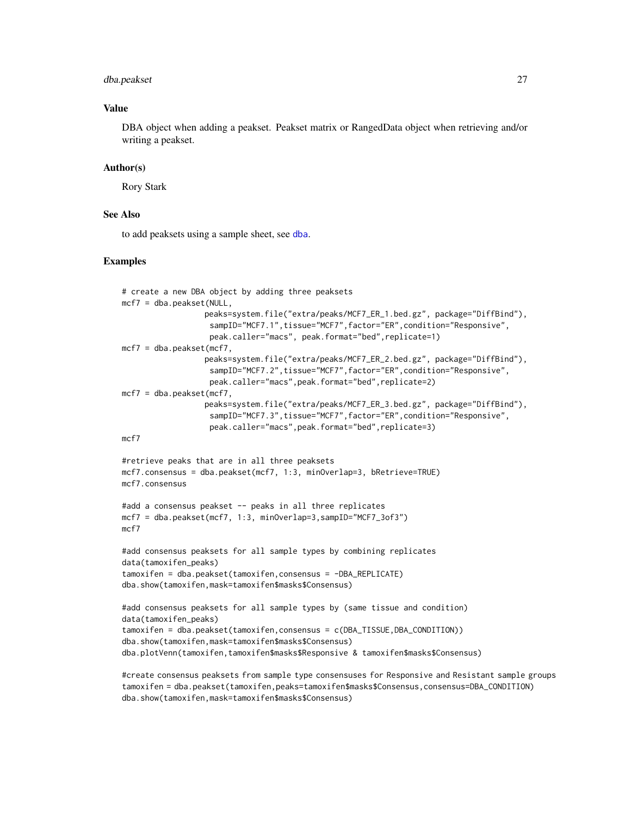#### dba.peakset 27

#### Value

DBA object when adding a peakset. Peakset matrix or RangedData object when retrieving and/or writing a peakset.

#### Author(s)

Rory Stark

#### See Also

to add peaksets using a sample sheet, see [dba](#page-2-1).

#### Examples

```
# create a new DBA object by adding three peaksets
mcf7 = dba.peakset(NULL,
                  peaks=system.file("extra/peaks/MCF7_ER_1.bed.gz", package="DiffBind"),
                   sampID="MCF7.1",tissue="MCF7",factor="ER",condition="Responsive",
                   peak.caller="macs", peak.format="bed",replicate=1)
mcf7 = dba.peakset(mcf7,
                  peaks=system.file("extra/peaks/MCF7_ER_2.bed.gz", package="DiffBind"),
                   sampID="MCF7.2",tissue="MCF7",factor="ER",condition="Responsive",
                   peak.caller="macs",peak.format="bed",replicate=2)
mcf7 = dba.peakset(mcf7,peaks=system.file("extra/peaks/MCF7_ER_3.bed.gz", package="DiffBind"),
                   sampID="MCF7.3",tissue="MCF7",factor="ER",condition="Responsive",
                   peak.caller="macs",peak.format="bed",replicate=3)
mcf7
#retrieve peaks that are in all three peaksets
mcf7.consensus = dba.peakset(mcf7, 1:3, minOverlap=3, bRetrieve=TRUE)
mcf7.consensus
#add a consensus peakset -- peaks in all three replicates
mcf7 = dba.peakset(mcf7, 1:3, minOverlap=3,sampID="MCF7_3of3")
mcf7
#add consensus peaksets for all sample types by combining replicates
data(tamoxifen_peaks)
tamoxifen = dba.peakset(tamoxifen,consensus = -DBA_REPLICATE)
dba.show(tamoxifen,mask=tamoxifen$masks$Consensus)
#add consensus peaksets for all sample types by (same tissue and condition)
data(tamoxifen_peaks)
tamoxifen = dba.peakset(tamoxifen,consensus = c(DBA_TISSUE,DBA_CONDITION))
dba.show(tamoxifen,mask=tamoxifen$masks$Consensus)
dba.plotVenn(tamoxifen,tamoxifen$masks$Responsive & tamoxifen$masks$Consensus)
```
#create consensus peaksets from sample type consensuses for Responsive and Resistant sample groups tamoxifen = dba.peakset(tamoxifen,peaks=tamoxifen\$masks\$Consensus,consensus=DBA\_CONDITION) dba.show(tamoxifen,mask=tamoxifen\$masks\$Consensus)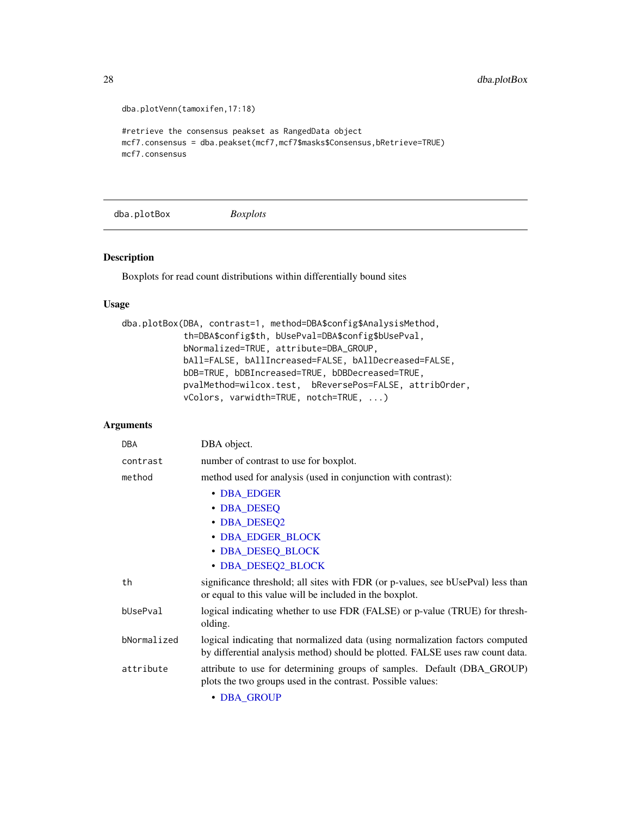```
dba.plotVenn(tamoxifen,17:18)
#retrieve the consensus peakset as RangedData object
mcf7.consensus = dba.peakset(mcf7,mcf7$masks$Consensus,bRetrieve=TRUE)
mcf7.consensus
```
<span id="page-27-1"></span>dba.plotBox *Boxplots*

#### Description

Boxplots for read count distributions within differentially bound sites

#### Usage

```
dba.plotBox(DBA, contrast=1, method=DBA$config$AnalysisMethod,
            th=DBA$config$th, bUsePval=DBA$config$bUsePval,
            bNormalized=TRUE, attribute=DBA_GROUP,
            bAll=FALSE, bAllIncreased=FALSE, bAllDecreased=FALSE,
            bDB=TRUE, bDBIncreased=TRUE, bDBDecreased=TRUE,
            pvalMethod=wilcox.test, bReversePos=FALSE, attribOrder,
            vColors, varwidth=TRUE, notch=TRUE, ...)
```

| <b>DBA</b>  | DBA object.                                                                                                                                                     |
|-------------|-----------------------------------------------------------------------------------------------------------------------------------------------------------------|
| contrast    | number of contrast to use for boxplot.                                                                                                                          |
| method      | method used for analysis (used in conjunction with contrast):                                                                                                   |
|             | • DBA_EDGER                                                                                                                                                     |
|             | • DBA_DESEQ                                                                                                                                                     |
|             | • DBA_DESEQ2                                                                                                                                                    |
|             | • DBA_EDGER_BLOCK                                                                                                                                               |
|             | • DBA_DESEQ_BLOCK                                                                                                                                               |
|             | • DBA_DESEQ2_BLOCK                                                                                                                                              |
| th          | significance threshold; all sites with FDR (or p-values, see bUsePval) less than<br>or equal to this value will be included in the boxplot.                     |
| bUsePval    | logical indicating whether to use FDR (FALSE) or p-value (TRUE) for thresh-<br>olding.                                                                          |
| bNormalized | logical indicating that normalized data (using normalization factors computed<br>by differential analysis method) should be plotted. FALSE uses raw count data. |
| attribute   | attribute to use for determining groups of samples. Default (DBA_GROUP)<br>plots the two groups used in the contrast. Possible values:                          |
|             | • DBA GROUP                                                                                                                                                     |

<span id="page-27-0"></span>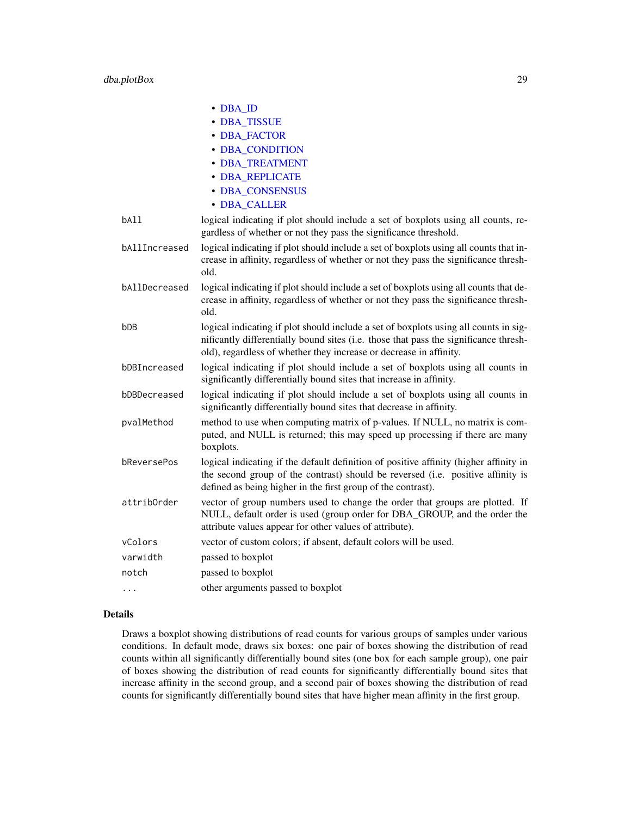|                 | $\cdot$ DBA_ID                                                                                                                                                                                                                                     |
|-----------------|----------------------------------------------------------------------------------------------------------------------------------------------------------------------------------------------------------------------------------------------------|
|                 | • DBA_TISSUE                                                                                                                                                                                                                                       |
|                 | • DBA_FACTOR                                                                                                                                                                                                                                       |
|                 | • DBA_CONDITION                                                                                                                                                                                                                                    |
|                 | · DBA_TREATMENT                                                                                                                                                                                                                                    |
|                 | · DBA_REPLICATE                                                                                                                                                                                                                                    |
|                 | · DBA CONSENSUS                                                                                                                                                                                                                                    |
|                 | • DBA_CALLER                                                                                                                                                                                                                                       |
| bA11            | logical indicating if plot should include a set of boxplots using all counts, re-<br>gardless of whether or not they pass the significance threshold.                                                                                              |
| bAllIncreased   | logical indicating if plot should include a set of boxplots using all counts that in-<br>crease in affinity, regardless of whether or not they pass the significance thresh-<br>old.                                                               |
| bAllDecreased   | logical indicating if plot should include a set of boxplots using all counts that de-<br>crease in affinity, regardless of whether or not they pass the significance thresh-<br>old.                                                               |
| b <sub>DB</sub> | logical indicating if plot should include a set of boxplots using all counts in sig-<br>nificantly differentially bound sites (i.e. those that pass the significance thresh-<br>old), regardless of whether they increase or decrease in affinity. |
| bDBIncreased    | logical indicating if plot should include a set of boxplots using all counts in<br>significantly differentially bound sites that increase in affinity.                                                                                             |
| bDBDecreased    | logical indicating if plot should include a set of boxplots using all counts in<br>significantly differentially bound sites that decrease in affinity.                                                                                             |
| pvalMethod      | method to use when computing matrix of p-values. If NULL, no matrix is com-<br>puted, and NULL is returned; this may speed up processing if there are many<br>boxplots.                                                                            |
| bReversePos     | logical indicating if the default definition of positive affinity (higher affinity in<br>the second group of the contrast) should be reversed (i.e. positive affinity is<br>defined as being higher in the first group of the contrast).           |
| attribOrder     | vector of group numbers used to change the order that groups are plotted. If<br>NULL, default order is used (group order for DBA_GROUP, and the order the<br>attribute values appear for other values of attribute).                               |
| vColors         | vector of custom colors; if absent, default colors will be used.                                                                                                                                                                                   |
| varwidth        | passed to boxplot                                                                                                                                                                                                                                  |
| notch           | passed to boxplot                                                                                                                                                                                                                                  |
| .               | other arguments passed to boxplot                                                                                                                                                                                                                  |

#### Details

Draws a boxplot showing distributions of read counts for various groups of samples under various conditions. In default mode, draws six boxes: one pair of boxes showing the distribution of read counts within all significantly differentially bound sites (one box for each sample group), one pair of boxes showing the distribution of read counts for significantly differentially bound sites that increase affinity in the second group, and a second pair of boxes showing the distribution of read counts for significantly differentially bound sites that have higher mean affinity in the first group.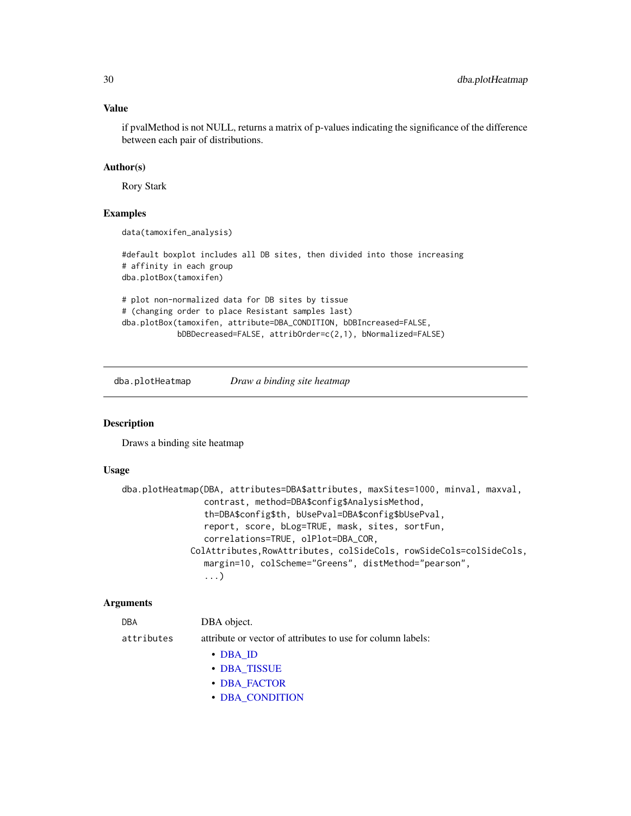#### Value

if pvalMethod is not NULL, returns a matrix of p-values indicating the significance of the difference between each pair of distributions.

#### Author(s)

Rory Stark

#### Examples

```
data(tamoxifen_analysis)
```
#default boxplot includes all DB sites, then divided into those increasing # affinity in each group dba.plotBox(tamoxifen)

```
# plot non-normalized data for DB sites by tissue
# (changing order to place Resistant samples last)
dba.plotBox(tamoxifen, attribute=DBA_CONDITION, bDBIncreased=FALSE,
            bDBDecreased=FALSE, attribOrder=c(2,1), bNormalized=FALSE)
```
<span id="page-29-1"></span>dba.plotHeatmap *Draw a binding site heatmap*

#### Description

Draws a binding site heatmap

#### Usage

```
dba.plotHeatmap(DBA, attributes=DBA$attributes, maxSites=1000, minval, maxval,
                contrast, method=DBA$config$AnalysisMethod,
                th=DBA$config$th, bUsePval=DBA$config$bUsePval,
                report, score, bLog=TRUE, mask, sites, sortFun,
                correlations=TRUE, olPlot=DBA_COR,
             ColAttributes,RowAttributes, colSideCols, rowSideCols=colSideCols,
                margin=10, colScheme="Greens", distMethod="pearson",
                ...)
```

| <b>DBA</b> | DBA object. |
|------------|-------------|
|            |             |

```
attributes attribute or vector of attributes to use for column labels:
```
- [DBA\\_ID](#page-47-1)
	- [DBA\\_TISSUE](#page-47-1)
	- [DBA\\_FACTOR](#page-47-1)
	- [DBA\\_CONDITION](#page-47-1)

<span id="page-29-0"></span>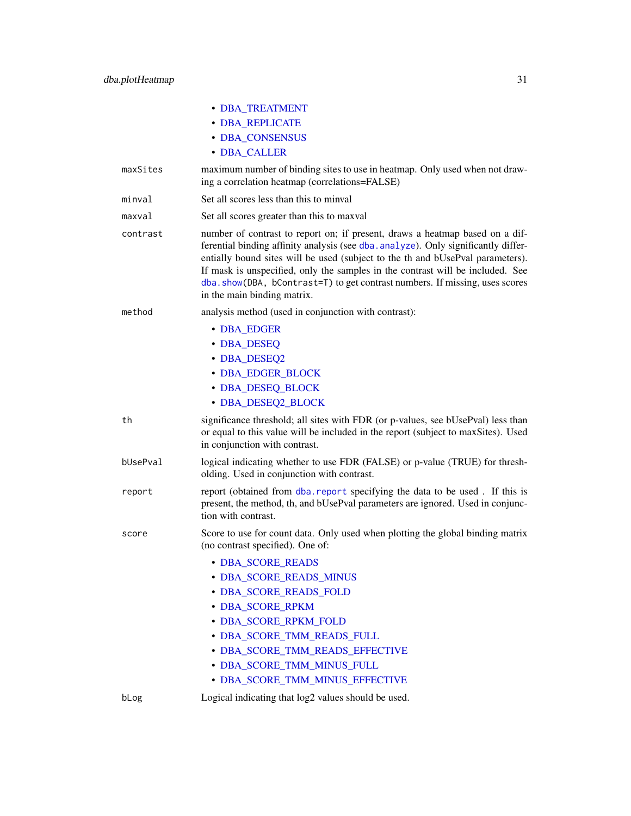|          | · DBA_TREATMENT                                                                                                                                                                                                                                                                                                                                                                                                                                      |
|----------|------------------------------------------------------------------------------------------------------------------------------------------------------------------------------------------------------------------------------------------------------------------------------------------------------------------------------------------------------------------------------------------------------------------------------------------------------|
|          | · DBA_REPLICATE                                                                                                                                                                                                                                                                                                                                                                                                                                      |
|          | · DBA_CONSENSUS                                                                                                                                                                                                                                                                                                                                                                                                                                      |
|          | • DBA_CALLER                                                                                                                                                                                                                                                                                                                                                                                                                                         |
| maxSites | maximum number of binding sites to use in heatmap. Only used when not draw-<br>ing a correlation heatmap (correlations=FALSE)                                                                                                                                                                                                                                                                                                                        |
| minval   | Set all scores less than this to minval                                                                                                                                                                                                                                                                                                                                                                                                              |
| maxval   | Set all scores greater than this to maxval                                                                                                                                                                                                                                                                                                                                                                                                           |
| contrast | number of contrast to report on; if present, draws a heatmap based on a dif-<br>ferential binding affinity analysis (see dba. analyze). Only significantly differ-<br>entially bound sites will be used (subject to the th and bUsePval parameters).<br>If mask is unspecified, only the samples in the contrast will be included. See<br>dba.show(DBA, bContrast=T) to get contrast numbers. If missing, uses scores<br>in the main binding matrix. |
| method   | analysis method (used in conjunction with contrast):                                                                                                                                                                                                                                                                                                                                                                                                 |
|          | • DBA_EDGER                                                                                                                                                                                                                                                                                                                                                                                                                                          |
|          | • DBA_DESEQ                                                                                                                                                                                                                                                                                                                                                                                                                                          |
|          | • DBA_DESEQ2                                                                                                                                                                                                                                                                                                                                                                                                                                         |
|          | • DBA_EDGER_BLOCK                                                                                                                                                                                                                                                                                                                                                                                                                                    |
|          | • DBA_DESEQ_BLOCK                                                                                                                                                                                                                                                                                                                                                                                                                                    |
|          | • DBA_DESEQ2_BLOCK                                                                                                                                                                                                                                                                                                                                                                                                                                   |
| th       | significance threshold; all sites with FDR (or p-values, see bUsePval) less than<br>or equal to this value will be included in the report (subject to maxSites). Used<br>in conjunction with contrast.                                                                                                                                                                                                                                               |
| bUsePval | logical indicating whether to use FDR (FALSE) or p-value (TRUE) for thresh-<br>olding. Used in conjunction with contrast.                                                                                                                                                                                                                                                                                                                            |
| report   | report (obtained from dba. report specifying the data to be used. If this is<br>present, the method, th, and bUsePval parameters are ignored. Used in conjunc-<br>tion with contrast.                                                                                                                                                                                                                                                                |
| score    | Score to use for count data. Only used when plotting the global binding matrix<br>(no contrast specified). One of:                                                                                                                                                                                                                                                                                                                                   |
|          | · DBA_SCORE_READS<br>• DBA_SCORE_READS_MINUS<br>• DBA_SCORE_READS_FOLD<br>• DBA_SCORE_RPKM<br>· DBA_SCORE_RPKM_FOLD<br>· DBA_SCORE_TMM_READS_FULL<br>· DBA_SCORE_TMM_READS_EFFECTIVE<br>· DBA_SCORE_TMM_MINUS_FULL<br>· DBA_SCORE_TMM_MINUS_EFFECTIVE                                                                                                                                                                                                |
|          |                                                                                                                                                                                                                                                                                                                                                                                                                                                      |

bLog Logical indicating that log2 values should be used.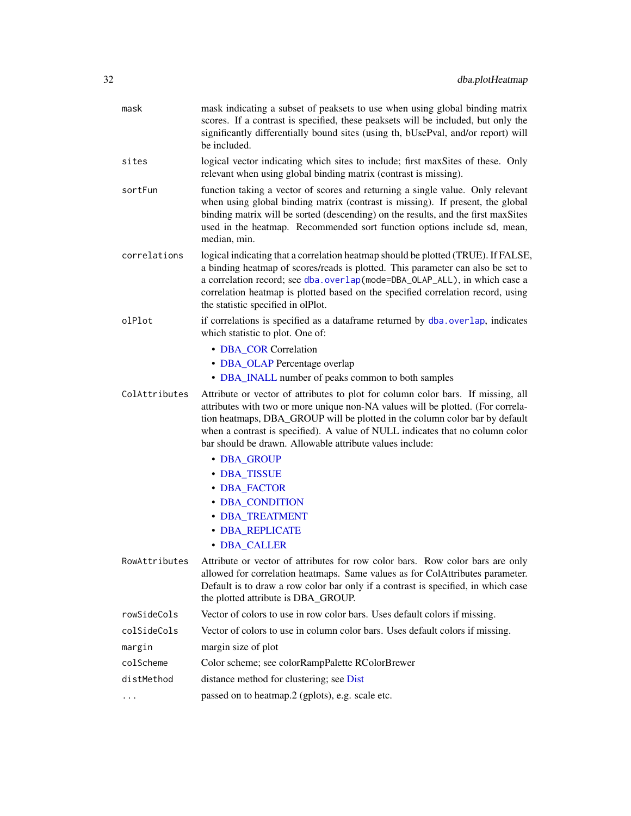| mask          | mask indicating a subset of peaksets to use when using global binding matrix<br>scores. If a contrast is specified, these peaksets will be included, but only the<br>significantly differentially bound sites (using th, bUsePval, and/or report) will<br>be included.                                                                                                                          |
|---------------|-------------------------------------------------------------------------------------------------------------------------------------------------------------------------------------------------------------------------------------------------------------------------------------------------------------------------------------------------------------------------------------------------|
| sites         | logical vector indicating which sites to include; first maxSites of these. Only<br>relevant when using global binding matrix (contrast is missing).                                                                                                                                                                                                                                             |
| sortFun       | function taking a vector of scores and returning a single value. Only relevant<br>when using global binding matrix (contrast is missing). If present, the global<br>binding matrix will be sorted (descending) on the results, and the first maxSites<br>used in the heatmap. Recommended sort function options include sd, mean,<br>median, min.                                               |
| correlations  | logical indicating that a correlation heatmap should be plotted (TRUE). If FALSE,<br>a binding heatmap of scores/reads is plotted. This parameter can also be set to<br>a correlation record; see dba.overlap(mode=DBA_OLAP_ALL), in which case a<br>correlation heatmap is plotted based on the specified correlation record, using<br>the statistic specified in olPlot.                      |
| olPlot        | if correlations is specified as a dataframe returned by dba.overlap, indicates<br>which statistic to plot. One of:                                                                                                                                                                                                                                                                              |
|               | • DBA_COR Correlation                                                                                                                                                                                                                                                                                                                                                                           |
|               | • DBA_OLAP Percentage overlap                                                                                                                                                                                                                                                                                                                                                                   |
|               | • DBA_INALL number of peaks common to both samples                                                                                                                                                                                                                                                                                                                                              |
| ColAttributes | Attribute or vector of attributes to plot for column color bars. If missing, all<br>attributes with two or more unique non-NA values will be plotted. (For correla-<br>tion heatmaps, DBA_GROUP will be plotted in the column color bar by default<br>when a contrast is specified). A value of NULL indicates that no column color<br>bar should be drawn. Allowable attribute values include: |
|               | • DBA_GROUP                                                                                                                                                                                                                                                                                                                                                                                     |
|               | • DBA_TISSUE                                                                                                                                                                                                                                                                                                                                                                                    |
|               | • DBA_FACTOR                                                                                                                                                                                                                                                                                                                                                                                    |
|               | • DBA_CONDITION                                                                                                                                                                                                                                                                                                                                                                                 |
|               | · DBA_TREATMENT                                                                                                                                                                                                                                                                                                                                                                                 |
|               | • DBA_REPLICATE<br>• DBA_CALLER                                                                                                                                                                                                                                                                                                                                                                 |
| RowAttributes | Attribute or vector of attributes for row color bars. Row color bars are only<br>allowed for correlation heatmaps. Same values as for ColAttributes parameter.<br>Default is to draw a row color bar only if a contrast is specified, in which case<br>the plotted attribute is DBA_GROUP.                                                                                                      |
| rowSideCols   | Vector of colors to use in row color bars. Uses default colors if missing.                                                                                                                                                                                                                                                                                                                      |
| colSideCols   | Vector of colors to use in column color bars. Uses default colors if missing.                                                                                                                                                                                                                                                                                                                   |
| margin        | margin size of plot                                                                                                                                                                                                                                                                                                                                                                             |
| colScheme     | Color scheme; see colorRampPalette RColorBrewer                                                                                                                                                                                                                                                                                                                                                 |
| distMethod    | distance method for clustering; see Dist                                                                                                                                                                                                                                                                                                                                                        |
| .             | passed on to heatmap.2 (gplots), e.g. scale etc.                                                                                                                                                                                                                                                                                                                                                |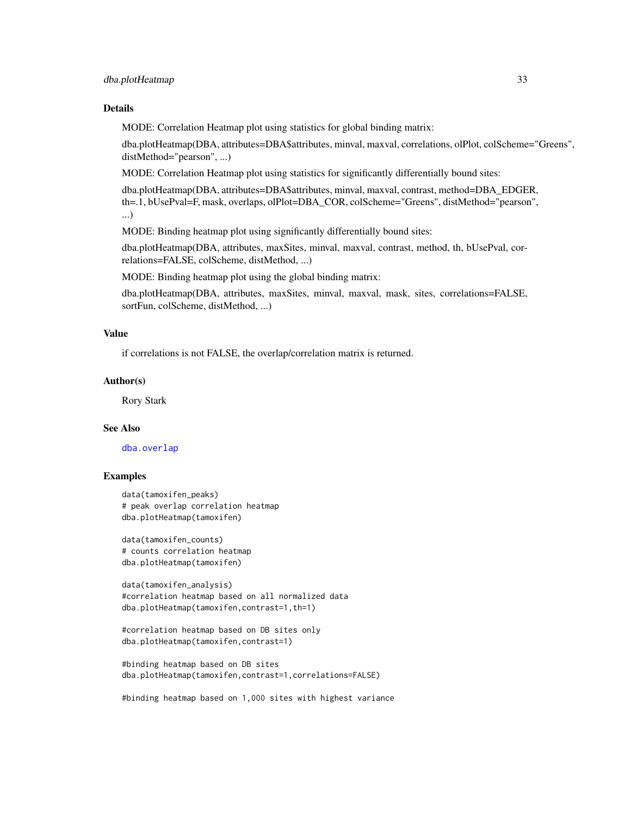### Details

MODE: Correlation Heatmap plot using statistics for global binding matrix:

dba.plotHeatmap(DBA, attributes=DBA\$attributes, minval, maxval, correlations, olPlot, colScheme="Greens", distMethod="pearson", ...)

MODE: Correlation Heatmap plot using statistics for significantly differentially bound sites:

dba.plotHeatmap(DBA, attributes=DBA\$attributes, minval, maxval, contrast, method=DBA\_EDGER, th=.1, bUsePval=F, mask, overlaps, olPlot=DBA\_COR, colScheme="Greens", distMethod="pearson", ...)

MODE: Binding heatmap plot using significantly differentially bound sites:

dba.plotHeatmap(DBA, attributes, maxSites, minval, maxval, contrast, method, th, bUsePval, correlations=FALSE, colScheme, distMethod, ...)

MODE: Binding heatmap plot using the global binding matrix:

dba.plotHeatmap(DBA, attributes, maxSites, minval, maxval, mask, sites, correlations=FALSE, sortFun, colScheme, distMethod, ...)

#### Value

if correlations is not FALSE, the overlap/correlation matrix is returned.

#### Author(s)

Rory Stark

#### See Also

[dba.overlap](#page-19-1)

### Examples

```
data(tamoxifen_peaks)
# peak overlap correlation heatmap
dba.plotHeatmap(tamoxifen)
```
data(tamoxifen\_counts) # counts correlation heatmap dba.plotHeatmap(tamoxifen)

```
data(tamoxifen_analysis)
#correlation heatmap based on all normalized data
dba.plotHeatmap(tamoxifen,contrast=1,th=1)
```

```
#correlation heatmap based on DB sites only
dba.plotHeatmap(tamoxifen,contrast=1)
```

```
#binding heatmap based on DB sites
dba.plotHeatmap(tamoxifen,contrast=1,correlations=FALSE)
```
#binding heatmap based on 1,000 sites with highest variance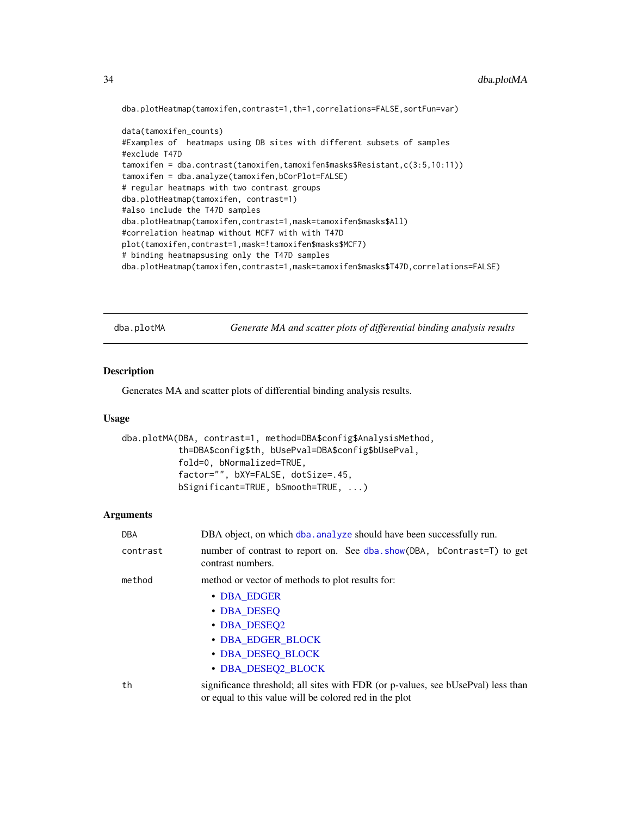dba.plotHeatmap(tamoxifen,contrast=1,th=1,correlations=FALSE,sortFun=var)

```
data(tamoxifen_counts)
#Examples of heatmaps using DB sites with different subsets of samples
#exclude T47D
tamoxifen = dba.contrast(tamoxifen,tamoxifen$masks$Resistant,c(3:5,10:11))
tamoxifen = dba.analyze(tamoxifen,bCorPlot=FALSE)
# regular heatmaps with two contrast groups
dba.plotHeatmap(tamoxifen, contrast=1)
#also include the T47D samples
dba.plotHeatmap(tamoxifen,contrast=1,mask=tamoxifen$masks$All)
#correlation heatmap without MCF7 with with T47D
plot(tamoxifen,contrast=1,mask=!tamoxifen$masks$MCF7)
# binding heatmapsusing only the T47D samples
dba.plotHeatmap(tamoxifen,contrast=1,mask=tamoxifen$masks$T47D,correlations=FALSE)
```
<span id="page-33-1"></span>dba.plotMA *Generate MA and scatter plots of differential binding analysis results*

#### Description

Generates MA and scatter plots of differential binding analysis results.

#### Usage

```
dba.plotMA(DBA, contrast=1, method=DBA$config$AnalysisMethod,
           th=DBA$config$th, bUsePval=DBA$config$bUsePval,
           fold=0, bNormalized=TRUE,
           factor="", bXY=FALSE, dotSize=.45,
           bSignificant=TRUE, bSmooth=TRUE, ...)
```

| <b>DBA</b> | DBA object, on which dba. analyze should have been successfully run.                                                                       |  |
|------------|--------------------------------------------------------------------------------------------------------------------------------------------|--|
| contrast   | number of contrast to report on. See dba. show(DBA, bContrast=T) to get<br>contrast numbers.                                               |  |
| method     | method or vector of methods to plot results for:                                                                                           |  |
|            | • DBA_EDGER                                                                                                                                |  |
|            | • DBA DESEO                                                                                                                                |  |
|            | • DBA_DESEQ2                                                                                                                               |  |
|            | • DBA_EDGER_BLOCK                                                                                                                          |  |
|            | • DBA_DESEQ_BLOCK                                                                                                                          |  |
|            | • DBA_DESEQ2_BLOCK                                                                                                                         |  |
| th         | significance threshold; all sites with FDR (or p-values, see bUsePval) less than<br>or equal to this value will be colored red in the plot |  |

<span id="page-33-0"></span>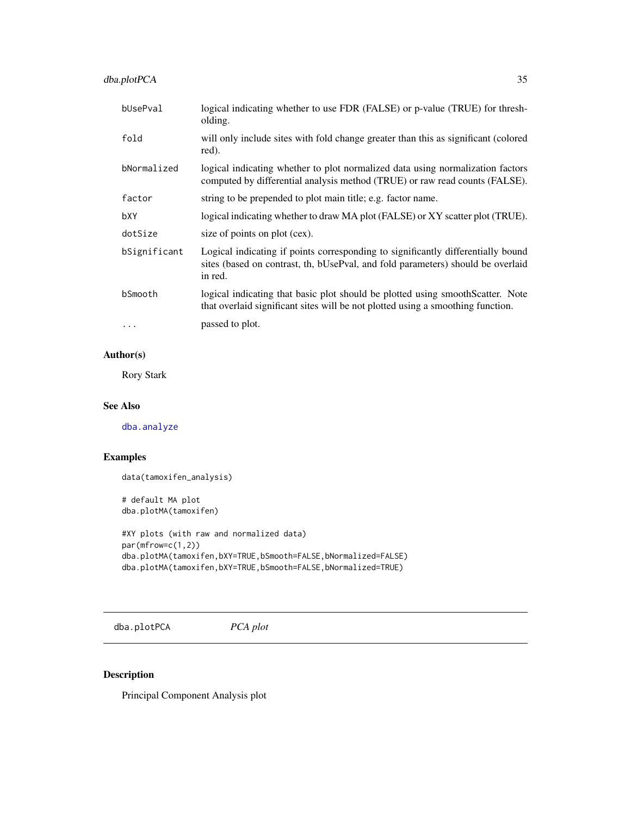<span id="page-34-0"></span>dba.plotPCA 35

| bUsePval     | logical indicating whether to use FDR (FALSE) or p-value (TRUE) for thresh-<br>olding.                                                                                         |
|--------------|--------------------------------------------------------------------------------------------------------------------------------------------------------------------------------|
| fold         | will only include sites with fold change greater than this as significant (colored<br>red).                                                                                    |
| bNormalized  | logical indicating whether to plot normalized data using normalization factors<br>computed by differential analysis method (TRUE) or raw read counts (FALSE).                  |
| factor       | string to be prepended to plot main title; e.g. factor name.                                                                                                                   |
| bXY          | logical indicating whether to draw MA plot (FALSE) or XY scatter plot (TRUE).                                                                                                  |
| dotSize      | size of points on plot (cex).                                                                                                                                                  |
| bSignificant | Logical indicating if points corresponding to significantly differentially bound<br>sites (based on contrast, th, bUsePval, and fold parameters) should be overlaid<br>in red. |
| bSmooth      | logical indicating that basic plot should be plotted using smooth Scatter. Note<br>that overlaid significant sites will be not plotted using a smoothing function.             |
| $\cdots$     | passed to plot.                                                                                                                                                                |

### Author(s)

Rory Stark

### See Also

[dba.analyze](#page-8-1)

### Examples

```
data(tamoxifen_analysis)
```
# default MA plot dba.plotMA(tamoxifen)

```
#XY plots (with raw and normalized data)
par(mfrow=c(1,2))
dba.plotMA(tamoxifen,bXY=TRUE,bSmooth=FALSE,bNormalized=FALSE)
dba.plotMA(tamoxifen,bXY=TRUE,bSmooth=FALSE,bNormalized=TRUE)
```
<span id="page-34-1"></span>dba.plotPCA *PCA plot*

### Description

Principal Component Analysis plot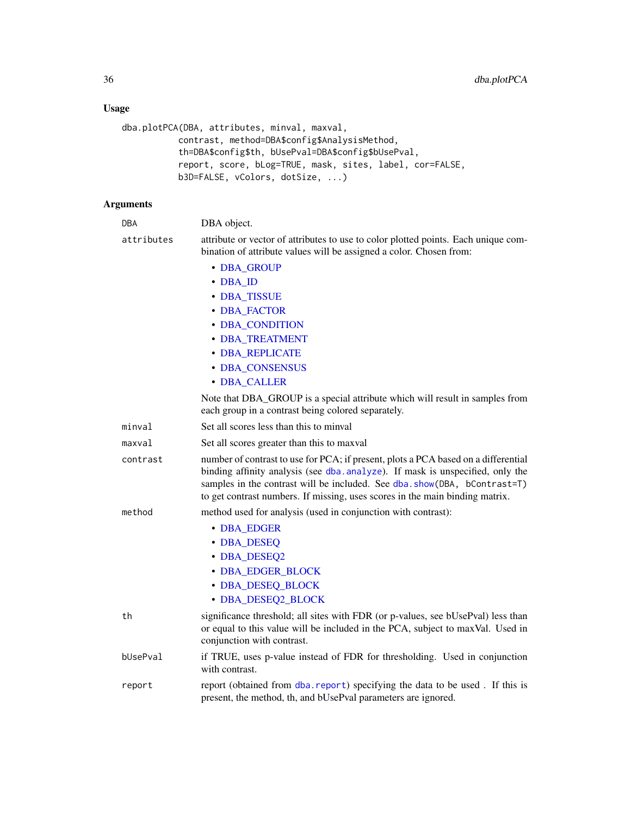### Usage

```
dba.plotPCA(DBA, attributes, minval, maxval,
          contrast, method=DBA$config$AnalysisMethod,
          th=DBA$config$th, bUsePval=DBA$config$bUsePval,
           report, score, bLog=TRUE, mask, sites, label, cor=FALSE,
          b3D=FALSE, vColors, dotSize, ...)
```

| <b>DBA</b> | DBA object.                                                                                                                                                                                                                                                                                                                      |  |
|------------|----------------------------------------------------------------------------------------------------------------------------------------------------------------------------------------------------------------------------------------------------------------------------------------------------------------------------------|--|
| attributes | attribute or vector of attributes to use to color plotted points. Each unique com-<br>bination of attribute values will be assigned a color. Chosen from:                                                                                                                                                                        |  |
|            | • DBA_GROUP                                                                                                                                                                                                                                                                                                                      |  |
|            | • DBA ID                                                                                                                                                                                                                                                                                                                         |  |
|            | • DBA_TISSUE                                                                                                                                                                                                                                                                                                                     |  |
|            | • DBA_FACTOR                                                                                                                                                                                                                                                                                                                     |  |
|            | • DBA_CONDITION                                                                                                                                                                                                                                                                                                                  |  |
|            | · DBA_TREATMENT                                                                                                                                                                                                                                                                                                                  |  |
|            | · DBA_REPLICATE                                                                                                                                                                                                                                                                                                                  |  |
|            | • DBA_CONSENSUS                                                                                                                                                                                                                                                                                                                  |  |
|            | • DBA_CALLER                                                                                                                                                                                                                                                                                                                     |  |
|            | Note that DBA_GROUP is a special attribute which will result in samples from<br>each group in a contrast being colored separately.                                                                                                                                                                                               |  |
| minval     | Set all scores less than this to minval                                                                                                                                                                                                                                                                                          |  |
| maxval     | Set all scores greater than this to maxval                                                                                                                                                                                                                                                                                       |  |
| contrast   | number of contrast to use for PCA; if present, plots a PCA based on a differential<br>binding affinity analysis (see dba. analyze). If mask is unspecified, only the<br>samples in the contrast will be included. See dba.show(DBA, bContrast=T)<br>to get contrast numbers. If missing, uses scores in the main binding matrix. |  |
| method     | method used for analysis (used in conjunction with contrast):                                                                                                                                                                                                                                                                    |  |
|            | • DBA_EDGER                                                                                                                                                                                                                                                                                                                      |  |
|            | • DBA_DESEQ                                                                                                                                                                                                                                                                                                                      |  |
|            | • DBA_DESEQ2                                                                                                                                                                                                                                                                                                                     |  |
|            | • DBA_EDGER_BLOCK                                                                                                                                                                                                                                                                                                                |  |
|            | • DBA_DESEQ_BLOCK                                                                                                                                                                                                                                                                                                                |  |
|            | • DBA_DESEQ2_BLOCK                                                                                                                                                                                                                                                                                                               |  |
| th         | significance threshold; all sites with FDR (or p-values, see bUsePval) less than<br>or equal to this value will be included in the PCA, subject to maxVal. Used in<br>conjunction with contrast.                                                                                                                                 |  |
| bUsePval   | if TRUE, uses p-value instead of FDR for thresholding. Used in conjunction<br>with contrast.                                                                                                                                                                                                                                     |  |
| report     | report (obtained from dba. report) specifying the data to be used. If this is<br>present, the method, th, and bUsePval parameters are ignored.                                                                                                                                                                                   |  |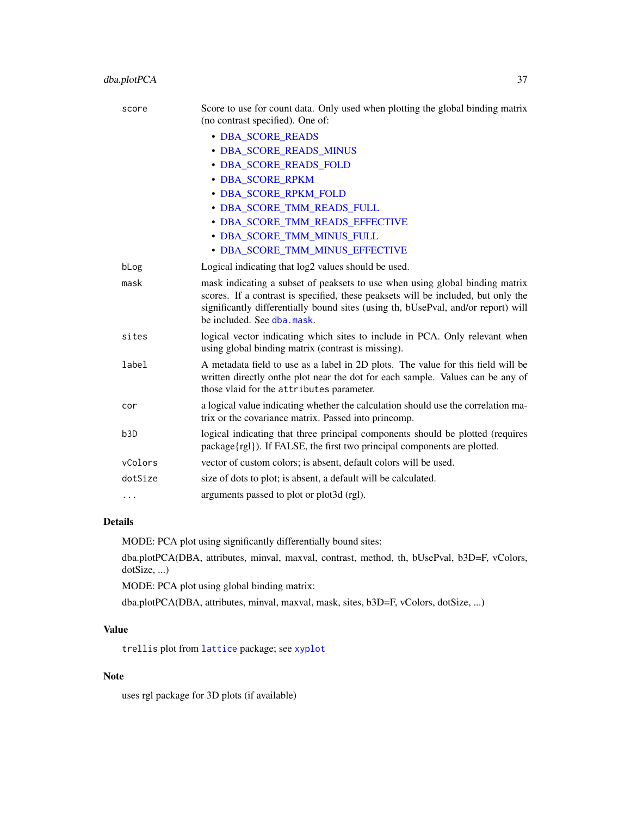| score | Score to use for count data. Only used when plotting the global binding matrix<br>(no contrast specified). One of:                                                                                                                                                                   |
|-------|--------------------------------------------------------------------------------------------------------------------------------------------------------------------------------------------------------------------------------------------------------------------------------------|
|       | • DBA_SCORE_READS                                                                                                                                                                                                                                                                    |
|       | · DBA_SCORE_READS_MINUS                                                                                                                                                                                                                                                              |
|       | · DBA_SCORE_READS_FOLD                                                                                                                                                                                                                                                               |
|       | · DBA_SCORE_RPKM                                                                                                                                                                                                                                                                     |
|       | · DBA_SCORE_RPKM_FOLD                                                                                                                                                                                                                                                                |
|       | · DBA_SCORE_TMM_READS_FULL                                                                                                                                                                                                                                                           |
|       | · DBA_SCORE_TMM_READS_EFFECTIVE                                                                                                                                                                                                                                                      |
|       | · DBA_SCORE_TMM_MINUS_FULL                                                                                                                                                                                                                                                           |
|       | · DBA_SCORE_TMM_MINUS_EFFECTIVE                                                                                                                                                                                                                                                      |
| bLog  | Logical indicating that log2 values should be used.                                                                                                                                                                                                                                  |
| mask  | mask indicating a subset of peaksets to use when using global binding matrix<br>scores. If a contrast is specified, these peaksets will be included, but only the<br>significantly differentially bound sites (using th, bUsePval, and/or report) will<br>be included. See dba.mask. |
| sites | logical vector indicating which sites to include in PCA. Only relevant when<br>using global binding matrix (contrast is missing).                                                                                                                                                    |
| label | A metadata field to use as a label in 2D plots. The value for this field will be<br>written directly onthe plot near the dot for each sample. Values can be any of<br>those vlaid for the attributes parameter.                                                                      |
| cor   | a logical value indicating whether the calculation should use the correlation ma-<br>trix or the covariance matrix. Passed into princomp.                                                                                                                                            |

| b3D     | logical indicating that three principal components should be plotted (requires |
|---------|--------------------------------------------------------------------------------|
|         | $package\{rgl\}$ ). If FALSE, the first two principal components are plotted.  |
| vColors | vector of custom colors; is absent, default colors will be used.               |

dotSize size of dots to plot; is absent, a default will be calculated.

... arguments passed to plot or plot3d (rgl).

### Details

MODE: PCA plot using significantly differentially bound sites:

dba.plotPCA(DBA, attributes, minval, maxval, contrast, method, th, bUsePval, b3D=F, vColors, dotSize, ...)

MODE: PCA plot using global binding matrix:

dba.plotPCA(DBA, attributes, minval, maxval, mask, sites, b3D=F, vColors, dotSize, ...)

### Value

trellis plot from [lattice](#page-0-0) package; see [xyplot](#page-0-0)

#### Note

uses rgl package for 3D plots (if available)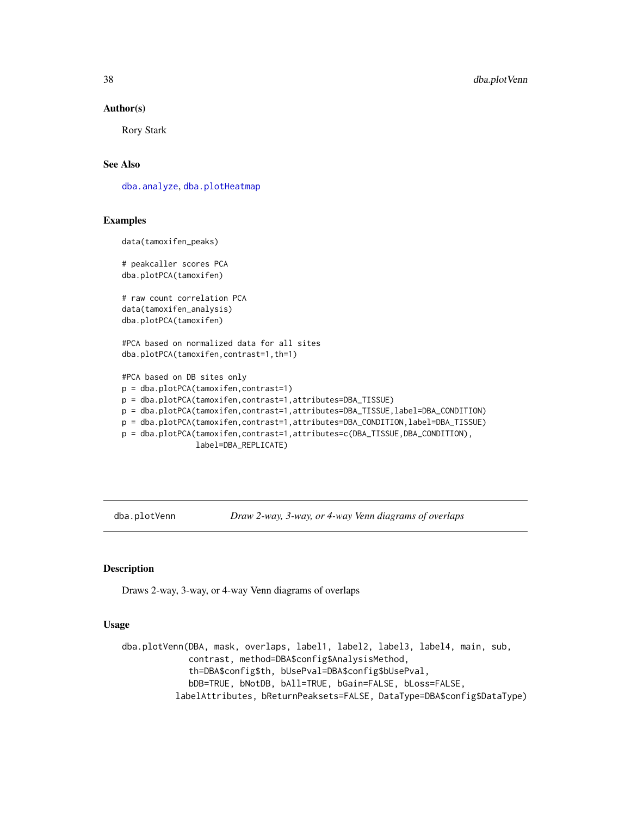#### Author(s)

Rory Stark

### See Also

[dba.analyze](#page-8-1), [dba.plotHeatmap](#page-29-1)

### Examples

data(tamoxifen\_peaks)

# peakcaller scores PCA dba.plotPCA(tamoxifen)

# raw count correlation PCA data(tamoxifen\_analysis) dba.plotPCA(tamoxifen)

#PCA based on normalized data for all sites dba.plotPCA(tamoxifen,contrast=1,th=1)

```
#PCA based on DB sites only
p = dba.plotPCA(tamoxifen,contrast=1)
p = dba.plotPCA(tamoxifen,contrast=1,attributes=DBA_TISSUE)
p = dba.plotPCA(tamoxifen,contrast=1,attributes=DBA_TISSUE,label=DBA_CONDITION)
p = dba.plotPCA(tamoxifen,contrast=1,attributes=DBA_CONDITION,label=DBA_TISSUE)
p = dba.plotPCA(tamoxifen,contrast=1,attributes=c(DBA_TISSUE,DBA_CONDITION),
                label=DBA_REPLICATE)
```
<span id="page-37-1"></span>dba.plotVenn *Draw 2-way, 3-way, or 4-way Venn diagrams of overlaps*

#### Description

Draws 2-way, 3-way, or 4-way Venn diagrams of overlaps

#### Usage

dba.plotVenn(DBA, mask, overlaps, label1, label2, label3, label4, main, sub, contrast, method=DBA\$config\$AnalysisMethod, th=DBA\$config\$th, bUsePval=DBA\$config\$bUsePval, bDB=TRUE, bNotDB, bAll=TRUE, bGain=FALSE, bLoss=FALSE, labelAttributes, bReturnPeaksets=FALSE, DataType=DBA\$config\$DataType)

<span id="page-37-0"></span>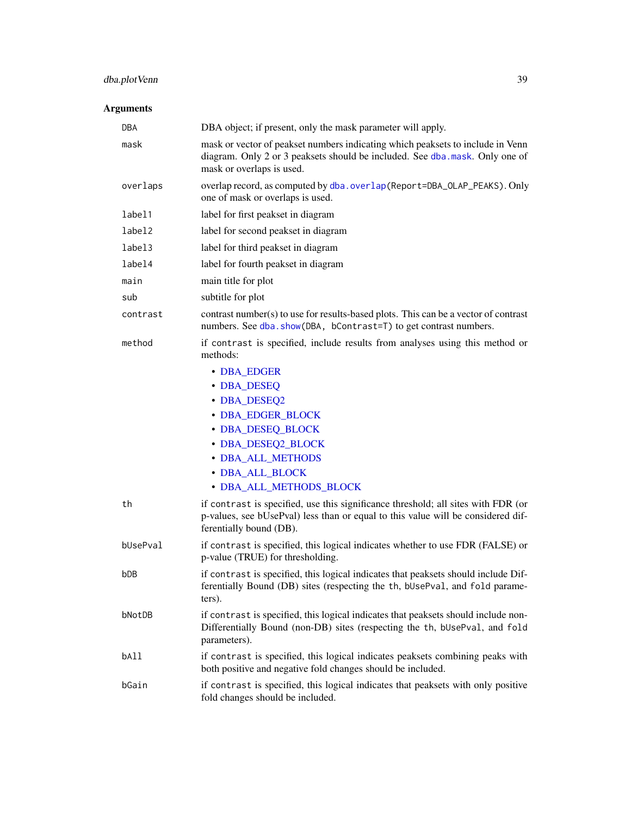## dba.plotVenn 39

| <b>DBA</b> | DBA object; if present, only the mask parameter will apply.                                                                                                                                      |  |
|------------|--------------------------------------------------------------------------------------------------------------------------------------------------------------------------------------------------|--|
| mask       | mask or vector of peakset numbers indicating which peaksets to include in Venn<br>diagram. Only 2 or 3 peaksets should be included. See dba. mask. Only one of<br>mask or overlaps is used.      |  |
| overlaps   | overlap record, as computed by dba.overlap(Report=DBA_OLAP_PEAKS). Only<br>one of mask or overlaps is used.                                                                                      |  |
| label1     | label for first peakset in diagram                                                                                                                                                               |  |
| label2     | label for second peakset in diagram                                                                                                                                                              |  |
| label3     | label for third peakset in diagram                                                                                                                                                               |  |
| label4     | label for fourth peakset in diagram                                                                                                                                                              |  |
| main       | main title for plot                                                                                                                                                                              |  |
| sub        | subtitle for plot                                                                                                                                                                                |  |
| contrast   | contrast number(s) to use for results-based plots. This can be a vector of contrast<br>numbers. See dba. show(DBA, bContrast=T) to get contrast numbers.                                         |  |
| method     | if contrast is specified, include results from analyses using this method or<br>methods:                                                                                                         |  |
|            | • DBA_EDGER                                                                                                                                                                                      |  |
|            | • DBA_DESEQ                                                                                                                                                                                      |  |
|            | • DBA_DESEQ2                                                                                                                                                                                     |  |
|            | • DBA_EDGER_BLOCK                                                                                                                                                                                |  |
|            | • DBA_DESEQ_BLOCK                                                                                                                                                                                |  |
|            | • DBA_DESEQ2_BLOCK                                                                                                                                                                               |  |
|            | • DBA_ALL_METHODS                                                                                                                                                                                |  |
|            | • DBA_ALL_BLOCK                                                                                                                                                                                  |  |
|            | · DBA_ALL_METHODS_BLOCK                                                                                                                                                                          |  |
| th         | if contrast is specified, use this significance threshold; all sites with FDR (or<br>p-values, see bUsePval) less than or equal to this value will be considered dif-<br>ferentially bound (DB). |  |
| bUsePval   | if contrast is specified, this logical indicates whether to use FDR (FALSE) or<br>p-value (TRUE) for thresholding.                                                                               |  |
| bDB        | if contrast is specified, this logical indicates that peaksets should include Dif-<br>ferentially Bound (DB) sites (respecting the th, bUsePval, and fold parame-<br>ters).                      |  |
| bNotDB     | if contrast is specified, this logical indicates that peaksets should include non-<br>Differentially Bound (non-DB) sites (respecting the th, bUsePval, and fold<br>parameters).                 |  |
| bAll       | if contrast is specified, this logical indicates peaksets combining peaks with<br>both positive and negative fold changes should be included.                                                    |  |
| bGain      | if contrast is specified, this logical indicates that peaksets with only positive<br>fold changes should be included.                                                                            |  |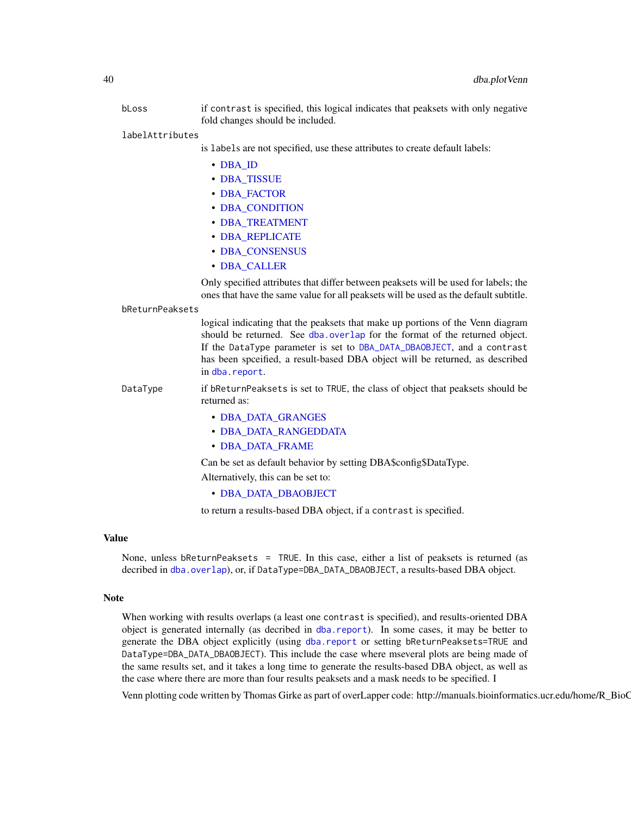- bLoss if contrast is specified, this logical indicates that peaksets with only negative fold changes should be included.
- labelAttributes

is labels are not specified, use these attributes to create default labels:

- [DBA\\_ID](#page-47-1)
- [DBA\\_TISSUE](#page-47-1)
- [DBA\\_FACTOR](#page-47-1)
- [DBA\\_CONDITION](#page-47-1)
- [DBA\\_TREATMENT](#page-47-1)
- [DBA\\_REPLICATE](#page-47-1)
- [DBA\\_CONSENSUS](#page-47-1)
- [DBA\\_CALLER](#page-47-1)

Only specified attributes that differ between peaksets will be used for labels; the ones that have the same value for all peaksets will be used as the default subtitle.

#### bReturnPeaksets

logical indicating that the peaksets that make up portions of the Venn diagram should be returned. See [dba.overlap](#page-19-1) for the format of the returned object. If the DataType parameter is set to [DBA\\_DATA\\_DBAOBJECT](#page-47-1), and a contrast has been spceified, a result-based DBA object will be returned, as described in [dba.report](#page-41-1).

DataType if bReturnPeaksets is set to TRUE, the class of object that peaksets should be returned as:

- [DBA\\_DATA\\_GRANGES](#page-47-1)
- [DBA\\_DATA\\_RANGEDDATA](#page-47-1)
- [DBA\\_DATA\\_FRAME](#page-47-1)

Can be set as default behavior by setting DBA\$config\$DataType.

Alternatively, this can be set to:

• [DBA\\_DATA\\_DBAOBJECT](#page-47-1)

to return a results-based DBA object, if a contrast is specified.

#### Value

None, unless bReturnPeaksets = TRUE. In this case, either a list of peaksets is returned (as decribed in [dba.overlap](#page-19-1)), or, if DataType=DBA\_DATA\_DBAOBJECT, a results-based DBA object.

#### Note

When working with results overlaps (a least one contrast is specified), and results-oriented DBA object is generated internally (as decribed in [dba.report](#page-41-1)). In some cases, it may be better to generate the DBA object explicitly (using [dba.report](#page-41-1) or setting bReturnPeaksets=TRUE and DataType=DBA\_DATA\_DBAOBJECT). This include the case where mseveral plots are being made of the same results set, and it takes a long time to generate the results-based DBA object, as well as the case where there are more than four results peaksets and a mask needs to be specified. I

Venn plotting code written by Thomas Girke as part of overLapper code: http://manuals.bioinformatics.ucr.edu/home/R\_BioC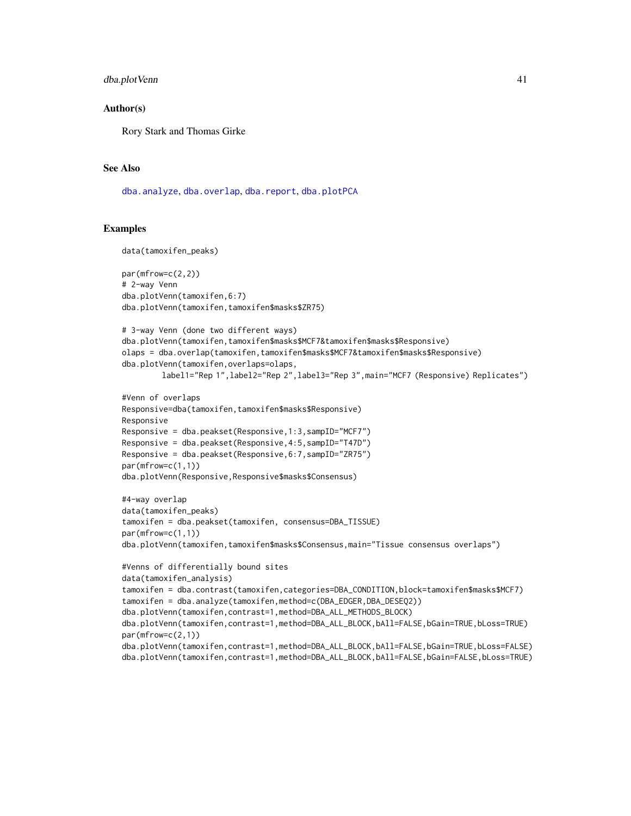#### dba.plotVenn 41

#### Author(s)

Rory Stark and Thomas Girke

#### See Also

[dba.analyze](#page-8-1), [dba.overlap](#page-19-1), [dba.report](#page-41-1), [dba.plotPCA](#page-34-1)

```
data(tamoxifen_peaks)
par(mfrow=c(2,2))
# 2-way Venn
dba.plotVenn(tamoxifen,6:7)
dba.plotVenn(tamoxifen,tamoxifen$masks$ZR75)
# 3-way Venn (done two different ways)
dba.plotVenn(tamoxifen,tamoxifen$masks$MCF7&tamoxifen$masks$Responsive)
olaps = dba.overlap(tamoxifen,tamoxifen$masks$MCF7&tamoxifen$masks$Responsive)
dba.plotVenn(tamoxifen,overlaps=olaps,
        label1="Rep 1",label2="Rep 2",label3="Rep 3",main="MCF7 (Responsive) Replicates")
#Venn of overlaps
Responsive=dba(tamoxifen,tamoxifen$masks$Responsive)
Responsive
Responsive = dba.peakset(Responsive,1:3,sampID="MCF7")
Responsive = dba.peakset(Responsive,4:5,sampID="T47D")
Responsive = dba.peakset(Responsive,6:7,sampID="ZR75")
par(mfrow=c(1,1))
dba.plotVenn(Responsive,Responsive$masks$Consensus)
#4-way overlap
data(tamoxifen_peaks)
tamoxifen = dba.peakset(tamoxifen, consensus=DBA_TISSUE)
par(mfrow=c(1,1))
dba.plotVenn(tamoxifen,tamoxifen$masks$Consensus,main="Tissue consensus overlaps")
#Venns of differentially bound sites
data(tamoxifen_analysis)
tamoxifen = dba.contrast(tamoxifen,categories=DBA_CONDITION,block=tamoxifen$masks$MCF7)
tamoxifen = dba.analyze(tamoxifen,method=c(DBA_EDGER,DBA_DESEQ2))
dba.plotVenn(tamoxifen,contrast=1,method=DBA_ALL_METHODS_BLOCK)
dba.plotVenn(tamoxifen,contrast=1,method=DBA_ALL_BLOCK,bAll=FALSE,bGain=TRUE,bLoss=TRUE)
par(mfrow=c(2,1))
dba.plotVenn(tamoxifen,contrast=1,method=DBA_ALL_BLOCK,bAll=FALSE,bGain=TRUE,bLoss=FALSE)
dba.plotVenn(tamoxifen,contrast=1,method=DBA_ALL_BLOCK,bAll=FALSE,bGain=FALSE,bLoss=TRUE)
```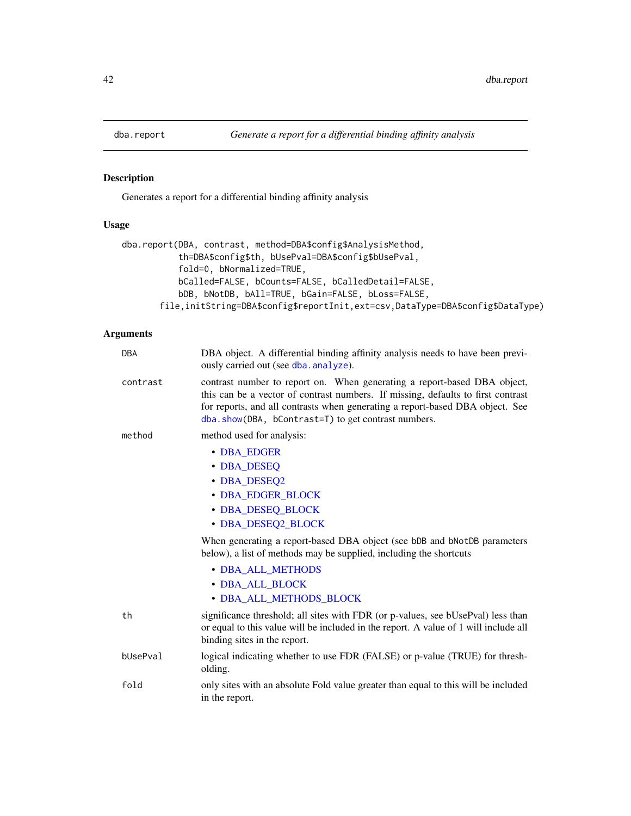<span id="page-41-1"></span><span id="page-41-0"></span>

### Description

Generates a report for a differential binding affinity analysis

### Usage

```
dba.report(DBA, contrast, method=DBA$config$AnalysisMethod,
           th=DBA$config$th, bUsePval=DBA$config$bUsePval,
           fold=0, bNormalized=TRUE,
          bCalled=FALSE, bCounts=FALSE, bCalledDetail=FALSE,
          bDB, bNotDB, bAll=TRUE, bGain=FALSE, bLoss=FALSE,
       file,initString=DBA$config$reportInit,ext=csv,DataType=DBA$config$DataType)
```

| <b>DBA</b> | DBA object. A differential binding affinity analysis needs to have been previ-<br>ously carried out (see dba. analyze).                                                                                                                                                                              |
|------------|------------------------------------------------------------------------------------------------------------------------------------------------------------------------------------------------------------------------------------------------------------------------------------------------------|
| contrast   | contrast number to report on. When generating a report-based DBA object,<br>this can be a vector of contrast numbers. If missing, defaults to first contrast<br>for reports, and all contrasts when generating a report-based DBA object. See<br>dba.show(DBA, bContrast=T) to get contrast numbers. |
| method     | method used for analysis:                                                                                                                                                                                                                                                                            |
|            | • DBA EDGER<br>• DBA_DESEQ<br>• DBA_DESEQ2<br>• DBA_EDGER_BLOCK<br>• DBA_DESEQ_BLOCK<br>• DBA_DESEQ2_BLOCK                                                                                                                                                                                           |
|            | When generating a report-based DBA object (see bDB and bNotDB parameters<br>below), a list of methods may be supplied, including the shortcuts                                                                                                                                                       |
|            | • DBA ALL METHODS<br>• DBA_ALL_BLOCK<br>• DBA_ALL_METHODS_BLOCK                                                                                                                                                                                                                                      |
| th         | significance threshold; all sites with FDR (or p-values, see bUsePval) less than<br>or equal to this value will be included in the report. A value of 1 will include all<br>binding sites in the report.                                                                                             |
| bUsePval   | logical indicating whether to use FDR (FALSE) or p-value (TRUE) for thresh-<br>olding.                                                                                                                                                                                                               |
| fold       | only sites with an absolute Fold value greater than equal to this will be included<br>in the report.                                                                                                                                                                                                 |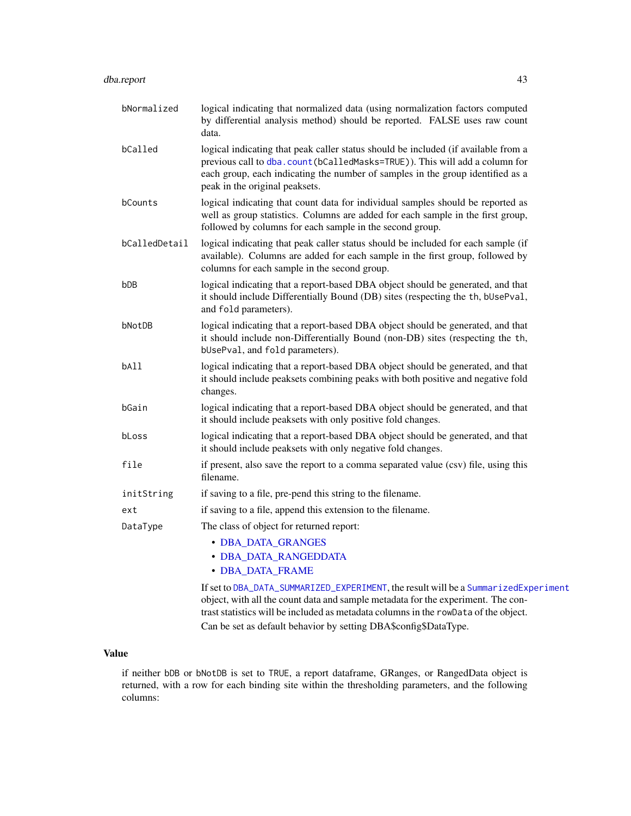### dba.report 43

| bNormalized     | logical indicating that normalized data (using normalization factors computed<br>by differential analysis method) should be reported. FALSE uses raw count<br>data.                                                                                                                  |
|-----------------|--------------------------------------------------------------------------------------------------------------------------------------------------------------------------------------------------------------------------------------------------------------------------------------|
| bCalled         | logical indicating that peak caller status should be included (if available from a<br>previous call to dba.count(bCalledMasks=TRUE)). This will add a column for<br>each group, each indicating the number of samples in the group identified as a<br>peak in the original peaksets. |
| bCounts         | logical indicating that count data for individual samples should be reported as<br>well as group statistics. Columns are added for each sample in the first group,<br>followed by columns for each sample in the second group.                                                       |
| bCalledDetail   | logical indicating that peak caller status should be included for each sample (if<br>available). Columns are added for each sample in the first group, followed by<br>columns for each sample in the second group.                                                                   |
| b <sub>DB</sub> | logical indicating that a report-based DBA object should be generated, and that<br>it should include Differentially Bound (DB) sites (respecting the th, bUsePval,<br>and fold parameters).                                                                                          |
| bNotDB          | logical indicating that a report-based DBA object should be generated, and that<br>it should include non-Differentially Bound (non-DB) sites (respecting the th,<br>bUsePval, and fold parameters).                                                                                  |
| bAll            | logical indicating that a report-based DBA object should be generated, and that<br>it should include peaksets combining peaks with both positive and negative fold<br>changes.                                                                                                       |
| bGain           | logical indicating that a report-based DBA object should be generated, and that<br>it should include peaksets with only positive fold changes.                                                                                                                                       |
| bLoss           | logical indicating that a report-based DBA object should be generated, and that<br>it should include peaksets with only negative fold changes.                                                                                                                                       |
| file            | if present, also save the report to a comma separated value (csv) file, using this<br>filename.                                                                                                                                                                                      |
| initString      | if saving to a file, pre-pend this string to the filename.                                                                                                                                                                                                                           |
| ext             | if saving to a file, append this extension to the filename.                                                                                                                                                                                                                          |
| DataType        | The class of object for returned report:                                                                                                                                                                                                                                             |
|                 | • DBA_DATA_GRANGES                                                                                                                                                                                                                                                                   |
|                 | • DBA_DATA_RANGEDDATA                                                                                                                                                                                                                                                                |
|                 | • DBA_DATA_FRAME                                                                                                                                                                                                                                                                     |
|                 | If set to DBA_DATA_SUMMARIZED_EXPERIMENT, the result will be a SummarizedExperiment                                                                                                                                                                                                  |

object, with all the count data and sample metadata for the experiment. The contrast statistics will be included as metadata columns in the rowData of the object. Can be set as default behavior by setting DBA\$config\$DataType.

### Value

if neither bDB or bNotDB is set to TRUE, a report dataframe, GRanges, or RangedData object is returned, with a row for each binding site within the thresholding parameters, and the following columns: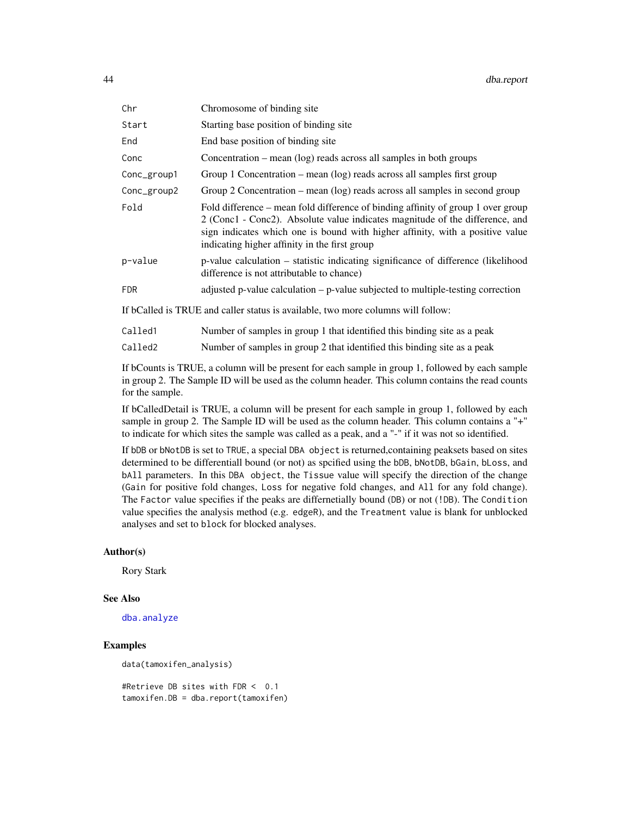| Chr         | Chromosome of binding site                                                                                                                                                                                                                                                                         |  |
|-------------|----------------------------------------------------------------------------------------------------------------------------------------------------------------------------------------------------------------------------------------------------------------------------------------------------|--|
| Start       | Starting base position of binding site                                                                                                                                                                                                                                                             |  |
| End         | End base position of binding site                                                                                                                                                                                                                                                                  |  |
| Conc        | Concentration – mean $(\log)$ reads across all samples in both groups                                                                                                                                                                                                                              |  |
| Conc_group1 | Group 1 Concentration – mean $(\log)$ reads across all samples first group                                                                                                                                                                                                                         |  |
| Conc_group2 | Group 2 Concentration – mean (log) reads across all samples in second group                                                                                                                                                                                                                        |  |
| Fold        | Fold difference – mean fold difference of binding affinity of group 1 over group<br>2 (Conc1 - Conc2). Absolute value indicates magnitude of the difference, and<br>sign indicates which one is bound with higher affinity, with a positive value<br>indicating higher affinity in the first group |  |
| p-value     | p-value calculation – statistic indicating significance of difference (likelihood<br>difference is not attributable to chance)                                                                                                                                                                     |  |
| <b>FDR</b>  | adjusted p-value calculation – p-value subjected to multiple-testing correction                                                                                                                                                                                                                    |  |
|             | If bCalled is TRUE and caller status is available, two more columns will follow:                                                                                                                                                                                                                   |  |

| Called2 |  |  | Number of samples in group 2 that identified this binding site as a peak |  |  |  |
|---------|--|--|--------------------------------------------------------------------------|--|--|--|
|---------|--|--|--------------------------------------------------------------------------|--|--|--|

If bCounts is TRUE, a column will be present for each sample in group 1, followed by each sample in group 2. The Sample ID will be used as the column header. This column contains the read counts for the sample.

If bCalledDetail is TRUE, a column will be present for each sample in group 1, followed by each sample in group 2. The Sample ID will be used as the column header. This column contains a "+" to indicate for which sites the sample was called as a peak, and a "-" if it was not so identified.

If bDB or bNotDB is set to TRUE, a special DBA object is returned,containing peaksets based on sites determined to be differentiall bound (or not) as spcified using the bDB, bNotDB, bGain, bLoss, and bAll parameters. In this DBA object, the Tissue value will specify the direction of the change (Gain for positive fold changes, Loss for negative fold changes, and All for any fold change). The Factor value specifies if the peaks are differnetially bound (DB) or not (!DB). The Condition value specifies the analysis method (e.g. edgeR), and the Treatment value is blank for unblocked analyses and set to block for blocked analyses.

#### Author(s)

Rory Stark

#### See Also

[dba.analyze](#page-8-1)

### Examples

data(tamoxifen\_analysis)

#Retrieve DB sites with FDR < 0.1 tamoxifen.DB = dba.report(tamoxifen)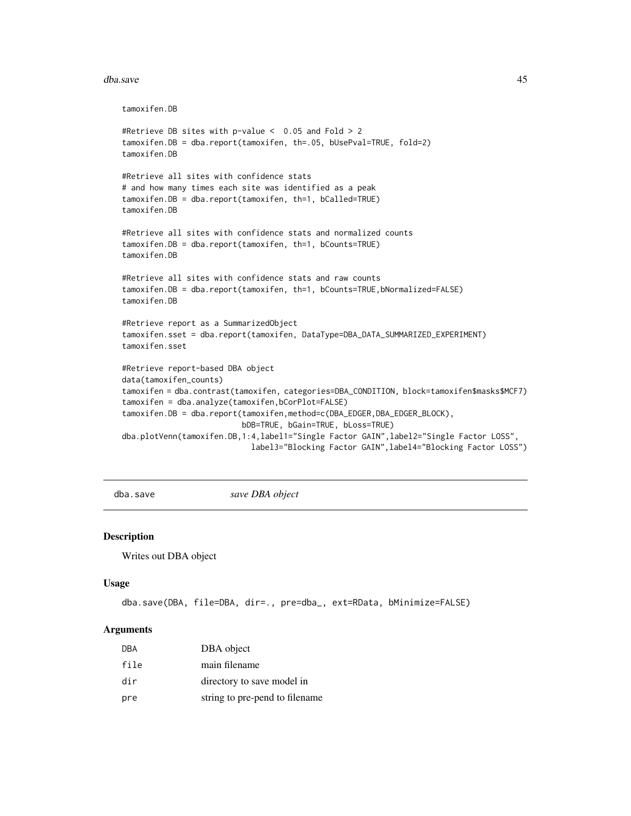#### <span id="page-44-0"></span>dba.save 45

```
tamoxifen.DB
#Retrieve DB sites with p-value < 0.05 and Fold > 2
tamoxifen.DB = dba.report(tamoxifen, th=.05, bUsePval=TRUE, fold=2)
tamoxifen.DB
#Retrieve all sites with confidence stats
# and how many times each site was identified as a peak
tamoxifen.DB = dba.report(tamoxifen, th=1, bCalled=TRUE)
tamoxifen.DB
#Retrieve all sites with confidence stats and normalized counts
tamoxifen.DB = dba.report(tamoxifen, th=1, bCounts=TRUE)
tamoxifen.DB
#Retrieve all sites with confidence stats and raw counts
tamoxifen.DB = dba.report(tamoxifen, th=1, bCounts=TRUE,bNormalized=FALSE)
tamoxifen.DB
#Retrieve report as a SummarizedObject
tamoxifen.sset = dba.report(tamoxifen, DataType=DBA_DATA_SUMMARIZED_EXPERIMENT)
tamoxifen.sset
#Retrieve report-based DBA object
data(tamoxifen_counts)
tamoxifen = dba.contrast(tamoxifen, categories=DBA_CONDITION, block=tamoxifen$masks$MCF7)
tamoxifen = dba.analyze(tamoxifen,bCorPlot=FALSE)
tamoxifen.DB = dba.report(tamoxifen,method=c(DBA_EDGER,DBA_EDGER_BLOCK),
                          bDB=TRUE, bGain=TRUE, bLoss=TRUE)
dba.plotVenn(tamoxifen.DB,1:4,label1="Single Factor GAIN",label2="Single Factor LOSS",
                            label3="Blocking Factor GAIN",label4="Blocking Factor LOSS")
```
<span id="page-44-1"></span>

dba.save *save DBA object*

#### Description

Writes out DBA object

#### Usage

```
dba.save(DBA, file=DBA, dir=., pre=dba_, ext=RData, bMinimize=FALSE)
```

| DBA  | DBA object                     |
|------|--------------------------------|
| file | main filename                  |
| dir  | directory to save model in     |
| pre  | string to pre-pend to filename |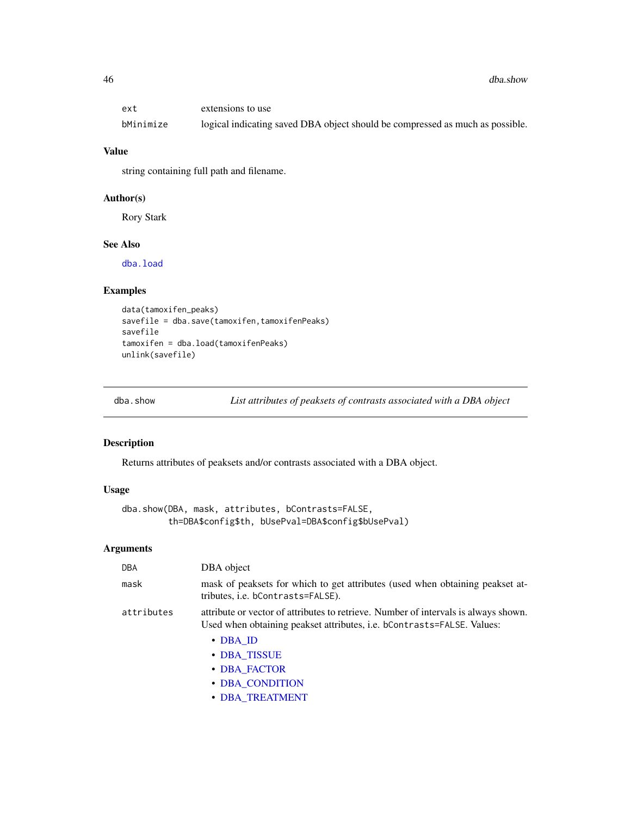<span id="page-45-0"></span>

| ext       | extensions to use                                                             |
|-----------|-------------------------------------------------------------------------------|
| bMinimize | logical indicating saved DBA object should be compressed as much as possible. |

### Value

string containing full path and filename.

### Author(s)

Rory Stark

### See Also

[dba.load](#page-16-1)

#### Examples

```
data(tamoxifen_peaks)
savefile = dba.save(tamoxifen,tamoxifenPeaks)
savefile
tamoxifen = dba.load(tamoxifenPeaks)
unlink(savefile)
```
<span id="page-45-1"></span>dba.show *List attributes of peaksets of contrasts associated with a DBA object*

### Description

Returns attributes of peaksets and/or contrasts associated with a DBA object.

### Usage

```
dba.show(DBA, mask, attributes, bContrasts=FALSE,
         th=DBA$config$th, bUsePval=DBA$config$bUsePval)
```

| DBA        | DBA object                                                                                                                                                    |
|------------|---------------------------------------------------------------------------------------------------------------------------------------------------------------|
| mask       | mask of peaksets for which to get attributes (used when obtaining peakset at-<br>tributes, i.e. bContrasts=FALSE).                                            |
| attributes | attribute or vector of attributes to retrieve. Number of intervals is always shown.<br>Used when obtaining peakset attributes, i.e. bContrasts=FALSE. Values: |
|            | $\cdot$ DBA_ID                                                                                                                                                |
|            | • DBA TISSUE                                                                                                                                                  |
|            | • DBA FACTOR                                                                                                                                                  |
|            | • DBA CONDITION                                                                                                                                               |
|            | • DBA TREATMENT                                                                                                                                               |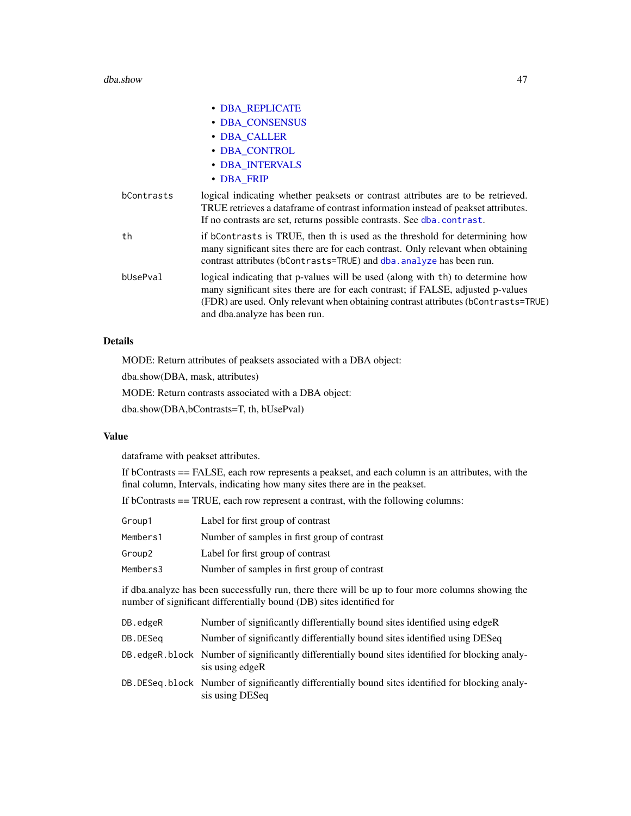#### dba.show 47

|            | • DBA REPLICATE                                                                                                                                                                                                                                                                          |
|------------|------------------------------------------------------------------------------------------------------------------------------------------------------------------------------------------------------------------------------------------------------------------------------------------|
|            | · DBA_CONSENSUS                                                                                                                                                                                                                                                                          |
|            | • DBA CALLER                                                                                                                                                                                                                                                                             |
|            | • DBA CONTROL                                                                                                                                                                                                                                                                            |
|            | • DBA_INTERVALS                                                                                                                                                                                                                                                                          |
|            | • DBA_FRIP                                                                                                                                                                                                                                                                               |
| bContrasts | logical indicating whether peaksets or contrast attributes are to be retrieved.<br>TRUE retrieves a data frame of contrast information instead of peakset attributes.<br>If no contrasts are set, returns possible contrasts. See dba.contrast.                                          |
| th         | if bContrasts is TRUE, then th is used as the threshold for determining how<br>many significant sites there are for each contrast. Only relevant when obtaining<br>contrast attributes (bContrasts=TRUE) and dba. analyze has been run.                                                  |
| bUsePval   | logical indicating that p-values will be used (along with th) to determine how<br>many significant sites there are for each contrast; if FALSE, adjusted p-values<br>(FDR) are used. Only relevant when obtaining contrast attributes (bContrasts=TRUE)<br>and dba.analyze has been run. |
|            |                                                                                                                                                                                                                                                                                          |

### Details

MODE: Return attributes of peaksets associated with a DBA object:

dba.show(DBA, mask, attributes)

MODE: Return contrasts associated with a DBA object:

dba.show(DBA,bContrasts=T, th, bUsePval)

### Value

dataframe with peakset attributes.

If bContrasts == FALSE, each row represents a peakset, and each column is an attributes, with the final column, Intervals, indicating how many sites there are in the peakset.

If bContrasts == TRUE, each row represent a contrast, with the following columns:

| Group1   | Label for first group of contrast            |
|----------|----------------------------------------------|
| Members1 | Number of samples in first group of contrast |
| Group2   | Label for first group of contrast            |
| Members3 | Number of samples in first group of contrast |

if dba.analyze has been successfully run, there there will be up to four more columns showing the number of significant differentially bound (DB) sites identified for

- DB.edgeR Number of significantly differentially bound sites identified using edgeR
- DB.DESeq Number of significantly differentially bound sites identified using DESeq
- DB.edgeR.block Number of significantly differentially bound sites identified for blocking analysis using edgeR
- DB.DESeq.block Number of significantly differentially bound sites identified for blocking analysis using DESeq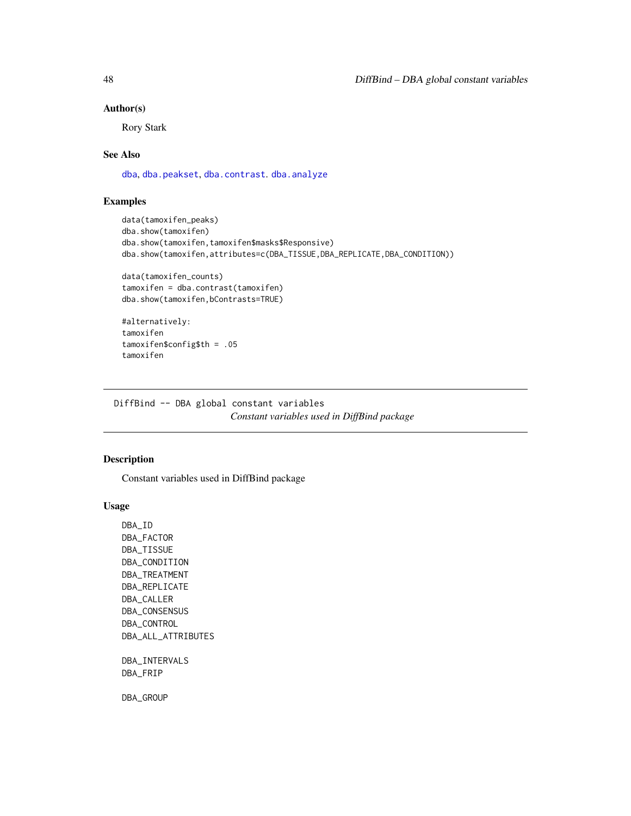#### Author(s)

Rory Stark

#### See Also

[dba](#page-2-1), [dba.peakset](#page-22-1), [dba.contrast](#page-10-1). [dba.analyze](#page-8-1)

#### Examples

```
data(tamoxifen_peaks)
dba.show(tamoxifen)
dba.show(tamoxifen,tamoxifen$masks$Responsive)
dba.show(tamoxifen,attributes=c(DBA_TISSUE,DBA_REPLICATE,DBA_CONDITION))
data(tamoxifen_counts)
tamoxifen = dba.contrast(tamoxifen)
dba.show(tamoxifen,bContrasts=TRUE)
```

```
#alternatively:
tamoxifen
tamoxifen$config$th = .05
tamoxifen
```
DiffBind -- DBA global constant variables *Constant variables used in DiffBind package*

### <span id="page-47-1"></span>Description

Constant variables used in DiffBind package

#### Usage

DBA\_ID DBA\_FACTOR DBA\_TISSUE DBA\_CONDITION DBA\_TREATMENT DBA\_REPLICATE DBA\_CALLER DBA\_CONSENSUS DBA\_CONTROL DBA\_ALL\_ATTRIBUTES DBA\_INTERVALS DBA\_FRIP DBA\_GROUP

<span id="page-47-0"></span>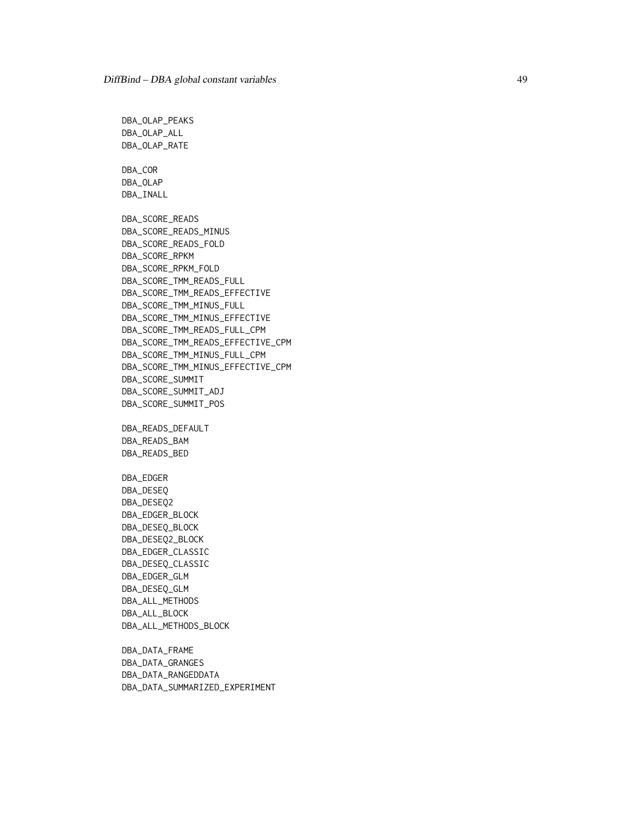DBA\_OLAP\_PEAKS DBA\_OLAP\_ALL DBA\_OLAP\_RATE DBA\_COR DBA\_OLAP DBA\_INALL DBA\_SCORE\_READS DBA\_SCORE\_READS\_MINUS DBA\_SCORE\_READS\_FOLD DBA\_SCORE\_RPKM DBA\_SCORE\_RPKM\_FOLD DBA\_SCORE\_TMM\_READS\_FULL DBA\_SCORE\_TMM\_READS\_EFFECTIVE DBA\_SCORE\_TMM\_MINUS\_FULL DBA\_SCORE\_TMM\_MINUS\_EFFECTIVE DBA\_SCORE\_TMM\_READS\_FULL\_CPM DBA\_SCORE\_TMM\_READS\_EFFECTIVE\_CPM DBA\_SCORE\_TMM\_MINUS\_FULL\_CPM DBA\_SCORE\_TMM\_MINUS\_EFFECTIVE\_CPM DBA\_SCORE\_SUMMIT DBA\_SCORE\_SUMMIT\_ADJ DBA\_SCORE\_SUMMIT\_POS DBA\_READS\_DEFAULT DBA\_READS\_BAM DBA\_READS\_BED DBA\_EDGER DBA\_DESEQ DBA\_DESEQ2 DBA\_EDGER\_BLOCK DBA\_DESEQ\_BLOCK DBA\_DESEQ2\_BLOCK DBA\_EDGER\_CLASSIC DBA\_DESEQ\_CLASSIC DBA\_EDGER\_GLM DBA\_DESEQ\_GLM DBA\_ALL\_METHODS DBA\_ALL\_BLOCK DBA\_ALL\_METHODS\_BLOCK DBA\_DATA\_FRAME

DBA\_DATA\_GRANGES DBA\_DATA\_RANGEDDATA DBA\_DATA\_SUMMARIZED\_EXPERIMENT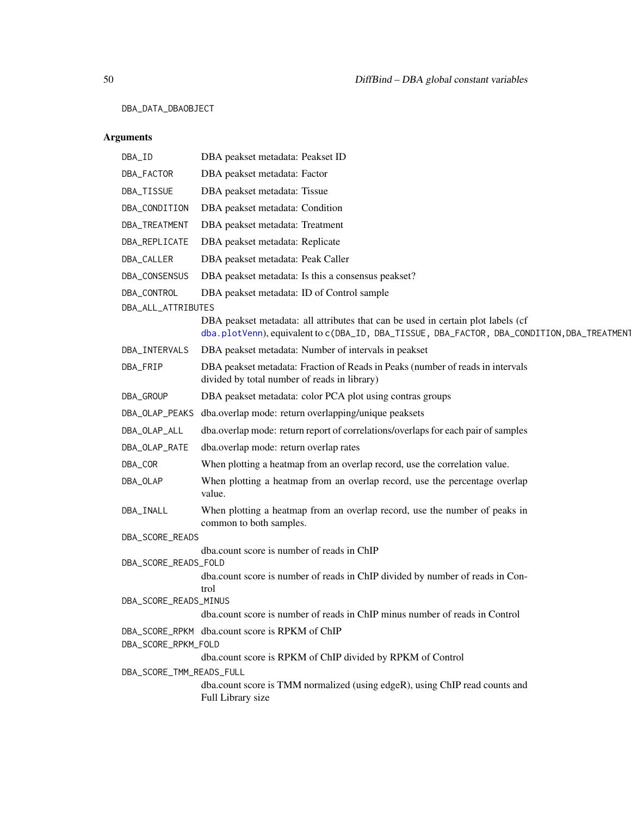DBA\_DATA\_DBAOBJECT

| DBA_ID                            | DBA peakset metadata: Peakset ID                                                                                                                                                |
|-----------------------------------|---------------------------------------------------------------------------------------------------------------------------------------------------------------------------------|
| DBA_FACTOR                        | DBA peakset metadata: Factor                                                                                                                                                    |
| DBA_TISSUE                        | DBA peakset metadata: Tissue                                                                                                                                                    |
| DBA_CONDITION                     | DBA peakset metadata: Condition                                                                                                                                                 |
| DBA_TREATMENT                     | DBA peakset metadata: Treatment                                                                                                                                                 |
| DBA_REPLICATE                     | DBA peakset metadata: Replicate                                                                                                                                                 |
| DBA_CALLER                        | DBA peakset metadata: Peak Caller                                                                                                                                               |
| DBA_CONSENSUS                     | DBA peakset metadata: Is this a consensus peakset?                                                                                                                              |
| DBA_CONTROL<br>DBA_ALL_ATTRIBUTES | DBA peakset metadata: ID of Control sample                                                                                                                                      |
|                                   | DBA peakset metadata: all attributes that can be used in certain plot labels (cf<br>dba.plotVenn), equivalent to c(DBA_ID, DBA_TISSUE, DBA_FACTOR, DBA_CONDITION, DBA_TREATMENT |
| DBA_INTERVALS                     | DBA peakset metadata: Number of intervals in peakset                                                                                                                            |
| DBA_FRIP                          | DBA peakset metadata: Fraction of Reads in Peaks (number of reads in intervals<br>divided by total number of reads in library)                                                  |
| DBA_GROUP                         | DBA peakset metadata: color PCA plot using contras groups                                                                                                                       |
| DBA_OLAP_PEAKS                    | dba.overlap mode: return overlapping/unique peaksets                                                                                                                            |
| DBA_OLAP_ALL                      | dba.overlap mode: return report of correlations/overlaps for each pair of samples                                                                                               |
| DBA_OLAP_RATE                     | dba.overlap mode: return overlap rates                                                                                                                                          |
| DBA_COR                           | When plotting a heatmap from an overlap record, use the correlation value.                                                                                                      |
| DBA_OLAP                          | When plotting a heatmap from an overlap record, use the percentage overlap<br>value.                                                                                            |
| DBA_INALL                         | When plotting a heatmap from an overlap record, use the number of peaks in<br>common to both samples.                                                                           |
| DBA_SCORE_READS                   |                                                                                                                                                                                 |
|                                   | dba.count score is number of reads in ChIP                                                                                                                                      |
| DBA_SCORE_READS_FOLD              | dba.count score is number of reads in ChIP divided by number of reads in Con-<br>trol                                                                                           |
| DBA_SCORE_READS_MINUS             |                                                                                                                                                                                 |
|                                   | dba.count score is number of reads in ChIP minus number of reads in Control                                                                                                     |
| DBA_SCORE_RPKM_FOLD               | DBA_SCORE_RPKM dba.count score is RPKM of ChIP                                                                                                                                  |
|                                   | dba.count score is RPKM of ChIP divided by RPKM of Control                                                                                                                      |
| DBA_SCORE_TMM_READS_FULL          | dba.count score is TMM normalized (using edgeR), using ChIP read counts and<br>Full Library size                                                                                |
|                                   |                                                                                                                                                                                 |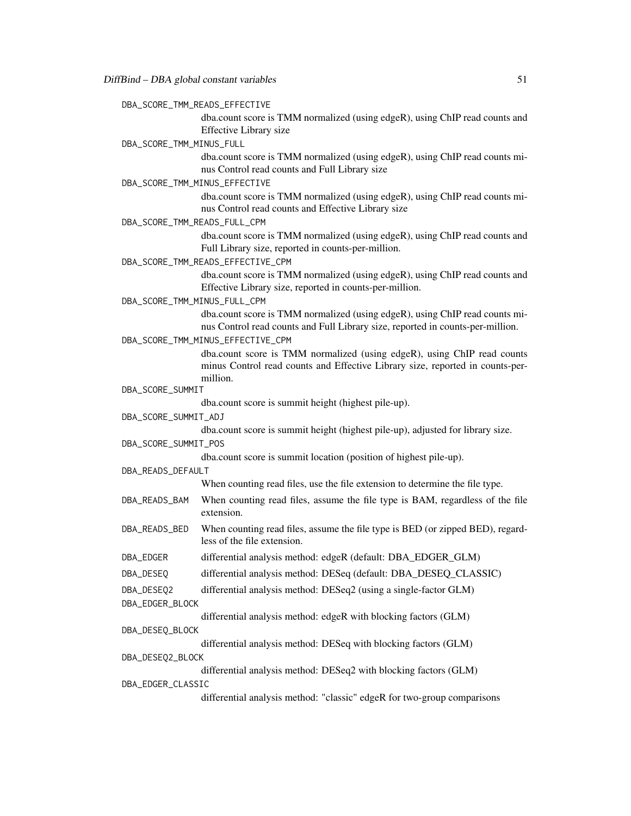|  |  |  |  |  | DBA_SCORE_TMM_READS_EFFECTIVE |
|--|--|--|--|--|-------------------------------|
|--|--|--|--|--|-------------------------------|

dba.count score is TMM normalized (using edgeR), using ChIP read counts and Effective Library size

DBA\_SCORE\_TMM\_MINUS\_FULL

dba.count score is TMM normalized (using edgeR), using ChIP read counts minus Control read counts and Full Library size

DBA\_SCORE\_TMM\_MINUS\_EFFECTIVE

dba.count score is TMM normalized (using edgeR), using ChIP read counts minus Control read counts and Effective Library size

DBA\_SCORE\_TMM\_READS\_FULL\_CPM

dba.count score is TMM normalized (using edgeR), using ChIP read counts and Full Library size, reported in counts-per-million.

DBA\_SCORE\_TMM\_READS\_EFFECTIVE\_CPM

dba.count score is TMM normalized (using edgeR), using ChIP read counts and Effective Library size, reported in counts-per-million.

DBA\_SCORE\_TMM\_MINUS\_FULL\_CPM

dba.count score is TMM normalized (using edgeR), using ChIP read counts minus Control read counts and Full Library size, reported in counts-per-million.

DBA\_SCORE\_TMM\_MINUS\_EFFECTIVE\_CPM

dba.count score is TMM normalized (using edgeR), using ChIP read counts minus Control read counts and Effective Library size, reported in counts-permillion.

DBA\_SCORE\_SUMMIT

dba.count score is summit height (highest pile-up).

DBA\_SCORE\_SUMMIT\_ADJ

dba.count score is summit height (highest pile-up), adjusted for library size.

DBA\_SCORE\_SUMMIT\_POS

dba.count score is summit location (position of highest pile-up).

DBA\_READS\_DEFAULT

When counting read files, use the file extension to determine the file type.

- DBA\_READS\_BAM When counting read files, assume the file type is BAM, regardless of the file extension.
- DBA\_READS\_BED When counting read files, assume the file type is BED (or zipped BED), regardless of the file extension.
- DBA\_EDGER differential analysis method: edgeR (default: DBA\_EDGER\_GLM)
- DBA\_DESEQ differential analysis method: DESeq (default: DBA\_DESEQ\_CLASSIC)
- DBA\_DESEQ2 differential analysis method: DESeq2 (using a single-factor GLM)
- DBA\_EDGER\_BLOCK

differential analysis method: edgeR with blocking factors (GLM)

DBA\_DESEQ\_BLOCK

differential analysis method: DESeq with blocking factors (GLM)

DBA\_DESEQ2\_BLOCK

differential analysis method: DESeq2 with blocking factors (GLM)

DBA\_EDGER\_CLASSIC

differential analysis method: "classic" edgeR for two-group comparisons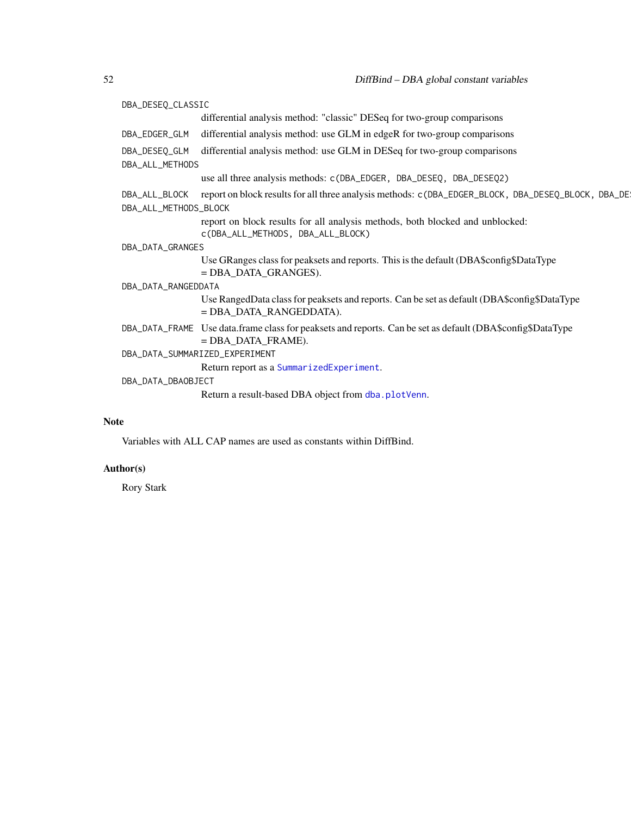DBA\_DESEQ\_CLASSIC differential analysis method: "classic" DESeq for two-group comparisons DBA\_EDGER\_GLM differential analysis method: use GLM in edgeR for two-group comparisons DBA\_DESEQ\_GLM differential analysis method: use GLM in DESeq for two-group comparisons DBA\_ALL\_METHODS use all three analysis methods: c(DBA\_EDGER, DBA\_DESEQ, DBA\_DESEQ2) DBA\_ALL\_BLOCK report on block results for all three analysis methods: c(DBA\_EDGER\_BLOCK, DBA\_DESEQ\_BLOCK, DBA\_DE DBA\_ALL\_METHODS\_BLOCK report on block results for all analysis methods, both blocked and unblocked: c(DBA\_ALL\_METHODS, DBA\_ALL\_BLOCK) DBA\_DATA\_GRANGES Use GRanges class for peaksets and reports. This is the default (DBA\$config\$DataType = DBA\_DATA\_GRANGES). DBA\_DATA\_RANGEDDATA Use RangedData class for peaksets and reports. Can be set as default (DBA\$config\$DataType = DBA\_DATA\_RANGEDDATA). DBA\_DATA\_FRAME Use data.frame class for peaksets and reports. Can be set as default (DBA\$config\$DataType = DBA\_DATA\_FRAME). DBA\_DATA\_SUMMARIZED\_EXPERIMENT Return report as a [SummarizedExperiment](#page-0-0). DBA\_DATA\_DBAOBJECT Return a result-based DBA object from [dba.plotVenn](#page-37-1).

#### **Note**

Variables with ALL CAP names are used as constants within DiffBind.

#### Author(s)

Rory Stark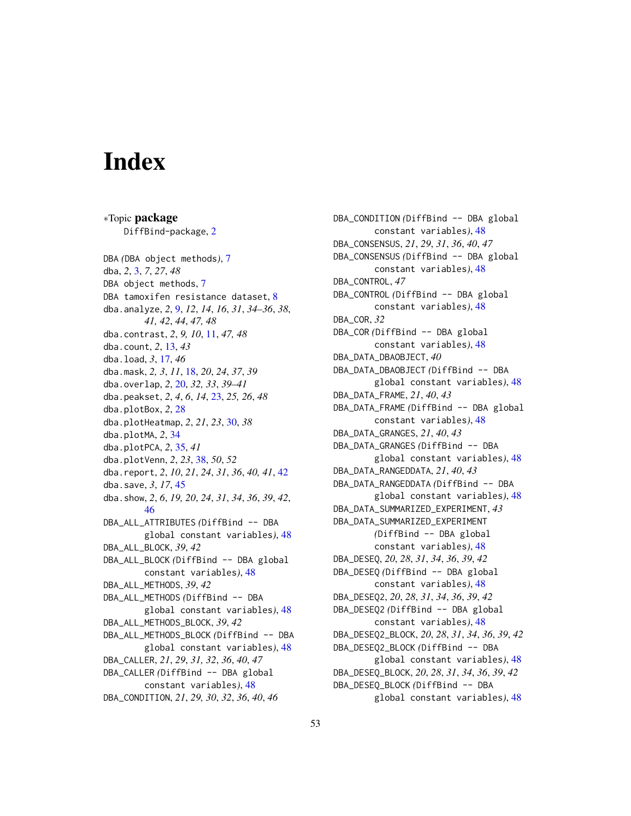# <span id="page-52-0"></span>**Index**

∗Topic package DiffBind-package, [2](#page-1-0) DBA *(*DBA object methods*)*, [7](#page-6-0) dba, *2*, [3,](#page-2-0) *7*, *27*, *48* DBA object methods, [7](#page-6-0) DBA tamoxifen resistance dataset, [8](#page-7-0) dba.analyze, *2*, [9,](#page-8-0) *12*, *14*, *16*, *31*, *34–36*, *38*, *41, 42*, *44*, *47, 48* dba.contrast, *2*, *9, 10*, [11,](#page-10-0) *47, 48* dba.count, *2*, [13,](#page-12-0) *43* dba.load, *3*, [17,](#page-16-0) *46* dba.mask, *2, 3*, *11*, [18,](#page-17-0) *20*, *24*, *37*, *39* dba.overlap, *2*, [20,](#page-19-0) *32, 33*, *39–41* dba.peakset, *2*, *4*, *6*, *14*, [23,](#page-22-0) *25, 26*, *48* dba.plotBox, *2*, [28](#page-27-0) dba.plotHeatmap, *2*, *21*, *23*, [30,](#page-29-0) *38* dba.plotMA, *2*, [34](#page-33-0) dba.plotPCA, *2*, [35,](#page-34-0) *41* dba.plotVenn, *2*, *23*, [38,](#page-37-0) *50*, *52* dba.report, *2*, *10*, *21*, *24*, *31*, *36*, *40, 41*, [42](#page-41-0) dba.save, *3*, *17*, [45](#page-44-0) dba.show, *2*, *6*, *19, 20*, *24*, *31*, *34*, *36*, *39*, *42*, [46](#page-45-0) DBA\_ALL\_ATTRIBUTES *(*DiffBind -- DBA global constant variables*)*, [48](#page-47-0) DBA\_ALL\_BLOCK, *39*, *42* DBA\_ALL\_BLOCK *(*DiffBind -- DBA global constant variables*)*, [48](#page-47-0) DBA\_ALL\_METHODS, *39*, *42* DBA\_ALL\_METHODS *(*DiffBind -- DBA global constant variables*)*, [48](#page-47-0) DBA\_ALL\_METHODS\_BLOCK, *39*, *42* DBA\_ALL\_METHODS\_BLOCK *(*DiffBind -- DBA global constant variables*)*, [48](#page-47-0) DBA\_CALLER, *21*, *29*, *31, 32*, *36*, *40*, *47* DBA\_CALLER *(*DiffBind -- DBA global constant variables*)*, [48](#page-47-0) DBA\_CONDITION, *21*, *29, 30*, *32*, *36*, *40*, *46*

DBA\_CONDITION *(*DiffBind -- DBA global constant variables*)*, [48](#page-47-0) DBA\_CONSENSUS, *21*, *29*, *31*, *36*, *40*, *47* DBA\_CONSENSUS *(*DiffBind -- DBA global constant variables*)*, [48](#page-47-0) DBA\_CONTROL, *47* DBA\_CONTROL *(*DiffBind -- DBA global constant variables*)*, [48](#page-47-0) DBA\_COR, *32* DBA\_COR *(*DiffBind -- DBA global constant variables*)*, [48](#page-47-0) DBA\_DATA\_DBAOBJECT, *40* DBA\_DATA\_DBAOBJECT *(*DiffBind -- DBA global constant variables*)*, [48](#page-47-0) DBA\_DATA\_FRAME, *21*, *40*, *43* DBA\_DATA\_FRAME *(*DiffBind -- DBA global constant variables*)*, [48](#page-47-0) DBA\_DATA\_GRANGES, *21*, *40*, *43* DBA\_DATA\_GRANGES *(*DiffBind -- DBA global constant variables*)*, [48](#page-47-0) DBA\_DATA\_RANGEDDATA, *21*, *40*, *43* DBA\_DATA\_RANGEDDATA *(*DiffBind -- DBA global constant variables*)*, [48](#page-47-0) DBA\_DATA\_SUMMARIZED\_EXPERIMENT, *43* DBA\_DATA\_SUMMARIZED\_EXPERIMENT *(*DiffBind -- DBA global constant variables*)*, [48](#page-47-0) DBA\_DESEQ, *20*, *28*, *31*, *34*, *36*, *39*, *42* DBA\_DESEQ *(*DiffBind -- DBA global constant variables*)*, [48](#page-47-0) DBA\_DESEQ2, *20*, *28*, *31*, *34*, *36*, *39*, *42* DBA\_DESEQ2 *(*DiffBind -- DBA global constant variables*)*, [48](#page-47-0) DBA\_DESEQ2\_BLOCK, *20*, *28*, *31*, *34*, *36*, *39*, *42* DBA\_DESEQ2\_BLOCK *(*DiffBind -- DBA global constant variables*)*, [48](#page-47-0) DBA\_DESEQ\_BLOCK, *20*, *28*, *31*, *34*, *36*, *39*, *42* DBA\_DESEQ\_BLOCK *(*DiffBind -- DBA global constant variables*)*, [48](#page-47-0)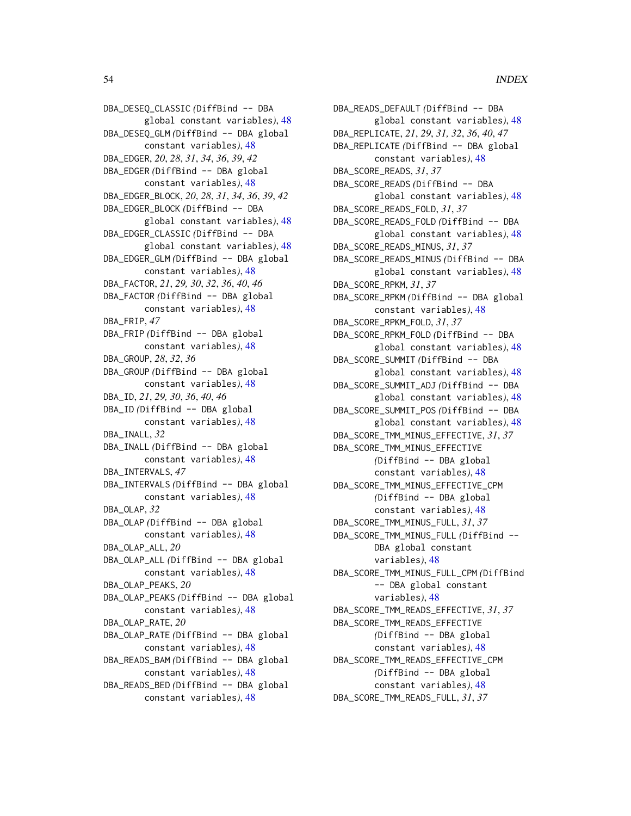DBA\_DESEQ\_CLASSIC *(*DiffBind -- DBA global constant variables*)*, [48](#page-47-0) DBA\_DESEQ\_GLM *(*DiffBind -- DBA global constant variables*)*, [48](#page-47-0) DBA\_EDGER, *20*, *28*, *31*, *34*, *36*, *39*, *42* DBA\_EDGER *(*DiffBind -- DBA global constant variables*)*, [48](#page-47-0) DBA\_EDGER\_BLOCK, *20*, *28*, *31*, *34*, *36*, *39*, *42* DBA\_EDGER\_BLOCK *(*DiffBind -- DBA global constant variables*)*, [48](#page-47-0) DBA\_EDGER\_CLASSIC *(*DiffBind -- DBA global constant variables*)*, [48](#page-47-0) DBA\_EDGER\_GLM *(*DiffBind -- DBA global constant variables*)*, [48](#page-47-0) DBA\_FACTOR, *21*, *29, 30*, *32*, *36*, *40*, *46* DBA\_FACTOR *(*DiffBind -- DBA global constant variables*)*, [48](#page-47-0) DBA\_FRIP, *47* DBA\_FRIP *(*DiffBind -- DBA global constant variables*)*, [48](#page-47-0) DBA\_GROUP, *28*, *32*, *36* DBA\_GROUP *(*DiffBind -- DBA global constant variables*)*, [48](#page-47-0) DBA\_ID, *21*, *29, 30*, *36*, *40*, *46* DBA\_ID *(*DiffBind -- DBA global constant variables*)*, [48](#page-47-0) DBA\_INALL, *32* DBA\_INALL *(*DiffBind -- DBA global constant variables*)*, [48](#page-47-0) DBA\_INTERVALS, *47* DBA\_INTERVALS *(*DiffBind -- DBA global constant variables*)*, [48](#page-47-0) DBA\_OLAP, *32* DBA\_OLAP *(*DiffBind -- DBA global constant variables*)*, [48](#page-47-0) DBA\_OLAP\_ALL, *20* DBA\_OLAP\_ALL *(*DiffBind -- DBA global constant variables*)*, [48](#page-47-0) DBA\_OLAP\_PEAKS, *20* DBA\_OLAP\_PEAKS *(*DiffBind -- DBA global constant variables*)*, [48](#page-47-0) DBA\_OLAP\_RATE, *20* DBA\_OLAP\_RATE *(*DiffBind -- DBA global constant variables*)*, [48](#page-47-0) DBA\_READS\_BAM *(*DiffBind -- DBA global constant variables*)*, [48](#page-47-0) DBA\_READS\_BED *(*DiffBind -- DBA global

constant variables*)*, [48](#page-47-0)

DBA\_READS\_DEFAULT *(*DiffBind -- DBA global constant variables*)*, [48](#page-47-0) DBA\_REPLICATE, *21*, *29*, *31, 32*, *36*, *40*, *47* DBA\_REPLICATE *(*DiffBind -- DBA global constant variables*)*, [48](#page-47-0) DBA\_SCORE\_READS, *31*, *37* DBA\_SCORE\_READS *(*DiffBind -- DBA global constant variables*)*, [48](#page-47-0) DBA\_SCORE\_READS\_FOLD, *31*, *37* DBA\_SCORE\_READS\_FOLD *(*DiffBind -- DBA global constant variables*)*, [48](#page-47-0) DBA\_SCORE\_READS\_MINUS, *31*, *37* DBA\_SCORE\_READS\_MINUS *(*DiffBind -- DBA global constant variables*)*, [48](#page-47-0) DBA\_SCORE\_RPKM, *31*, *37* DBA\_SCORE\_RPKM *(*DiffBind -- DBA global constant variables*)*, [48](#page-47-0) DBA\_SCORE\_RPKM\_FOLD, *31*, *37* DBA\_SCORE\_RPKM\_FOLD *(*DiffBind -- DBA global constant variables*)*, [48](#page-47-0) DBA\_SCORE\_SUMMIT *(*DiffBind -- DBA global constant variables*)*, [48](#page-47-0) DBA\_SCORE\_SUMMIT\_ADJ *(*DiffBind -- DBA global constant variables*)*, [48](#page-47-0) DBA\_SCORE\_SUMMIT\_POS *(*DiffBind -- DBA global constant variables*)*, [48](#page-47-0) DBA\_SCORE\_TMM\_MINUS\_EFFECTIVE, *31*, *37* DBA\_SCORE\_TMM\_MINUS\_EFFECTIVE *(*DiffBind -- DBA global constant variables*)*, [48](#page-47-0) DBA\_SCORE\_TMM\_MINUS\_EFFECTIVE\_CPM *(*DiffBind -- DBA global constant variables*)*, [48](#page-47-0) DBA\_SCORE\_TMM\_MINUS\_FULL, *31*, *37* DBA\_SCORE\_TMM\_MINUS\_FULL *(*DiffBind -- DBA global constant variables*)*, [48](#page-47-0) DBA\_SCORE\_TMM\_MINUS\_FULL\_CPM *(*DiffBind -- DBA global constant variables*)*, [48](#page-47-0) DBA\_SCORE\_TMM\_READS\_EFFECTIVE, *31*, *37* DBA\_SCORE\_TMM\_READS\_EFFECTIVE *(*DiffBind -- DBA global constant variables*)*, [48](#page-47-0) DBA\_SCORE\_TMM\_READS\_EFFECTIVE\_CPM *(*DiffBind -- DBA global constant variables*)*, [48](#page-47-0) DBA\_SCORE\_TMM\_READS\_FULL, *31*, *37*